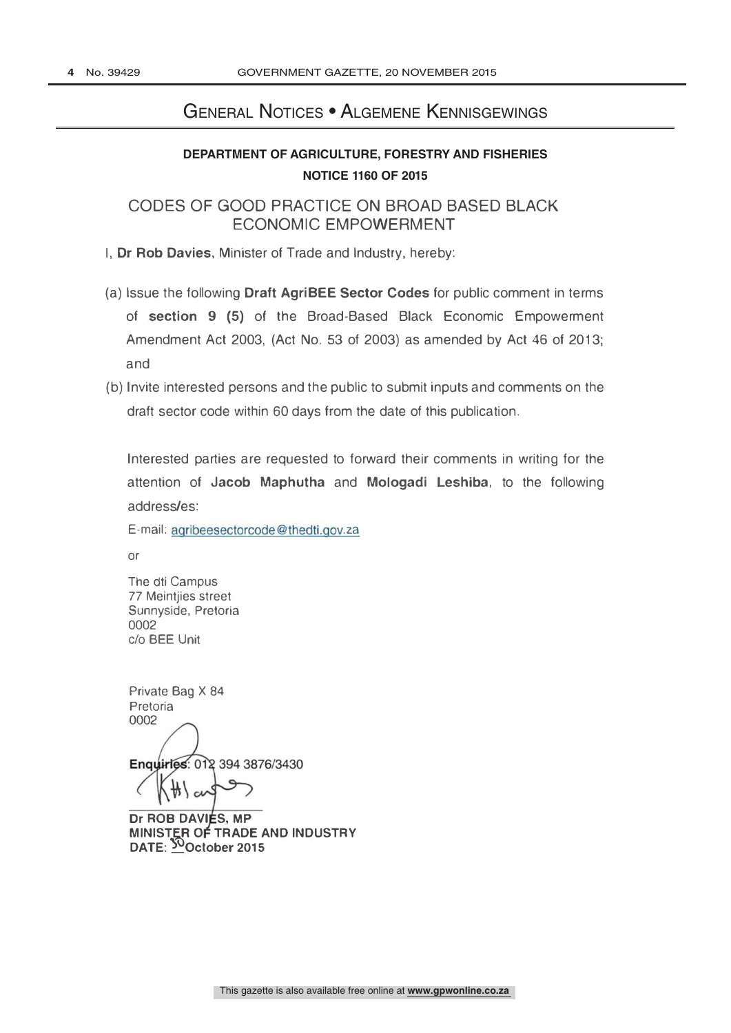# General Notices • Algemene Kennisgewings

# **DEPARTMENT OF AGRICULTURE, FORESTRY AND FISHERIES NOTICE 1160 OF 2015**

CODES OF GOOD PRACTICE ON BROAD BASED BLACK ECONOMIC EMPOWERMENT

I, Dr Rob Davies, Minister of Trade and Industry, hereby:

- (a) Issue the following Draft AgriBEE Sector Codes for public comment in terms of section 9 (5) of the Broad-Based Black Economic Empowerment Amendment Act 2003, (Act No. 53 of 2003) as amended by Act 46 of 2013; and
- (b) Invite interested persons and the public to submit inputs and comments on the draft sector code within 60 days from the date of this publication.

Interested parties are requested to forward their comments in writing for the attention of Jacob Maphutha and Mologadi Leshiba, to the following address/es:

E-mail: agribeesectorcode@thedti.gov.za

or

The dti Campus 77 Meintjies street Sunnyside, Pretoria 0002 c/o BEE Unit

**Enquirles: 012 394 3876/3430** Private Bag X 84 Pretoria 0002

Dr ROB DAVIES, MP MINISTER OF TRADE AND INDUSTRY DATE: 50October 2015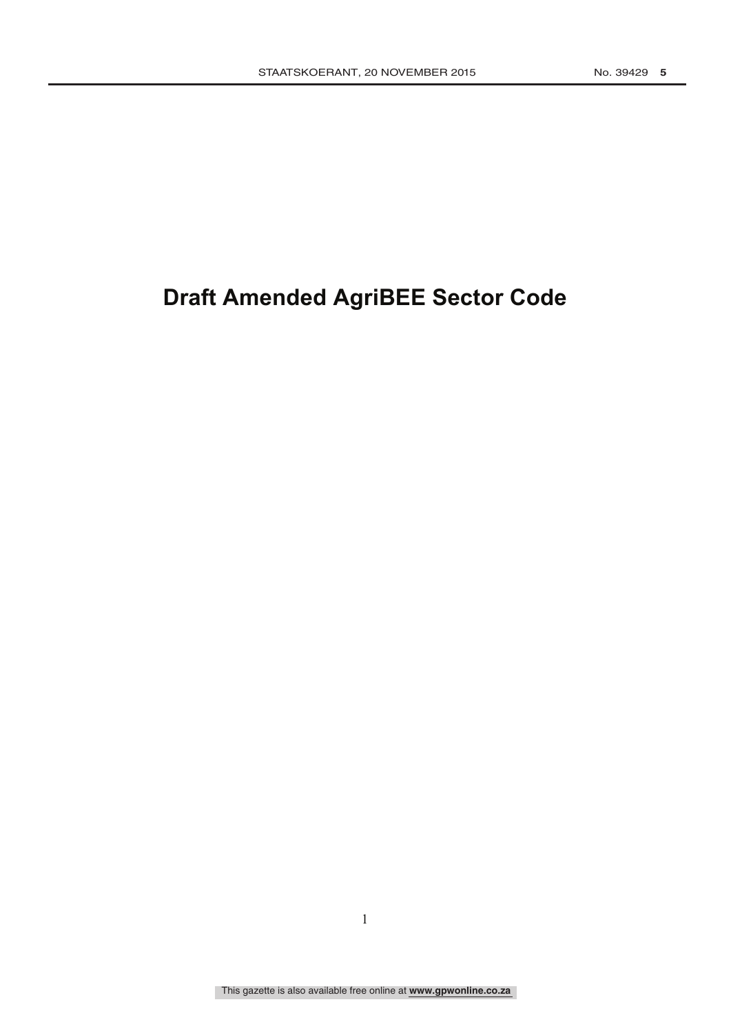# **Draft Amended AgriBEE Sector Code**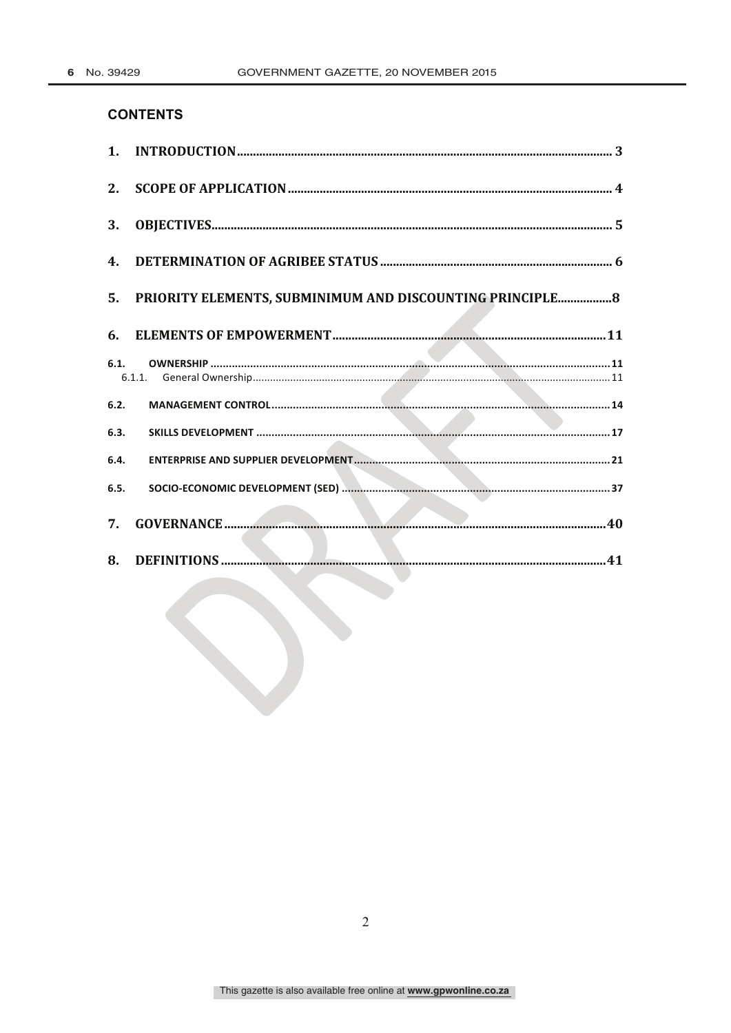# **CONTENTS**

| 1.           |                                                           |
|--------------|-----------------------------------------------------------|
| $2_{\cdot}$  |                                                           |
| 3.           |                                                           |
| 4.           |                                                           |
| 5.           | PRIORITY ELEMENTS, SUBMINIMUM AND DISCOUNTING PRINCIPLE 8 |
| 6.           |                                                           |
| 6.1.         |                                                           |
|              |                                                           |
| 6.2.         |                                                           |
| 6.3.         |                                                           |
| 6.4.<br>6.5. |                                                           |
| 7.           |                                                           |
| 8.           |                                                           |
|              |                                                           |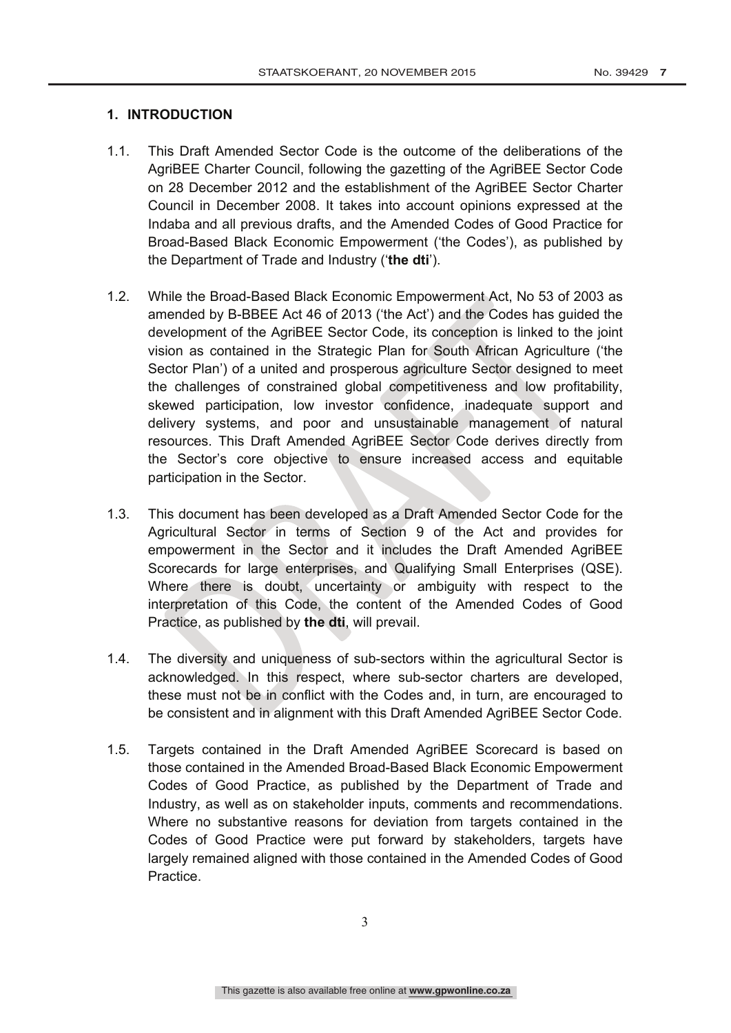# **1. INTRODUCTION**

- 1.1. This Draft Amended Sector Code is the outcome of the deliberations of the AgriBEE Charter Council, following the gazetting of the AgriBEE Sector Code on 28 December 2012 and the establishment of the AgriBEE Sector Charter Council in December 2008. It takes into account opinions expressed at the Indaba and all previous drafts, and the Amended Codes of Good Practice for Broad-Based Black Economic Empowerment ('the Codes'), as published by the Department of Trade and Industry ('**the dti**').
- 1.2. While the Broad-Based Black Economic Empowerment Act, No 53 of 2003 as amended by B-BBEE Act 46 of 2013 ('the Act') and the Codes has guided the development of the AgriBEE Sector Code, its conception is linked to the joint vision as contained in the Strategic Plan for South African Agriculture ('the Sector Plan') of a united and prosperous agriculture Sector designed to meet the challenges of constrained global competitiveness and low profitability, skewed participation, low investor confidence, inadequate support and delivery systems, and poor and unsustainable management of natural resources. This Draft Amended AgriBEE Sector Code derives directly from the Sector's core objective to ensure increased access and equitable participation in the Sector.
- 1.3. This document has been developed as a Draft Amended Sector Code for the Agricultural Sector in terms of Section 9 of the Act and provides for empowerment in the Sector and it includes the Draft Amended AgriBEE Scorecards for large enterprises, and Qualifying Small Enterprises (QSE). Where there is doubt, uncertainty or ambiguity with respect to the interpretation of this Code, the content of the Amended Codes of Good Practice, as published by **the dti**, will prevail.
- 1.4. The diversity and uniqueness of sub-sectors within the agricultural Sector is acknowledged. In this respect, where sub-sector charters are developed, these must not be in conflict with the Codes and, in turn, are encouraged to be consistent and in alignment with this Draft Amended AgriBEE Sector Code.
- 1.5. Targets contained in the Draft Amended AgriBEE Scorecard is based on those contained in the Amended Broad-Based Black Economic Empowerment Codes of Good Practice, as published by the Department of Trade and Industry, as well as on stakeholder inputs, comments and recommendations. Where no substantive reasons for deviation from targets contained in the Codes of Good Practice were put forward by stakeholders, targets have largely remained aligned with those contained in the Amended Codes of Good **Practice**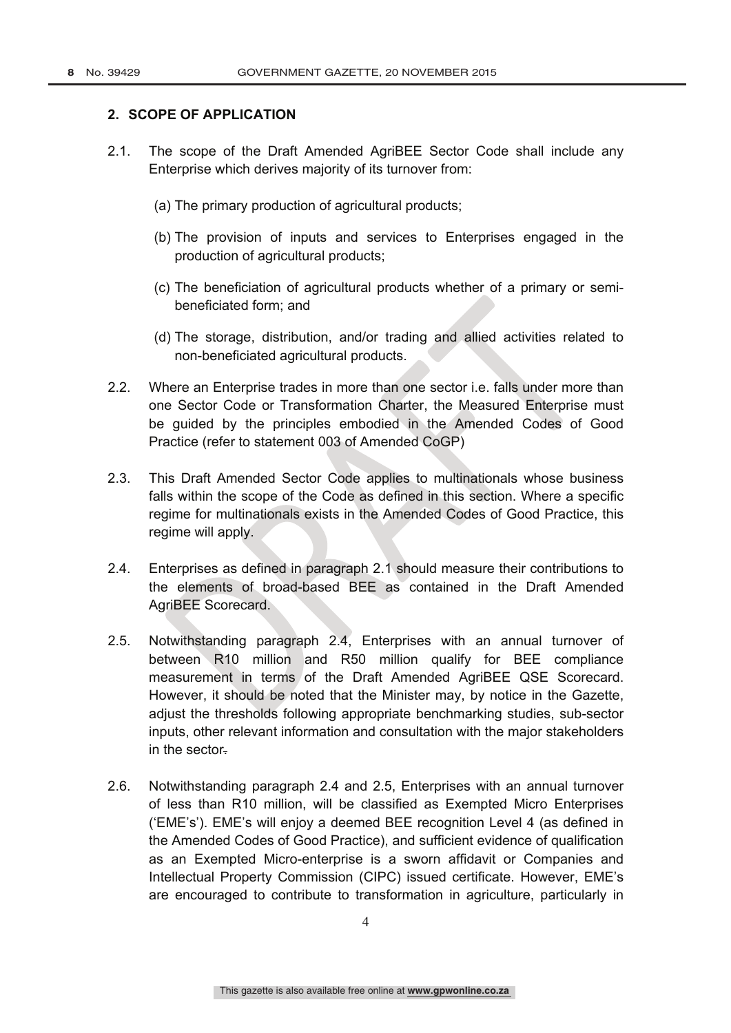#### **2. SCOPE OF APPLICATION**

- 2.1. The scope of the Draft Amended AgriBEE Sector Code shall include any Enterprise which derives majority of its turnover from:
	- (a) The primary production of agricultural products;
	- (b) The provision of inputs and services to Enterprises engaged in the production of agricultural products;
	- (c) The beneficiation of agricultural products whether of a primary or semibeneficiated form; and
	- (d) The storage, distribution, and/or trading and allied activities related to non-beneficiated agricultural products.
- 2.2. Where an Enterprise trades in more than one sector i.e. falls under more than one Sector Code or Transformation Charter, the Measured Enterprise must be guided by the principles embodied in the Amended Codes of Good Practice (refer to statement 003 of Amended CoGP)
- 2.3. This Draft Amended Sector Code applies to multinationals whose business falls within the scope of the Code as defined in this section. Where a specific regime for multinationals exists in the Amended Codes of Good Practice, this regime will apply.
- 2.4. Enterprises as defined in paragraph 2.1 should measure their contributions to the elements of broad-based BEE as contained in the Draft Amended AgriBEE Scorecard.
- 2.5. Notwithstanding paragraph 2.4, Enterprises with an annual turnover of between R10 million and R50 million qualify for BEE compliance measurement in terms of the Draft Amended AgriBEE QSE Scorecard. However, it should be noted that the Minister may, by notice in the Gazette, adjust the thresholds following appropriate benchmarking studies, sub-sector inputs, other relevant information and consultation with the major stakeholders in the sector.
- 2.6. Notwithstanding paragraph 2.4 and 2.5, Enterprises with an annual turnover of less than R10 million, will be classified as Exempted Micro Enterprises ('EME's'). EME's will enjoy a deemed BEE recognition Level 4 (as defined in the Amended Codes of Good Practice), and sufficient evidence of qualification as an Exempted Micro-enterprise is a sworn affidavit or Companies and Intellectual Property Commission (CIPC) issued certificate. However, EME's are encouraged to contribute to transformation in agriculture, particularly in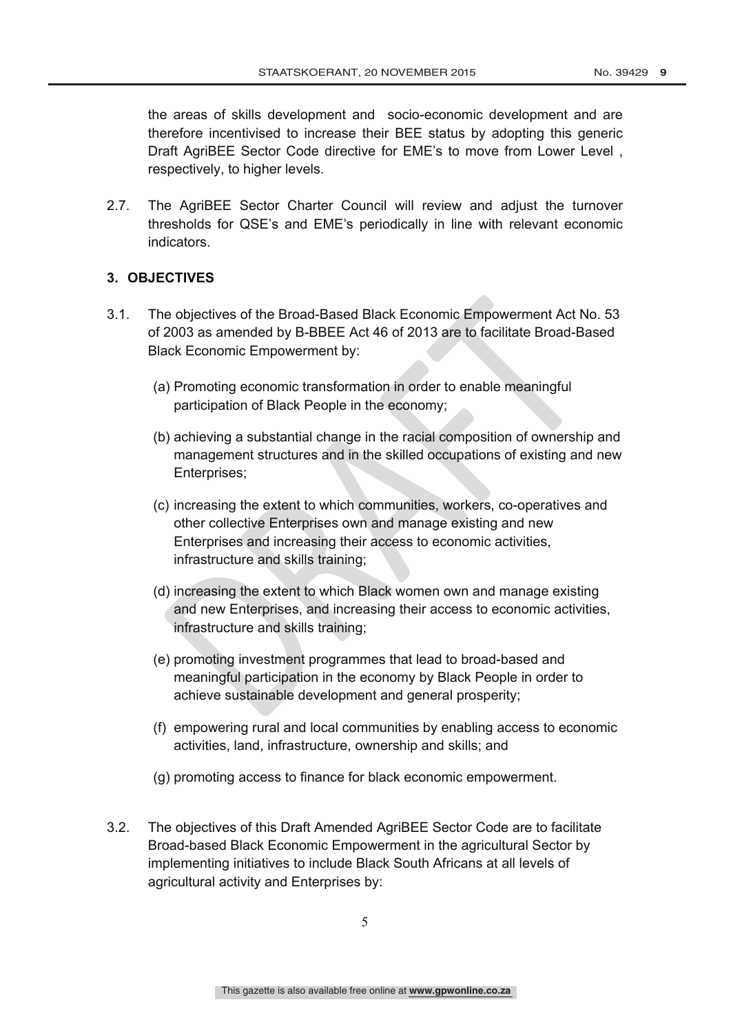the areas of skills development and socio-economic development and are therefore incentivised to increase their BEE status by adopting this generic Draft AgriBEE Sector Code directive for EME's to move from Lower Level , respectively, to higher levels.

2.7. The AgriBEE Sector Charter Council will review and adjust the turnover thresholds for QSE's and EME's periodically in line with relevant economic indicators.

# **3. OBJECTIVES**

- 3.1. The objectives of the Broad-Based Black Economic Empowerment Act No. 53 of 2003 as amended by B-BBEE Act 46 of 2013 are to facilitate Broad-Based Black Economic Empowerment by:
	- (a) Promoting economic transformation in order to enable meaningful participation of Black People in the economy;
	- (b) achieving a substantial change in the racial composition of ownership and management structures and in the skilled occupations of existing and new Enterprises;
	- (c) increasing the extent to which communities, workers, co-operatives and other collective Enterprises own and manage existing and new Enterprises and increasing their access to economic activities, infrastructure and skills training;
	- (d) increasing the extent to which Black women own and manage existing and new Enterprises, and increasing their access to economic activities, infrastructure and skills training;
	- (e) promoting investment programmes that lead to broad-based and meaningful participation in the economy by Black People in order to achieve sustainable development and general prosperity;
	- (f) empowering rural and local communities by enabling access to economic activities, land, infrastructure, ownership and skills; and
	- (g) promoting access to finance for black economic empowerment.
- 3.2. The objectives of this Draft Amended AgriBEE Sector Code are to facilitate Broad-based Black Economic Empowerment in the agricultural Sector by implementing initiatives to include Black South Africans at all levels of agricultural activity and Enterprises by: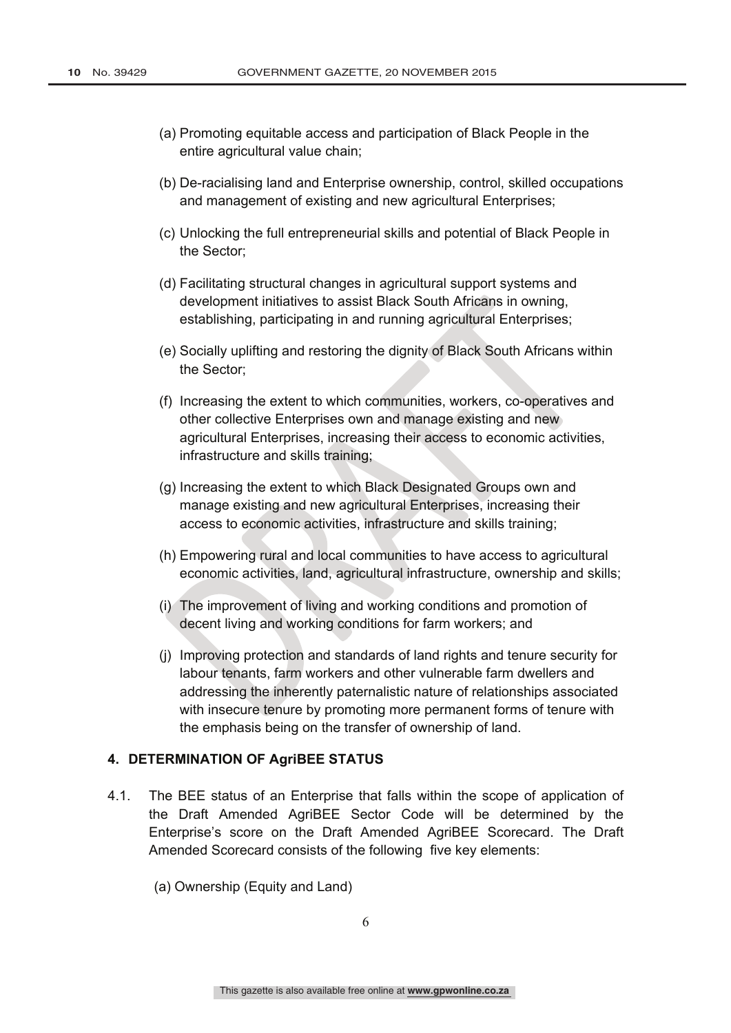- (a) Promoting equitable access and participation of Black People in the entire agricultural value chain;
- (b) De-racialising land and Enterprise ownership, control, skilled occupations and management of existing and new agricultural Enterprises;
- (c) Unlocking the full entrepreneurial skills and potential of Black People in the Sector;
- (d) Facilitating structural changes in agricultural support systems and development initiatives to assist Black South Africans in owning, establishing, participating in and running agricultural Enterprises;
- (e) Socially uplifting and restoring the dignity of Black South Africans within the Sector;
- (f) Increasing the extent to which communities, workers, co-operatives and other collective Enterprises own and manage existing and new agricultural Enterprises, increasing their access to economic activities, infrastructure and skills training;
- (g) Increasing the extent to which Black Designated Groups own and manage existing and new agricultural Enterprises, increasing their access to economic activities, infrastructure and skills training;
- (h) Empowering rural and local communities to have access to agricultural economic activities, land, agricultural infrastructure, ownership and skills;
- (i) The improvement of living and working conditions and promotion of decent living and working conditions for farm workers; and
- (j) Improving protection and standards of land rights and tenure security for labour tenants, farm workers and other vulnerable farm dwellers and addressing the inherently paternalistic nature of relationships associated with insecure tenure by promoting more permanent forms of tenure with the emphasis being on the transfer of ownership of land.

#### **4. DETERMINATION OF AgriBEE STATUS**

- 4.1. The BEE status of an Enterprise that falls within the scope of application of the Draft Amended AgriBEE Sector Code will be determined by the Enterprise's score on the Draft Amended AgriBEE Scorecard. The Draft Amended Scorecard consists of the following five key elements:
	- (a) Ownership (Equity and Land)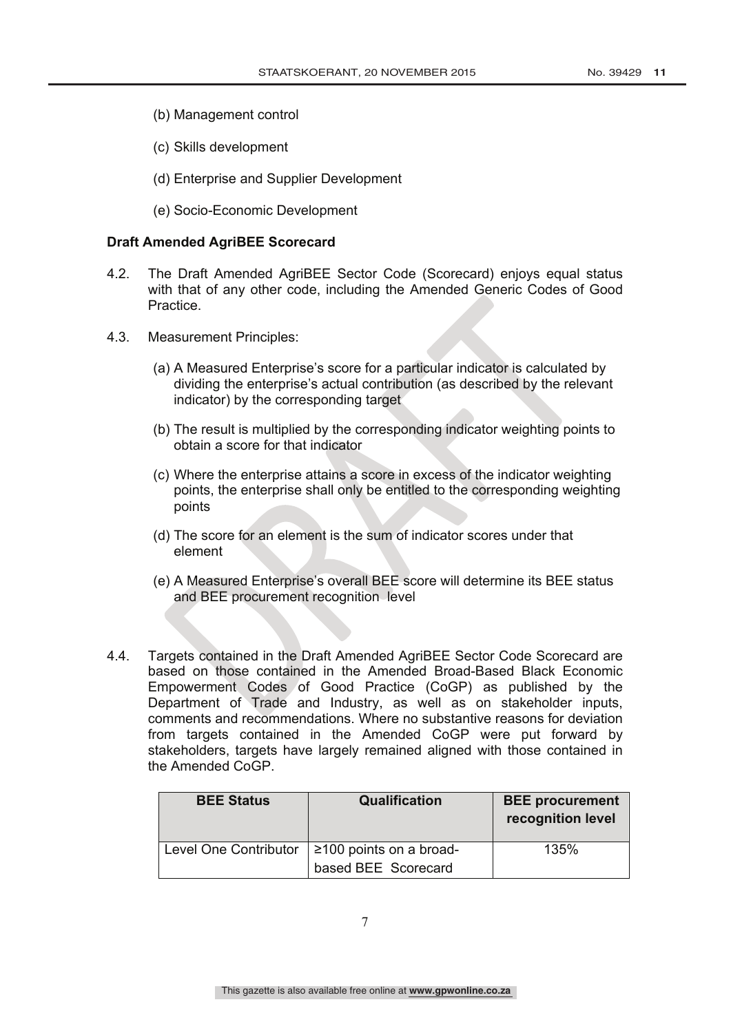- (b) Management control
- (c) Skills development
- (d) Enterprise and Supplier Development
- (e) Socio-Economic Development

#### **Draft Amended AgriBEE Scorecard**

- 4.2. The Draft Amended AgriBEE Sector Code (Scorecard) enjoys equal status with that of any other code, including the Amended Generic Codes of Good Practice.
- 4.3. Measurement Principles:
	- (a) A Measured Enterprise's score for a particular indicator is calculated by dividing the enterprise's actual contribution (as described by the relevant indicator) by the corresponding target
	- (b) The result is multiplied by the corresponding indicator weighting points to obtain a score for that indicator
	- (c) Where the enterprise attains a score in excess of the indicator weighting points, the enterprise shall only be entitled to the corresponding weighting points
	- (d) The score for an element is the sum of indicator scores under that element
	- (e) A Measured Enterprise's overall BEE score will determine its BEE status and BEE procurement recognition level
- 4.4. Targets contained in the Draft Amended AgriBEE Sector Code Scorecard are based on those contained in the Amended Broad-Based Black Economic Empowerment Codes of Good Practice (CoGP) as published by the Department of Trade and Industry, as well as on stakeholder inputs, comments and recommendations. Where no substantive reasons for deviation from targets contained in the Amended CoGP were put forward by stakeholders, targets have largely remained aligned with those contained in the Amended CoGP.

| <b>BEE Status</b>     | Qualification                                        | <b>BEE</b> procurement<br>recognition level |
|-----------------------|------------------------------------------------------|---------------------------------------------|
| Level One Contributor | $\geq$ 100 points on a broad-<br>based BEE Scorecard | 135%                                        |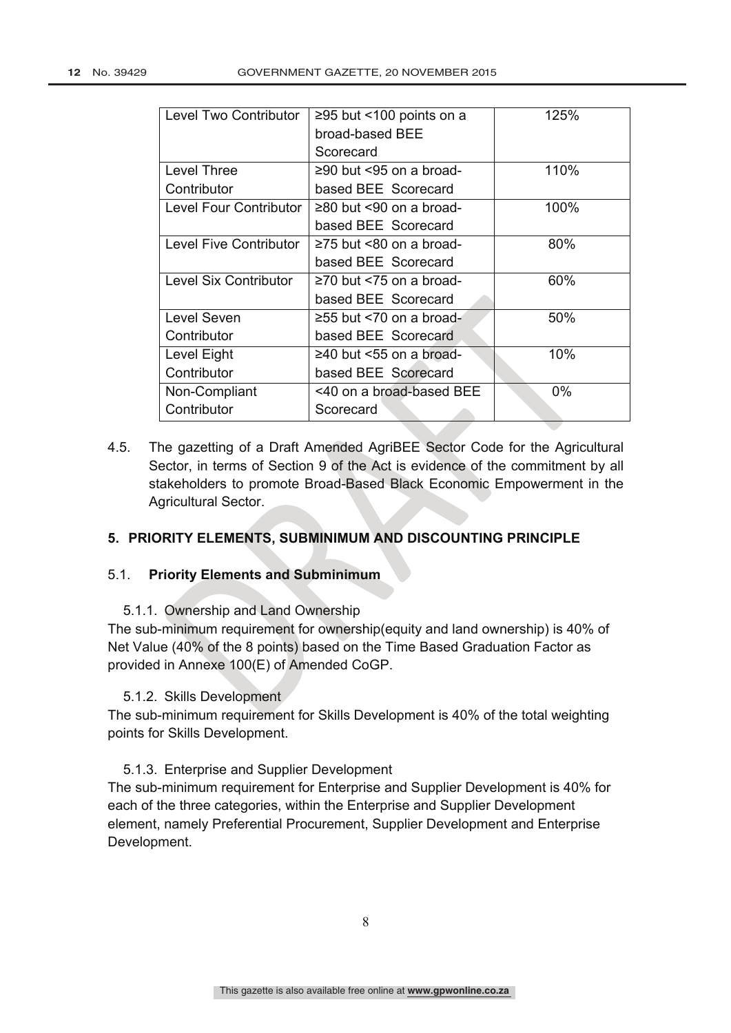| Level Two Contributor         | ≥95 but <100 points on a      | 125%  |
|-------------------------------|-------------------------------|-------|
|                               | broad-based BEE               |       |
|                               | Scorecard                     |       |
| <b>Level Three</b>            | ≥90 but <95 on a broad-       | 110%  |
| Contributor                   | based BEE Scorecard           |       |
| Level Four Contributor        | $\geq$ 80 but <90 on a broad- | 100%  |
|                               | based BEE Scorecard           |       |
| <b>Level Five Contributor</b> | $\geq$ 75 but <80 on a broad- | 80%   |
|                               | based BEE Scorecard           |       |
| Level Six Contributor         | $\geq$ 70 but <75 on a broad- | 60%   |
|                               | based BEE Scorecard           |       |
| Level Seven                   | $\geq$ 55 but <70 on a broad- | 50%   |
| Contributor                   | based BEE Scorecard           |       |
| Level Eight                   | $\geq$ 40 but <55 on a broad- | 10%   |
| Contributor                   | based BEE Scorecard           |       |
| Non-Compliant                 | <40 on a broad-based BEE      | $0\%$ |
| Contributor                   | Scorecard                     |       |

4.5. The gazetting of a Draft Amended AgriBEE Sector Code for the Agricultural Sector, in terms of Section 9 of the Act is evidence of the commitment by all stakeholders to promote Broad-Based Black Economic Empowerment in the Agricultural Sector.

#### **5. PRIORITY ELEMENTS, SUBMINIMUM AND DISCOUNTING PRINCIPLE**

#### 5.1. **Priority Elements and Subminimum**

5.1.1. Ownership and Land Ownership

The sub-minimum requirement for ownership(equity and land ownership) is 40% of Net Value (40% of the 8 points) based on the Time Based Graduation Factor as provided in Annexe 100(E) of Amended CoGP.

#### 5.1.2. Skills Development

The sub-minimum requirement for Skills Development is 40% of the total weighting points for Skills Development.

#### 5.1.3. Enterprise and Supplier Development

The sub-minimum requirement for Enterprise and Supplier Development is 40% for each of the three categories, within the Enterprise and Supplier Development element, namely Preferential Procurement, Supplier Development and Enterprise Development.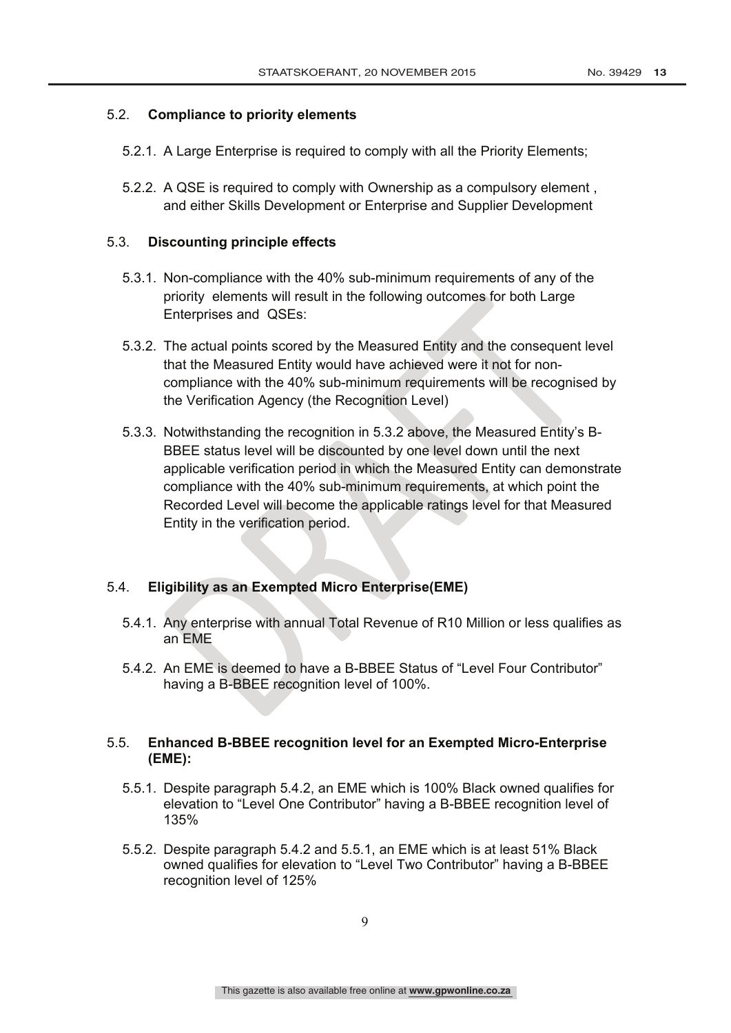### 5.2. **Compliance to priority elements**

- 5.2.1. A Large Enterprise is required to comply with all the Priority Elements;
- 5.2.2. A QSE is required to comply with Ownership as a compulsory element , and either Skills Development or Enterprise and Supplier Development

#### 5.3. **Discounting principle effects**

- 5.3.1. Non-compliance with the 40% sub-minimum requirements of any of the priority elements will result in the following outcomes for both Large Enterprises and QSEs:
- 5.3.2. The actual points scored by the Measured Entity and the consequent level that the Measured Entity would have achieved were it not for noncompliance with the 40% sub-minimum requirements will be recognised by the Verification Agency (the Recognition Level)
- 5.3.3. Notwithstanding the recognition in 5.3.2 above, the Measured Entity's B-BBEE status level will be discounted by one level down until the next applicable verification period in which the Measured Entity can demonstrate compliance with the 40% sub-minimum requirements, at which point the Recorded Level will become the applicable ratings level for that Measured Entity in the verification period.

# 5.4. **Eligibility as an Exempted Micro Enterprise(EME)**

- 5.4.1. Any enterprise with annual Total Revenue of R10 Million or less qualifies as an EME
- 5.4.2. An EME is deemed to have a B-BBEE Status of "Level Four Contributor" having a B-BBEE recognition level of 100%.

### 5.5. **Enhanced B-BBEE recognition level for an Exempted Micro-Enterprise (EME):**

- 5.5.1. Despite paragraph 5.4.2, an EME which is 100% Black owned qualifies for elevation to "Level One Contributor" having a B-BBEE recognition level of 135%
- 5.5.2. Despite paragraph 5.4.2 and 5.5.1, an EME which is at least 51% Black owned qualifies for elevation to "Level Two Contributor" having a B-BBEE recognition level of 125%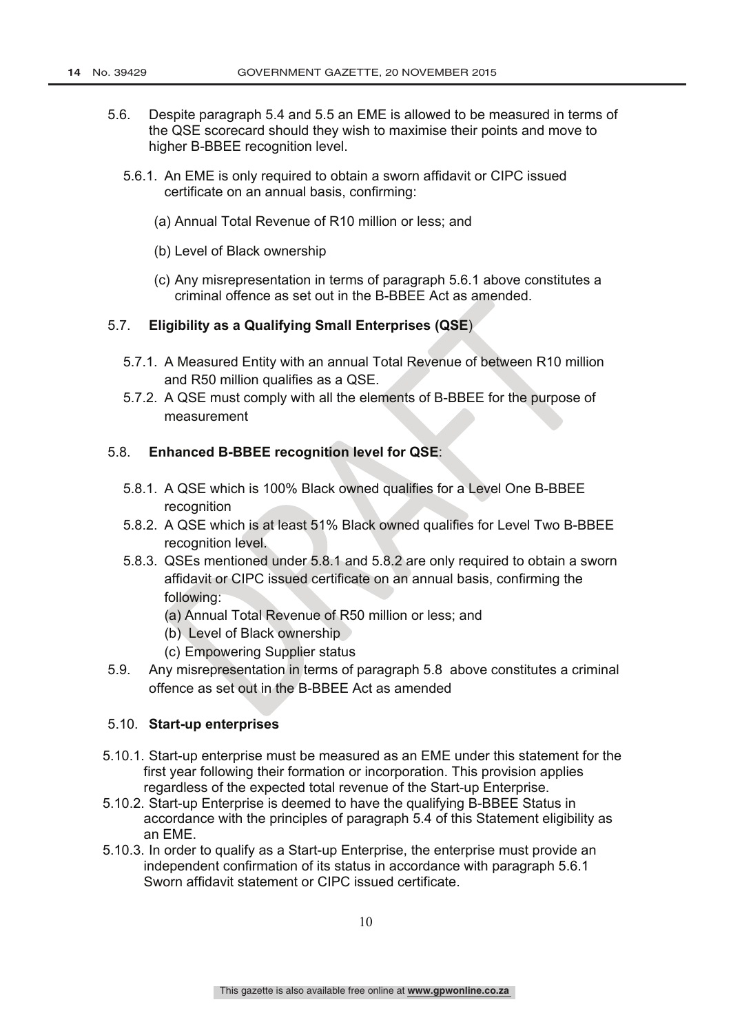- 5.6. Despite paragraph 5.4 and 5.5 an EME is allowed to be measured in terms of the QSE scorecard should they wish to maximise their points and move to higher B-BBEE recognition level.
	- 5.6.1. An EME is only required to obtain a sworn affidavit or CIPC issued certificate on an annual basis, confirming:
		- (a) Annual Total Revenue of R10 million or less; and
		- (b) Level of Black ownership
		- (c) Any misrepresentation in terms of paragraph 5.6.1 above constitutes a criminal offence as set out in the B-BBEE Act as amended.

### 5.7. **Eligibility as a Qualifying Small Enterprises (QSE**)

- 5.7.1. A Measured Entity with an annual Total Revenue of between R10 million and R50 million qualifies as a QSE.
- 5.7.2. A QSE must comply with all the elements of B-BBEE for the purpose of measurement

#### 5.8. **Enhanced B-BBEE recognition level for QSE**:

- 5.8.1. A QSE which is 100% Black owned qualifies for a Level One B-BBEE recognition
- 5.8.2. A QSE which is at least 51% Black owned qualifies for Level Two B-BBEE recognition level.
- 5.8.3. QSEs mentioned under 5.8.1 and 5.8.2 are only required to obtain a sworn affidavit or CIPC issued certificate on an annual basis, confirming the following:
	- (a) Annual Total Revenue of R50 million or less; and
	- (b) Level of Black ownership
	- (c) Empowering Supplier status
- 5.9. Any misrepresentation in terms of paragraph 5.8 above constitutes a criminal offence as set out in the B-BBEE Act as amended

#### 5.10. **Start-up enterprises**

- 5.10.1. Start-up enterprise must be measured as an EME under this statement for the first year following their formation or incorporation. This provision applies regardless of the expected total revenue of the Start-up Enterprise.
- 5.10.2. Start-up Enterprise is deemed to have the qualifying B-BBEE Status in accordance with the principles of paragraph 5.4 of this Statement eligibility as an EME.
- 5.10.3. In order to qualify as a Start-up Enterprise, the enterprise must provide an independent confirmation of its status in accordance with paragraph 5.6.1 Sworn affidavit statement or CIPC issued certificate.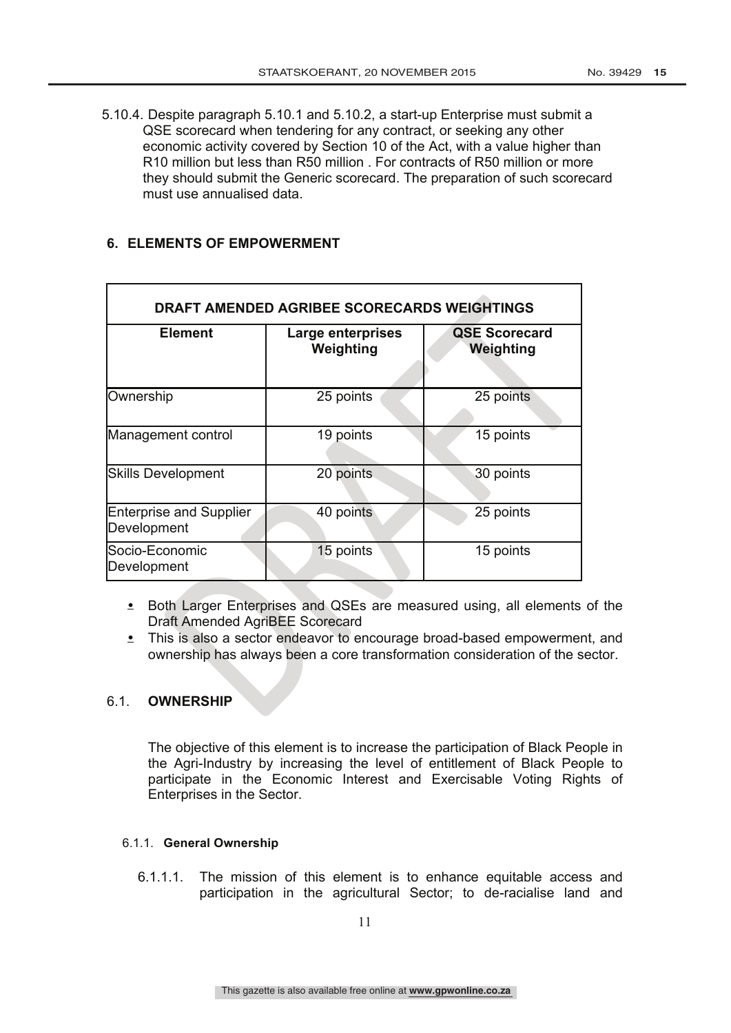5.10.4. Despite paragraph 5.10.1 and 5.10.2, a start-up Enterprise must submit a QSE scorecard when tendering for any contract, or seeking any other economic activity covered by Section 10 of the Act, with a value higher than R10 million but less than R50 million . For contracts of R50 million or more they should submit the Generic scorecard. The preparation of such scorecard must use annualised data.

# **6. ELEMENTS OF EMPOWERMENT**

| DRAFT AMENDED AGRIBEE SCORECARDS WEIGHTINGS   |                                |                                   |  |  |  |
|-----------------------------------------------|--------------------------------|-----------------------------------|--|--|--|
| <b>Element</b>                                | Large enterprises<br>Weighting | <b>QSE Scorecard</b><br>Weighting |  |  |  |
| Ownership                                     | 25 points                      | 25 points                         |  |  |  |
| Management control                            | 19 points                      | 15 points                         |  |  |  |
| <b>Skills Development</b>                     | 20 points                      | 30 points                         |  |  |  |
| <b>Enterprise and Supplier</b><br>Development | 40 points                      | 25 points                         |  |  |  |
| Socio-Economic<br>Development                 | 15 points                      | 15 points                         |  |  |  |

• Both Larger Enterprises and QSEs are measured using, all elements of the Draft Amended AgriBEE Scorecard

• This is also a sector endeavor to encourage broad-based empowerment, and ownership has always been a core transformation consideration of the sector.

#### 6.1. **OWNERSHIP**

The objective of this element is to increase the participation of Black People in the Agri-Industry by increasing the level of entitlement of Black People to participate in the Economic Interest and Exercisable Voting Rights of Enterprises in the Sector.

#### 6.1.1. **General Ownership**

6.1.1.1. The mission of this element is to enhance equitable access and participation in the agricultural Sector; to de-racialise land and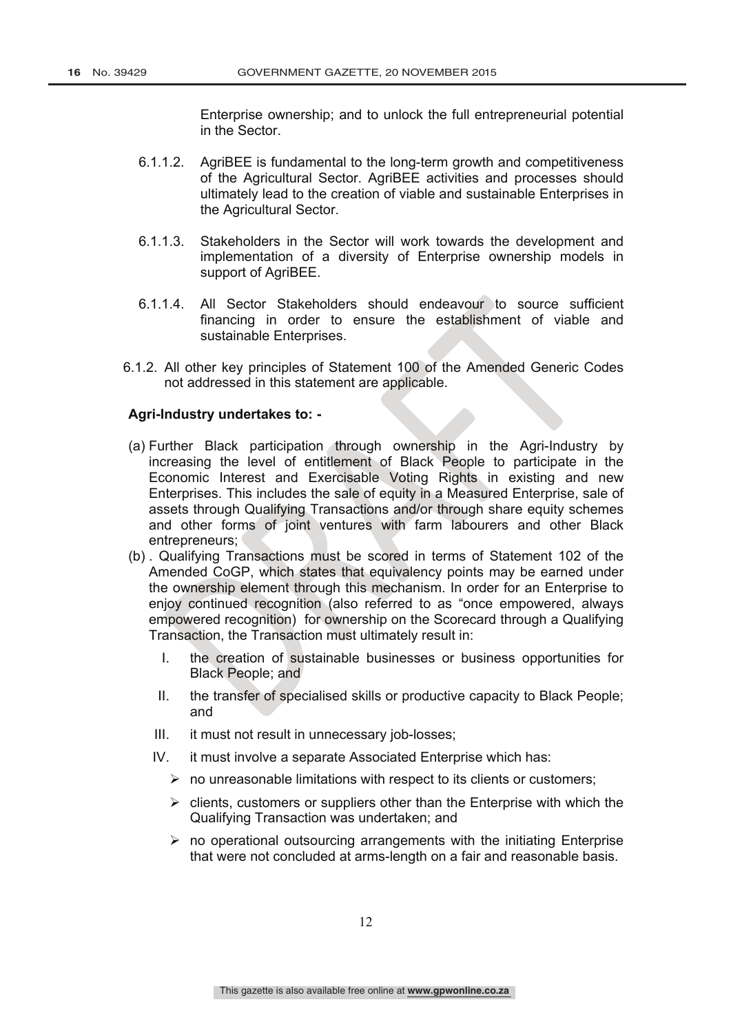Enterprise ownership; and to unlock the full entrepreneurial potential in the Sector.

- 6.1.1.2. AgriBEE is fundamental to the long-term growth and competitiveness of the Agricultural Sector. AgriBEE activities and processes should ultimately lead to the creation of viable and sustainable Enterprises in the Agricultural Sector.
- 6.1.1.3. Stakeholders in the Sector will work towards the development and implementation of a diversity of Enterprise ownership models in support of AgriBEE.
- 6.1.1.4. All Sector Stakeholders should endeavour to source sufficient financing in order to ensure the establishment of viable and sustainable Enterprises.
- 6.1.2. All other key principles of Statement 100 of the Amended Generic Codes not addressed in this statement are applicable.

#### **Agri-Industry undertakes to: -**

- (a) Further Black participation through ownership in the Agri-Industry by increasing the level of entitlement of Black People to participate in the Economic Interest and Exercisable Voting Rights in existing and new Enterprises. This includes the sale of equity in a Measured Enterprise, sale of assets through Qualifying Transactions and/or through share equity schemes and other forms of joint ventures with farm labourers and other Black entrepreneurs;
- (b) . Qualifying Transactions must be scored in terms of Statement 102 of the Amended CoGP, which states that equivalency points may be earned under the ownership element through this mechanism. In order for an Enterprise to enjoy continued recognition (also referred to as "once empowered, always empowered recognition) for ownership on the Scorecard through a Qualifying Transaction, the Transaction must ultimately result in:
	- I. the creation of sustainable businesses or business opportunities for Black People; and
	- II. the transfer of specialised skills or productive capacity to Black People; and
	- III. it must not result in unnecessary job-losses;
	- IV. it must involve a separate Associated Enterprise which has:
		- $\triangleright$  no unreasonable limitations with respect to its clients or customers;
		- $\triangleright$  clients, customers or suppliers other than the Enterprise with which the Qualifying Transaction was undertaken; and
		- $\triangleright$  no operational outsourcing arrangements with the initiating Enterprise that were not concluded at arms-length on a fair and reasonable basis.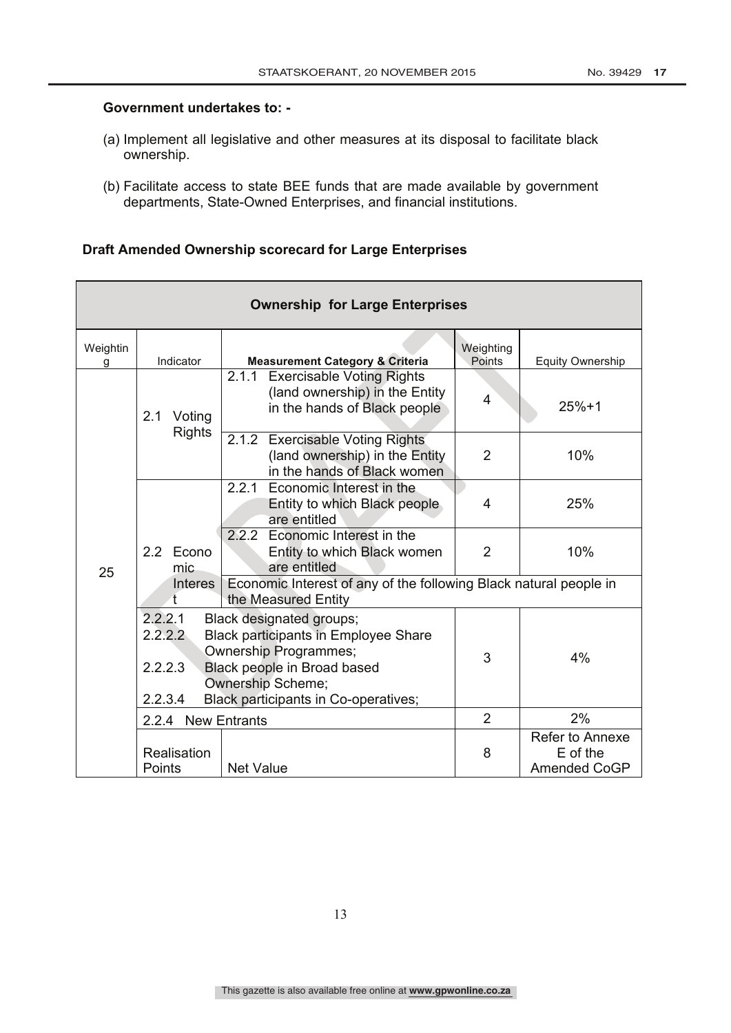#### **Government undertakes to: -**

- (a) Implement all legislative and other measures at its disposal to facilitate black ownership.
- (b) Facilitate access to state BEE funds that are made available by government departments, State-Owned Enterprises, and financial institutions.

# **Draft Amended Ownership scorecard for Large Enterprises**

| <b>Ownership for Large Enterprises</b> |                                          |                                                                                                                                                                                                     |                     |                                             |  |  |
|----------------------------------------|------------------------------------------|-----------------------------------------------------------------------------------------------------------------------------------------------------------------------------------------------------|---------------------|---------------------------------------------|--|--|
| Weightin<br>g                          | Indicator                                | <b>Measurement Category &amp; Criteria</b>                                                                                                                                                          | Weighting<br>Points | <b>Equity Ownership</b>                     |  |  |
|                                        | 2.1<br>Voting<br><b>Rights</b>           | 2.1.1<br><b>Exercisable Voting Rights</b><br>(land ownership) in the Entity<br>in the hands of Black people                                                                                         | $\overline{4}$      | $25%+1$                                     |  |  |
|                                        |                                          | 2.1.2 Exercisable Voting Rights<br>(land ownership) in the Entity<br>in the hands of Black women                                                                                                    | $\overline{2}$      | 10%                                         |  |  |
|                                        |                                          | 2.2.1 Economic Interest in the<br>Entity to which Black people<br>are entitled                                                                                                                      | 4                   | 25%                                         |  |  |
| 25                                     | 2.2 Econo<br>mic                         | 2.2.2 Economic Interest in the<br>Entity to which Black women<br>are entitled                                                                                                                       | $\overline{2}$      | 10%                                         |  |  |
|                                        | <b>Interes</b><br>t                      | Economic Interest of any of the following Black natural people in<br>the Measured Entity                                                                                                            |                     |                                             |  |  |
|                                        | 2.2.2.1<br>2.2.2.2<br>2.2.2.3<br>2.2.3.4 | Black designated groups;<br><b>Black participants in Employee Share</b><br><b>Ownership Programmes;</b><br>Black people in Broad based<br>Ownership Scheme;<br>Black participants in Co-operatives; | 3                   | 4%                                          |  |  |
|                                        | 2.2.4 New Entrants                       |                                                                                                                                                                                                     | $\overline{2}$      | 2%                                          |  |  |
|                                        | Realisation<br>Points                    | <b>Net Value</b>                                                                                                                                                                                    | 8                   | Refer to Annexe<br>E of the<br>Amended CoGP |  |  |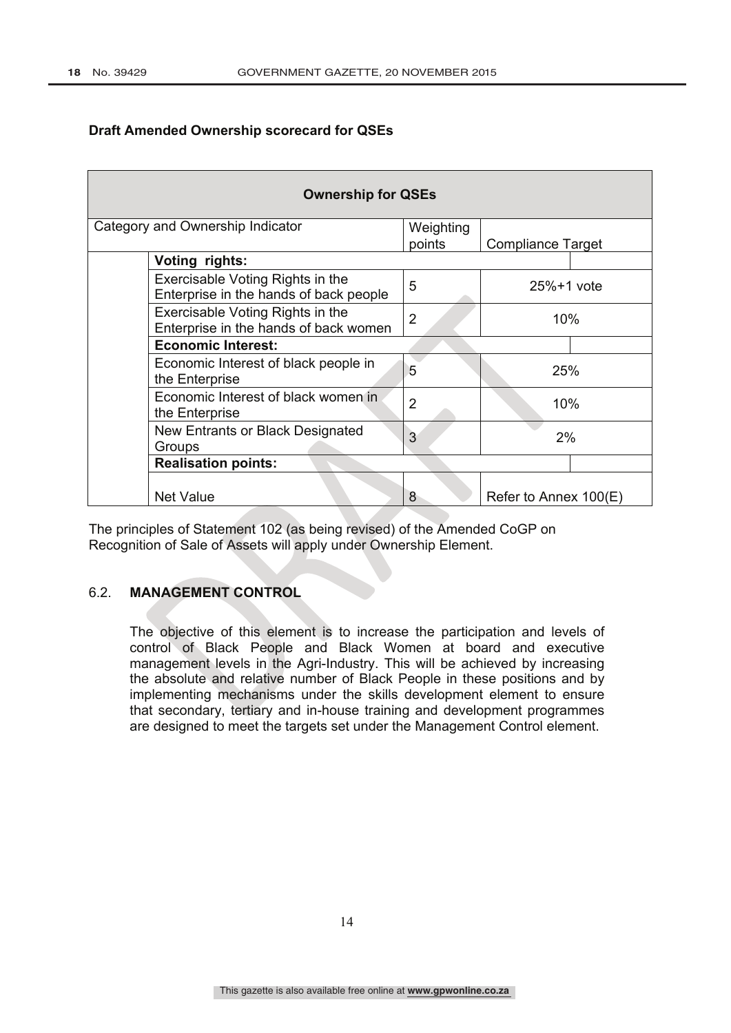# **Draft Amended Ownership scorecard for QSEs**

| <b>Ownership for QSEs</b> |                                                                            |                |                          |  |
|---------------------------|----------------------------------------------------------------------------|----------------|--------------------------|--|
|                           | Category and Ownership Indicator                                           | Weighting      |                          |  |
|                           |                                                                            | points         | <b>Compliance Target</b> |  |
|                           | Voting rights:                                                             |                |                          |  |
|                           | Exercisable Voting Rights in the<br>Enterprise in the hands of back people | 5              | $25% + 1$ vote           |  |
|                           | Exercisable Voting Rights in the<br>Enterprise in the hands of back women  | 2              | 10%                      |  |
|                           | <b>Economic Interest:</b>                                                  |                |                          |  |
|                           | Economic Interest of black people in<br>the Enterprise                     | 5              | 25%                      |  |
|                           | Economic Interest of black women in<br>the Enterprise                      | $\overline{2}$ | 10%                      |  |
|                           | New Entrants or Black Designated<br>Groups                                 | 3              | 2%                       |  |
|                           | <b>Realisation points:</b>                                                 |                |                          |  |
|                           | <b>Net Value</b>                                                           | 8              | Refer to Annex 100(E)    |  |

The principles of Statement 102 (as being revised) of the Amended CoGP on Recognition of Sale of Assets will apply under Ownership Element.

# 6.2. **MANAGEMENT CONTROL**

The objective of this element is to increase the participation and levels of control of Black People and Black Women at board and executive management levels in the Agri-Industry. This will be achieved by increasing the absolute and relative number of Black People in these positions and by implementing mechanisms under the skills development element to ensure that secondary, tertiary and in-house training and development programmes are designed to meet the targets set under the Management Control element.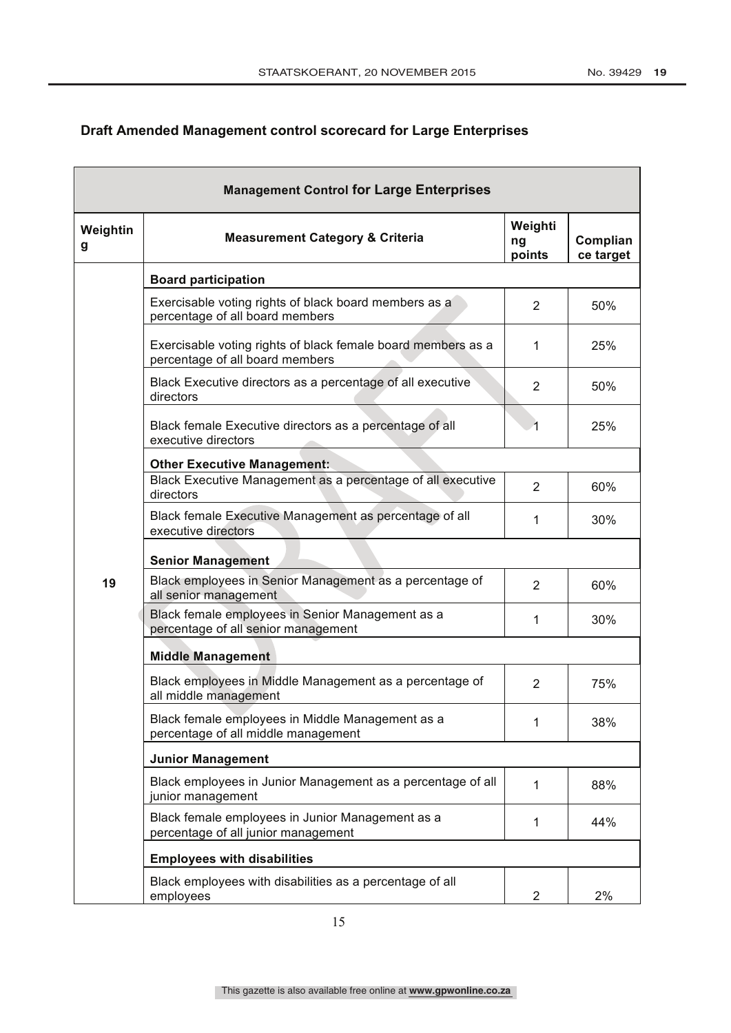# **Draft Amended Management control scorecard for Large Enterprises**

|               | <b>Management Control for Large Enterprises</b>                                                 |                         |                       |
|---------------|-------------------------------------------------------------------------------------------------|-------------------------|-----------------------|
| Weightin<br>g | <b>Measurement Category &amp; Criteria</b>                                                      | Weighti<br>ng<br>points | Complian<br>ce target |
|               | <b>Board participation</b>                                                                      |                         |                       |
|               | Exercisable voting rights of black board members as a<br>percentage of all board members        | 2                       | 50%                   |
|               | Exercisable voting rights of black female board members as a<br>percentage of all board members | 1                       | 25%                   |
|               | Black Executive directors as a percentage of all executive<br>directors                         | 2                       | 50%                   |
|               | Black female Executive directors as a percentage of all<br>executive directors                  |                         | 25%                   |
|               | <b>Other Executive Management:</b>                                                              |                         |                       |
|               | Black Executive Management as a percentage of all executive<br>directors                        | $\overline{2}$          | 60%                   |
|               | Black female Executive Management as percentage of all<br>executive directors                   | 1                       | 30%                   |
|               | <b>Senior Management</b>                                                                        |                         |                       |
| 19            | Black employees in Senior Management as a percentage of<br>all senior management                | $\overline{2}$          | 60%                   |
|               | Black female employees in Senior Management as a<br>percentage of all senior management         | 1                       | 30%                   |
|               | <b>Middle Management</b>                                                                        |                         |                       |
|               | Black employees in Middle Management as a percentage of<br>all middle management                | $\overline{2}$          | 75%                   |
|               | Black female employees in Middle Management as a<br>percentage of all middle management         |                         | 38%                   |
|               | <b>Junior Management</b>                                                                        |                         |                       |
|               | Black employees in Junior Management as a percentage of all<br>junior management                | 1                       | 88%                   |
|               | Black female employees in Junior Management as a<br>percentage of all junior management         | 1                       | 44%                   |
|               | <b>Employees with disabilities</b>                                                              |                         |                       |
|               | Black employees with disabilities as a percentage of all<br>employees                           | 2                       | 2%                    |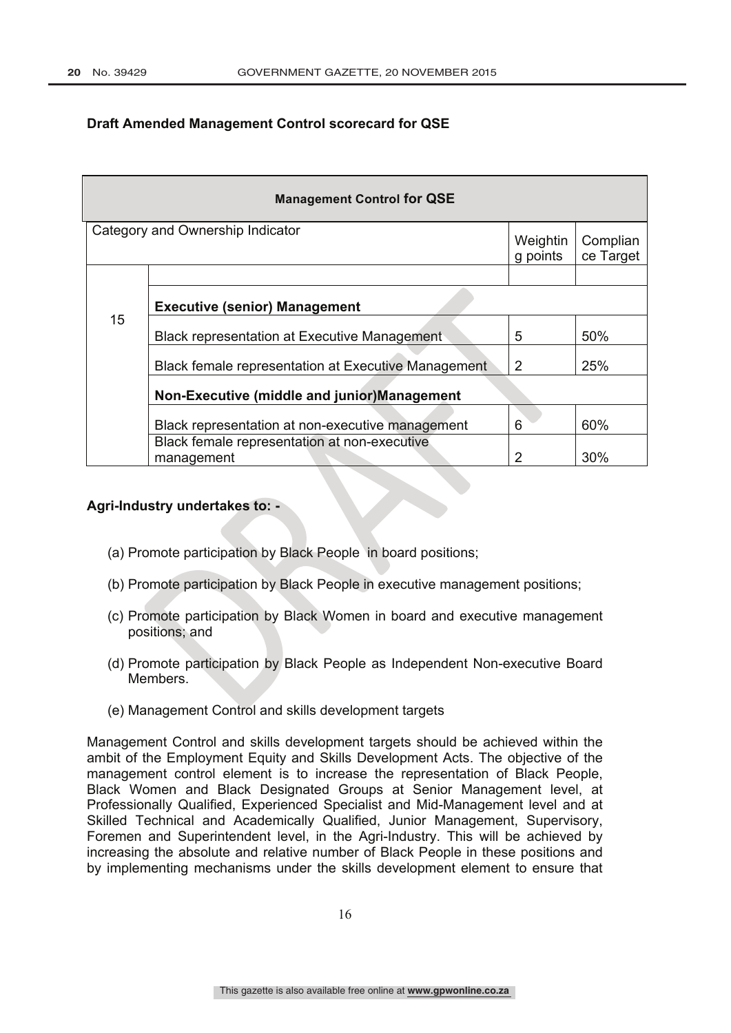# **Draft Amended Management Control scorecard for QSE**

| <b>Management Control for QSE</b>           |                                                            |                      |                       |  |  |
|---------------------------------------------|------------------------------------------------------------|----------------------|-----------------------|--|--|
|                                             | Category and Ownership Indicator                           | Weightin<br>g points | Complian<br>ce Target |  |  |
|                                             |                                                            |                      |                       |  |  |
|                                             | <b>Executive (senior) Management</b>                       |                      |                       |  |  |
| 15                                          | <b>Black representation at Executive Management</b>        | 5                    | 50%                   |  |  |
|                                             | <b>Black female representation at Executive Management</b> | 2                    | 25%                   |  |  |
| Non-Executive (middle and junior)Management |                                                            |                      |                       |  |  |
|                                             | Black representation at non-executive management           | 6                    | 60%                   |  |  |
|                                             | Black female representation at non-executive<br>management | 2                    | 30%                   |  |  |

#### **Agri-Industry undertakes to: -**

- (a) Promote participation by Black People in board positions;
- (b) Promote participation by Black People in executive management positions;
- (c) Promote participation by Black Women in board and executive management positions; and
- (d) Promote participation by Black People as Independent Non-executive Board Members.
- (e) Management Control and skills development targets

Management Control and skills development targets should be achieved within the ambit of the Employment Equity and Skills Development Acts. The objective of the management control element is to increase the representation of Black People, Black Women and Black Designated Groups at Senior Management level, at Professionally Qualified, Experienced Specialist and Mid-Management level and at Skilled Technical and Academically Qualified, Junior Management, Supervisory, Foremen and Superintendent level, in the Agri-Industry. This will be achieved by increasing the absolute and relative number of Black People in these positions and by implementing mechanisms under the skills development element to ensure that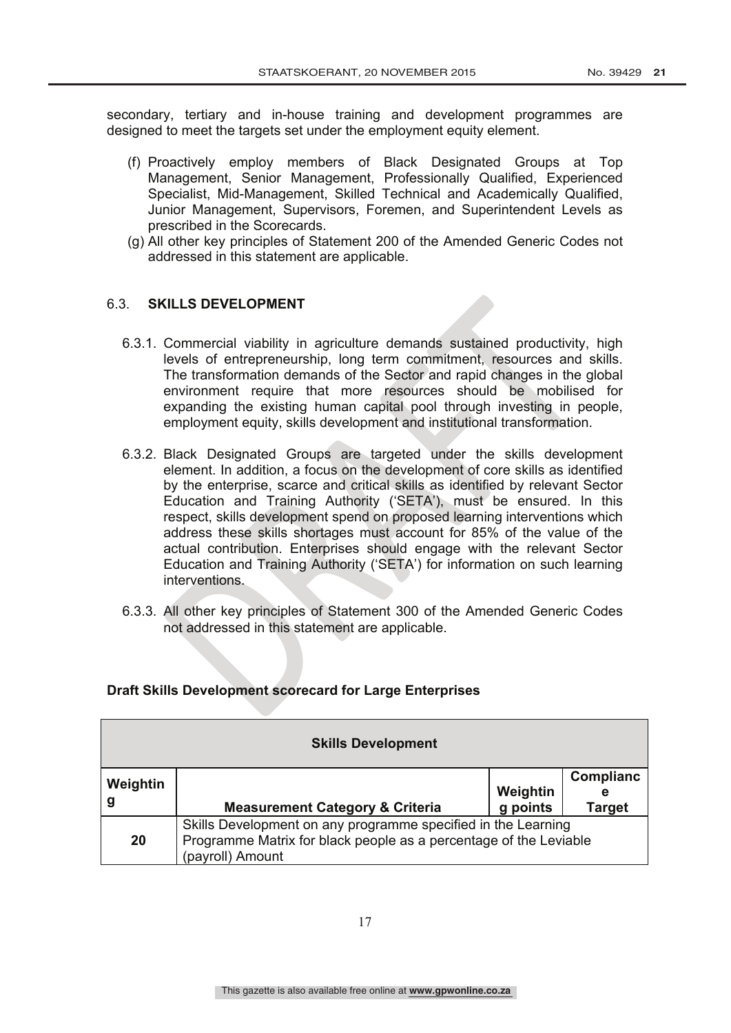secondary, tertiary and in-house training and development programmes are designed to meet the targets set under the employment equity element.

- (f) Proactively employ members of Black Designated Groups at Top Management, Senior Management, Professionally Qualified, Experienced Specialist, Mid-Management, Skilled Technical and Academically Qualified, Junior Management, Supervisors, Foremen, and Superintendent Levels as prescribed in the Scorecards.
- (g) All other key principles of Statement 200 of the Amended Generic Codes not addressed in this statement are applicable.

# 6.3. **SKILLS DEVELOPMENT**

- 6.3.1. Commercial viability in agriculture demands sustained productivity, high levels of entrepreneurship, long term commitment, resources and skills. The transformation demands of the Sector and rapid changes in the global environment require that more resources should be mobilised for expanding the existing human capital pool through investing in people, employment equity, skills development and institutional transformation.
- 6.3.2. Black Designated Groups are targeted under the skills development element. In addition, a focus on the development of core skills as identified by the enterprise, scarce and critical skills as identified by relevant Sector Education and Training Authority ('SETA'), must be ensured. In this respect, skills development spend on proposed learning interventions which address these skills shortages must account for 85% of the value of the actual contribution. Enterprises should engage with the relevant Sector Education and Training Authority ('SETA') for information on such learning interventions.
- 6.3.3. All other key principles of Statement 300 of the Amended Generic Codes not addressed in this statement are applicable.

| <b>Skills Development</b>                                                                                                                                    |                                            |                      |                          |  |  |  |
|--------------------------------------------------------------------------------------------------------------------------------------------------------------|--------------------------------------------|----------------------|--------------------------|--|--|--|
| Weightin<br>g                                                                                                                                                | <b>Measurement Category &amp; Criteria</b> | Weightin<br>g points | Complianc<br>е<br>Target |  |  |  |
| Skills Development on any programme specified in the Learning<br>Programme Matrix for black people as a percentage of the Leviable<br>20<br>(payroll) Amount |                                            |                      |                          |  |  |  |

#### **Draft Skills Development scorecard for Large Enterprises**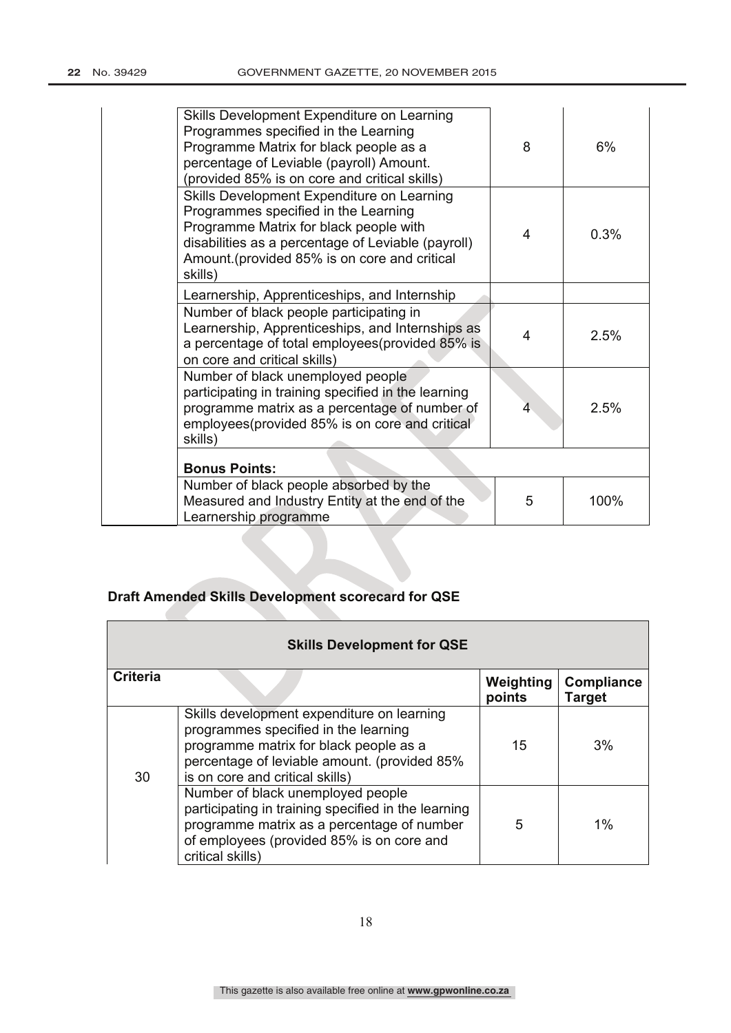| Skills Development Expenditure on Learning<br>Programmes specified in the Learning<br>Programme Matrix for black people as a<br>percentage of Leviable (payroll) Amount.<br>(provided 85% is on core and critical skills)                      | 8 | 6%   |
|------------------------------------------------------------------------------------------------------------------------------------------------------------------------------------------------------------------------------------------------|---|------|
| Skills Development Expenditure on Learning<br>Programmes specified in the Learning<br>Programme Matrix for black people with<br>disabilities as a percentage of Leviable (payroll)<br>Amount. (provided 85% is on core and critical<br>skills) | 4 | 0.3% |
| Learnership, Apprenticeships, and Internship                                                                                                                                                                                                   |   |      |
| Number of black people participating in<br>Learnership, Apprenticeships, and Internships as<br>a percentage of total employees (provided 85% is<br>on core and critical skills)                                                                | 4 | 2.5% |
| Number of black unemployed people<br>participating in training specified in the learning<br>programme matrix as a percentage of number of<br>employees(provided 85% is on core and critical<br>skills)                                         | 4 | 2.5% |
| <b>Bonus Points:</b>                                                                                                                                                                                                                           |   |      |
| Number of black people absorbed by the<br>Measured and Industry Entity at the end of the<br>Learnership programme                                                                                                                              | 5 | 100% |

# **Draft Amended Skills Development scorecard for QSE**

|                 | <b>Skills Development for QSE</b>                                                                                                                                                                               |                     |                                    |
|-----------------|-----------------------------------------------------------------------------------------------------------------------------------------------------------------------------------------------------------------|---------------------|------------------------------------|
| <b>Criteria</b> |                                                                                                                                                                                                                 | Weighting<br>points | <b>Compliance</b><br><b>Target</b> |
| 30              | Skills development expenditure on learning<br>programmes specified in the learning<br>programme matrix for black people as a<br>percentage of leviable amount. (provided 85%<br>is on core and critical skills) | 15                  | 3%                                 |
|                 | Number of black unemployed people<br>participating in training specified in the learning<br>programme matrix as a percentage of number<br>of employees (provided 85% is on core and<br>critical skills)         | 5                   | $1\%$                              |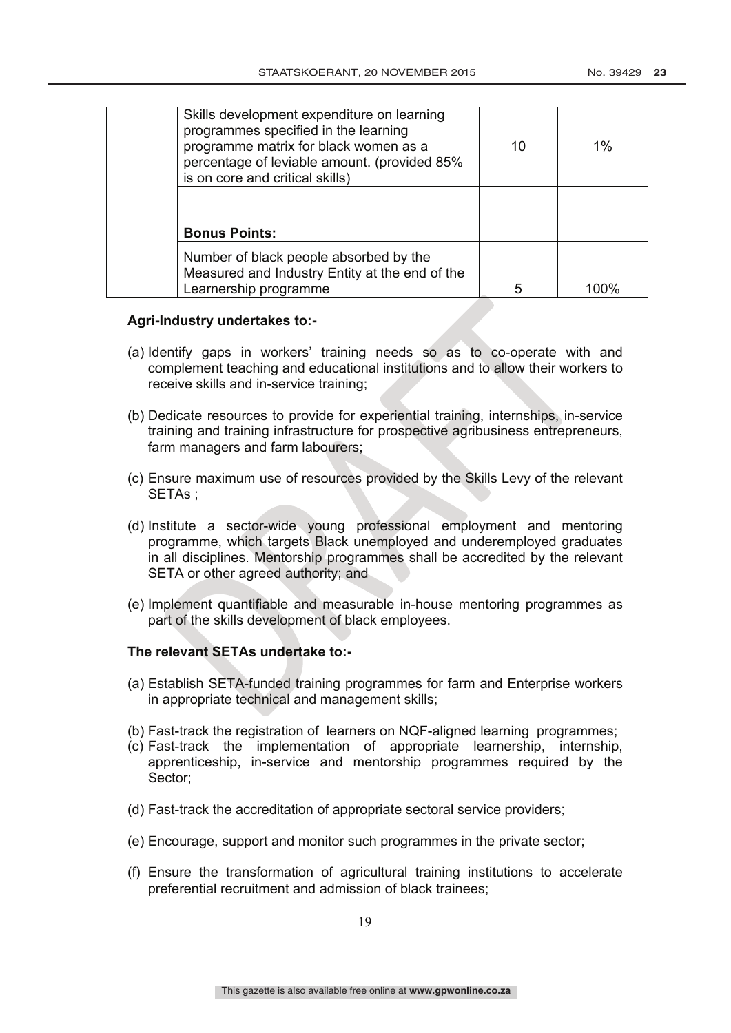| Skills development expenditure on learning<br>programmes specified in the learning<br>programme matrix for black women as a<br>percentage of leviable amount. (provided 85%<br>is on core and critical skills) | 10 | $1\%$ |
|----------------------------------------------------------------------------------------------------------------------------------------------------------------------------------------------------------------|----|-------|
| <b>Bonus Points:</b>                                                                                                                                                                                           |    |       |
| Number of black people absorbed by the<br>Measured and Industry Entity at the end of the<br>Learnership programme                                                                                              | 5  | 1በበ%  |

#### **Agri-Industry undertakes to:-**

- (a) Identify gaps in workers' training needs so as to co-operate with and complement teaching and educational institutions and to allow their workers to receive skills and in-service training;
- (b) Dedicate resources to provide for experiential training, internships, in-service training and training infrastructure for prospective agribusiness entrepreneurs, farm managers and farm labourers;
- (c) Ensure maximum use of resources provided by the Skills Levy of the relevant SETAs ;
- (d) Institute a sector-wide young professional employment and mentoring programme, which targets Black unemployed and underemployed graduates in all disciplines. Mentorship programmes shall be accredited by the relevant SETA or other agreed authority; and
- (e) Implement quantifiable and measurable in-house mentoring programmes as part of the skills development of black employees.

#### **The relevant SETAs undertake to:-**

- (a) Establish SETA-funded training programmes for farm and Enterprise workers in appropriate technical and management skills;
- (b) Fast-track the registration of learners on NQF-aligned learning programmes;
- (c) Fast-track the implementation of appropriate learnership, internship, apprenticeship, in-service and mentorship programmes required by the Sector;
- (d) Fast-track the accreditation of appropriate sectoral service providers;
- (e) Encourage, support and monitor such programmes in the private sector;
- (f) Ensure the transformation of agricultural training institutions to accelerate preferential recruitment and admission of black trainees;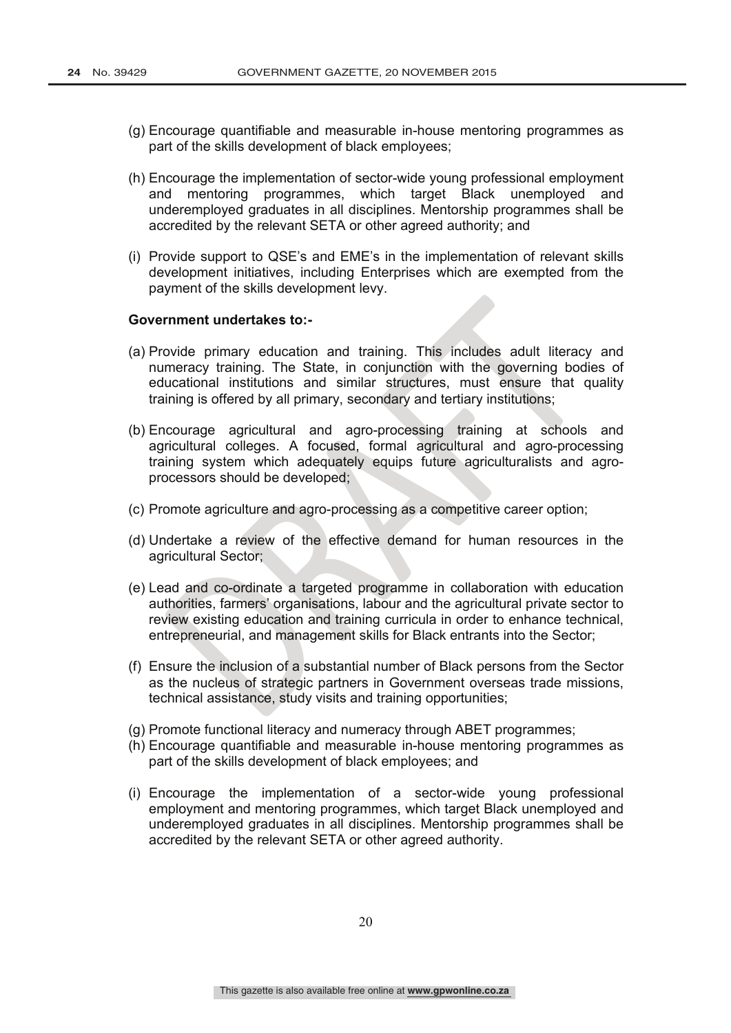- (g) Encourage quantifiable and measurable in-house mentoring programmes as part of the skills development of black employees;
- (h) Encourage the implementation of sector-wide young professional employment and mentoring programmes, which target Black unemployed and underemployed graduates in all disciplines. Mentorship programmes shall be accredited by the relevant SETA or other agreed authority; and
- (i) Provide support to QSE's and EME's in the implementation of relevant skills development initiatives, including Enterprises which are exempted from the payment of the skills development levy.

#### **Government undertakes to:-**

- (a) Provide primary education and training. This includes adult literacy and numeracy training. The State, in conjunction with the governing bodies of educational institutions and similar structures, must ensure that quality training is offered by all primary, secondary and tertiary institutions;
- (b) Encourage agricultural and agro-processing training at schools and agricultural colleges. A focused, formal agricultural and agro-processing training system which adequately equips future agriculturalists and agroprocessors should be developed;
- (c) Promote agriculture and agro-processing as a competitive career option;
- (d) Undertake a review of the effective demand for human resources in the agricultural Sector;
- (e) Lead and co-ordinate a targeted programme in collaboration with education authorities, farmers' organisations, labour and the agricultural private sector to review existing education and training curricula in order to enhance technical, entrepreneurial, and management skills for Black entrants into the Sector;
- (f) Ensure the inclusion of a substantial number of Black persons from the Sector as the nucleus of strategic partners in Government overseas trade missions, technical assistance, study visits and training opportunities;
- (g) Promote functional literacy and numeracy through ABET programmes;
- (h) Encourage quantifiable and measurable in-house mentoring programmes as part of the skills development of black employees; and
- (i) Encourage the implementation of a sector-wide young professional employment and mentoring programmes, which target Black unemployed and underemployed graduates in all disciplines. Mentorship programmes shall be accredited by the relevant SETA or other agreed authority.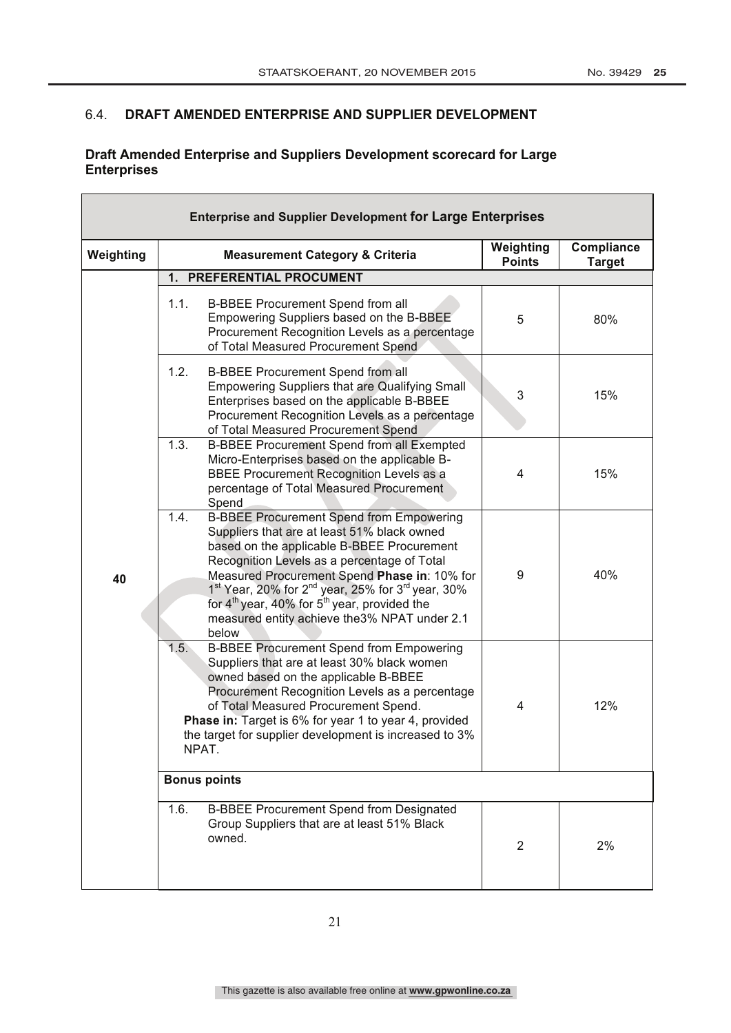$\overline{\mathbf{1}}$ 

# 6.4. **DRAFT AMENDED ENTERPRISE AND SUPPLIER DEVELOPMENT**

 $\mathbf{r}$ 

# **Draft Amended Enterprise and Suppliers Development scorecard for Large Enterprises**

|           | <b>Enterprise and Supplier Development for Large Enterprises</b>                                                                                                                                                                                                                                                                                                                                                                                           |                            |                             |
|-----------|------------------------------------------------------------------------------------------------------------------------------------------------------------------------------------------------------------------------------------------------------------------------------------------------------------------------------------------------------------------------------------------------------------------------------------------------------------|----------------------------|-----------------------------|
| Weighting | <b>Measurement Category &amp; Criteria</b>                                                                                                                                                                                                                                                                                                                                                                                                                 | Weighting<br><b>Points</b> | Compliance<br><b>Target</b> |
|           | PREFERENTIAL PROCUMENT<br>1.                                                                                                                                                                                                                                                                                                                                                                                                                               |                            |                             |
|           | 1.1.<br>B-BBEE Procurement Spend from all<br>Empowering Suppliers based on the B-BBEE<br>Procurement Recognition Levels as a percentage<br>of Total Measured Procurement Spend                                                                                                                                                                                                                                                                             | 5                          | 80%                         |
|           | 1.2.<br>B-BBEE Procurement Spend from all<br>Empowering Suppliers that are Qualifying Small<br>Enterprises based on the applicable B-BBEE<br>Procurement Recognition Levels as a percentage<br>of Total Measured Procurement Spend                                                                                                                                                                                                                         | 3                          | 15%                         |
|           | 1.3.<br>B-BBEE Procurement Spend from all Exempted<br>Micro-Enterprises based on the applicable B-<br>BBEE Procurement Recognition Levels as a<br>percentage of Total Measured Procurement<br>Spend                                                                                                                                                                                                                                                        | 4                          | 15%                         |
| 40        | 1.4.<br><b>B-BBEE Procurement Spend from Empowering</b><br>Suppliers that are at least 51% black owned<br>based on the applicable B-BBEE Procurement<br>Recognition Levels as a percentage of Total<br>Measured Procurement Spend Phase in: 10% for<br>1 <sup>st</sup> Year, 20% for 2 <sup>nd</sup> year, 25% for 3 <sup>rd</sup> year, 30%<br>for $4th$ year, 40% for $5th$ year, provided the<br>measured entity achieve the 3% NPAT under 2.1<br>below | 9                          | 40%                         |
|           | <b>B-BBEE Procurement Spend from Empowering</b><br>1.5.<br>Suppliers that are at least 30% black women<br>owned based on the applicable B-BBEE<br>Procurement Recognition Levels as a percentage<br>of Total Measured Procurement Spend.<br>Phase in: Target is 6% for year 1 to year 4, provided<br>the target for supplier development is increased to 3%<br>NPAT.                                                                                       | 4                          | 12%                         |
|           | <b>Bonus points</b>                                                                                                                                                                                                                                                                                                                                                                                                                                        |                            |                             |
|           | <b>B-BBEE Procurement Spend from Designated</b><br>1.6.<br>Group Suppliers that are at least 51% Black<br>owned.                                                                                                                                                                                                                                                                                                                                           | $\overline{2}$             | 2%                          |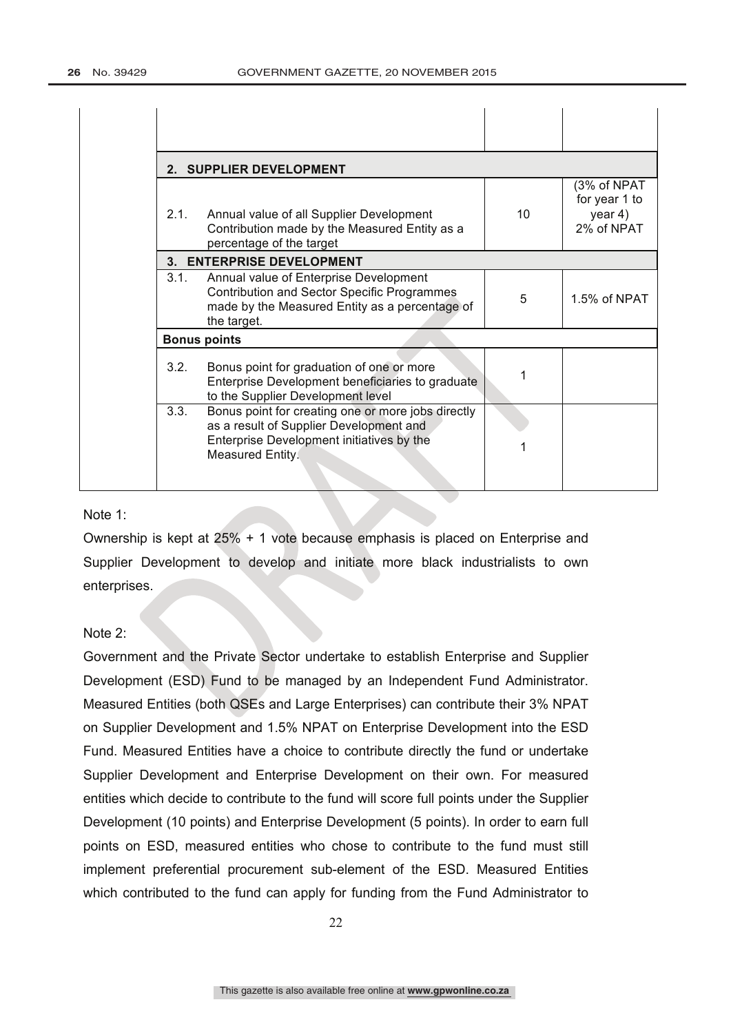|      | 2. SUPPLIER DEVELOPMENT                                                                                                                                        |                 |                                                       |
|------|----------------------------------------------------------------------------------------------------------------------------------------------------------------|-----------------|-------------------------------------------------------|
| 2.1. | Annual value of all Supplier Development<br>Contribution made by the Measured Entity as a<br>percentage of the target                                          | 10 <sup>1</sup> | (3% of NPAT<br>for year 1 to<br>year 4)<br>2% of NPAT |
|      | 3. ENTERPRISE DEVELOPMENT                                                                                                                                      |                 |                                                       |
| 3.1. | Annual value of Enterprise Development<br><b>Contribution and Sector Specific Programmes</b><br>made by the Measured Entity as a percentage of<br>the target.  | 5               | 1.5% of NPAT                                          |
|      | <b>Bonus points</b>                                                                                                                                            |                 |                                                       |
| 3.2. | Bonus point for graduation of one or more<br>Enterprise Development beneficiaries to graduate<br>to the Supplier Development level                             |                 |                                                       |
| 3.3. | Bonus point for creating one or more jobs directly<br>as a result of Supplier Development and<br>Enterprise Development initiatives by the<br>Measured Entity. |                 |                                                       |

#### Note 1:

Ownership is kept at 25% + 1 vote because emphasis is placed on Enterprise and Supplier Development to develop and initiate more black industrialists to own enterprises.

#### Note 2:

Government and the Private Sector undertake to establish Enterprise and Supplier Development (ESD) Fund to be managed by an Independent Fund Administrator. Measured Entities (both QSEs and Large Enterprises) can contribute their 3% NPAT on Supplier Development and 1.5% NPAT on Enterprise Development into the ESD Fund. Measured Entities have a choice to contribute directly the fund or undertake Supplier Development and Enterprise Development on their own. For measured entities which decide to contribute to the fund will score full points under the Supplier Development (10 points) and Enterprise Development (5 points). In order to earn full points on ESD, measured entities who chose to contribute to the fund must still implement preferential procurement sub-element of the ESD. Measured Entities which contributed to the fund can apply for funding from the Fund Administrator to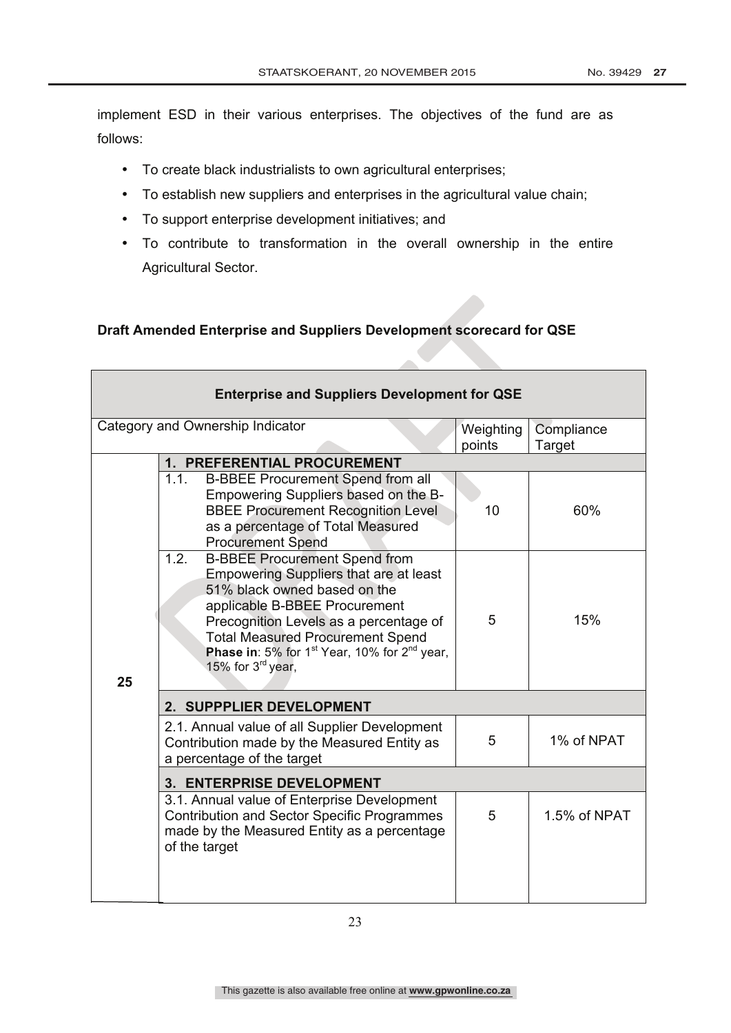implement ESD in their various enterprises. The objectives of the fund are as follows:

- To create black industrialists to own agricultural enterprises;
- To establish new suppliers and enterprises in the agricultural value chain;
- To support enterprise development initiatives; and
- To contribute to transformation in the overall ownership in the entire Agricultural Sector.

# **Draft Amended Enterprise and Suppliers Development scorecard for QSE**

|    | <b>Enterprise and Suppliers Development for QSE</b>                                                                                                                                                                                                                                                                                                          |                     |                      |
|----|--------------------------------------------------------------------------------------------------------------------------------------------------------------------------------------------------------------------------------------------------------------------------------------------------------------------------------------------------------------|---------------------|----------------------|
|    | Category and Ownership Indicator                                                                                                                                                                                                                                                                                                                             | Weighting<br>points | Compliance<br>Target |
|    | <b>1. PREFERENTIAL PROCUREMENT</b>                                                                                                                                                                                                                                                                                                                           |                     |                      |
|    | 1.1.<br><b>B-BBEE Procurement Spend from all</b><br>Empowering Suppliers based on the B-<br><b>BBEE Procurement Recognition Level</b><br>as a percentage of Total Measured<br><b>Procurement Spend</b>                                                                                                                                                       | 10                  | 60%                  |
| 25 | 1.2.<br><b>B-BBEE Procurement Spend from</b><br><b>Empowering Suppliers that are at least</b><br>51% black owned based on the<br>applicable B-BBEE Procurement<br>Precognition Levels as a percentage of<br><b>Total Measured Procurement Spend</b><br><b>Phase in:</b> 5% for 1 <sup>st</sup> Year, 10% for $2^{nd}$ year,<br>15% for 3 <sup>rd</sup> year, | 5                   | 15%                  |
|    | 2. SUPPPLIER DEVELOPMENT                                                                                                                                                                                                                                                                                                                                     |                     |                      |
|    | 2.1. Annual value of all Supplier Development<br>Contribution made by the Measured Entity as<br>a percentage of the target                                                                                                                                                                                                                                   | 5                   | 1% of NPAT           |
|    | 3. ENTERPRISE DEVELOPMENT                                                                                                                                                                                                                                                                                                                                    |                     |                      |
|    | 3.1. Annual value of Enterprise Development<br><b>Contribution and Sector Specific Programmes</b><br>made by the Measured Entity as a percentage<br>of the target                                                                                                                                                                                            | 5                   | 1.5% of NPAT         |
|    |                                                                                                                                                                                                                                                                                                                                                              |                     |                      |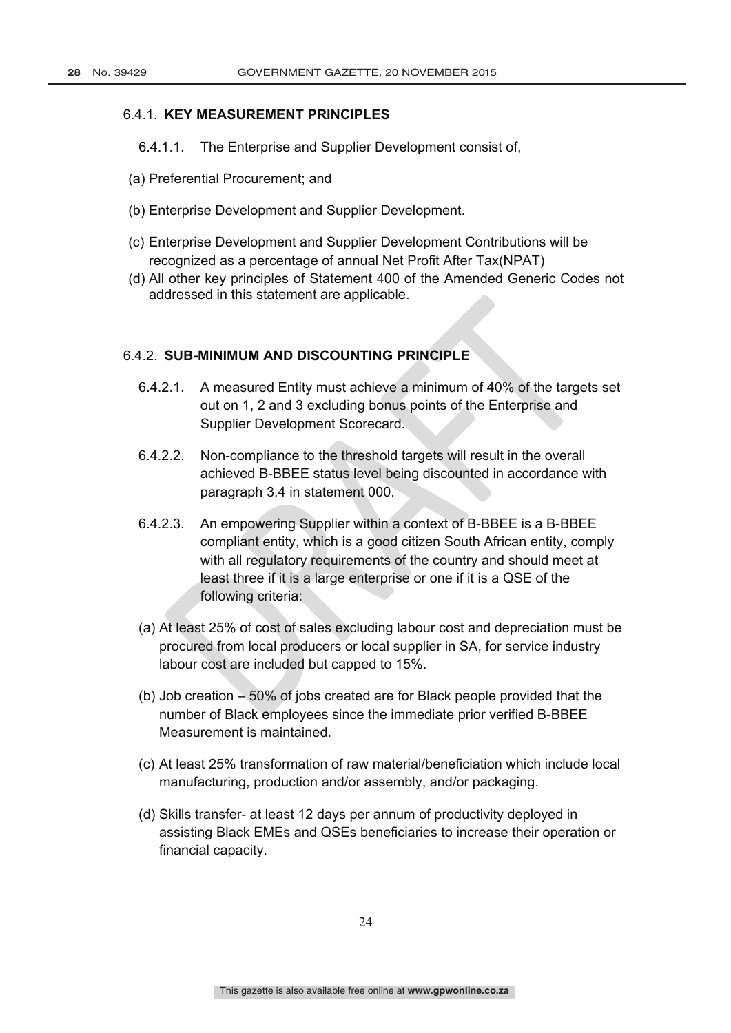#### 6.4.1. **KEY MEASUREMENT PRINCIPLES**

- 6.4.1.1. The Enterprise and Supplier Development consist of,
- (a) Preferential Procurement; and
- (b) Enterprise Development and Supplier Development.
- (c) Enterprise Development and Supplier Development Contributions will be recognized as a percentage of annual Net Profit After Tax(NPAT)
- (d) All other key principles of Statement 400 of the Amended Generic Codes not addressed in this statement are applicable.

#### 6.4.2. **SUB-MINIMUM AND DISCOUNTING PRINCIPLE**

- 6.4.2.1. A measured Entity must achieve a minimum of 40% of the targets set out on 1, 2 and 3 excluding bonus points of the Enterprise and Supplier Development Scorecard.
- 6.4.2.2. Non-compliance to the threshold targets will result in the overall achieved B-BBEE status level being discounted in accordance with paragraph 3.4 in statement 000.
- 6.4.2.3. An empowering Supplier within a context of B-BBEE is a B-BBEE compliant entity, which is a good citizen South African entity, comply with all regulatory requirements of the country and should meet at least three if it is a large enterprise or one if it is a QSE of the following criteria:
- (a) At least 25% of cost of sales excluding labour cost and depreciation must be procured from local producers or local supplier in SA, for service industry labour cost are included but capped to 15%.
- (b) Job creation 50% of jobs created are for Black people provided that the number of Black employees since the immediate prior verified B-BBEE Measurement is maintained.
- (c) At least 25% transformation of raw material/beneficiation which include local manufacturing, production and/or assembly, and/or packaging.
- (d) Skills transfer- at least 12 days per annum of productivity deployed in assisting Black EMEs and QSEs beneficiaries to increase their operation or financial capacity.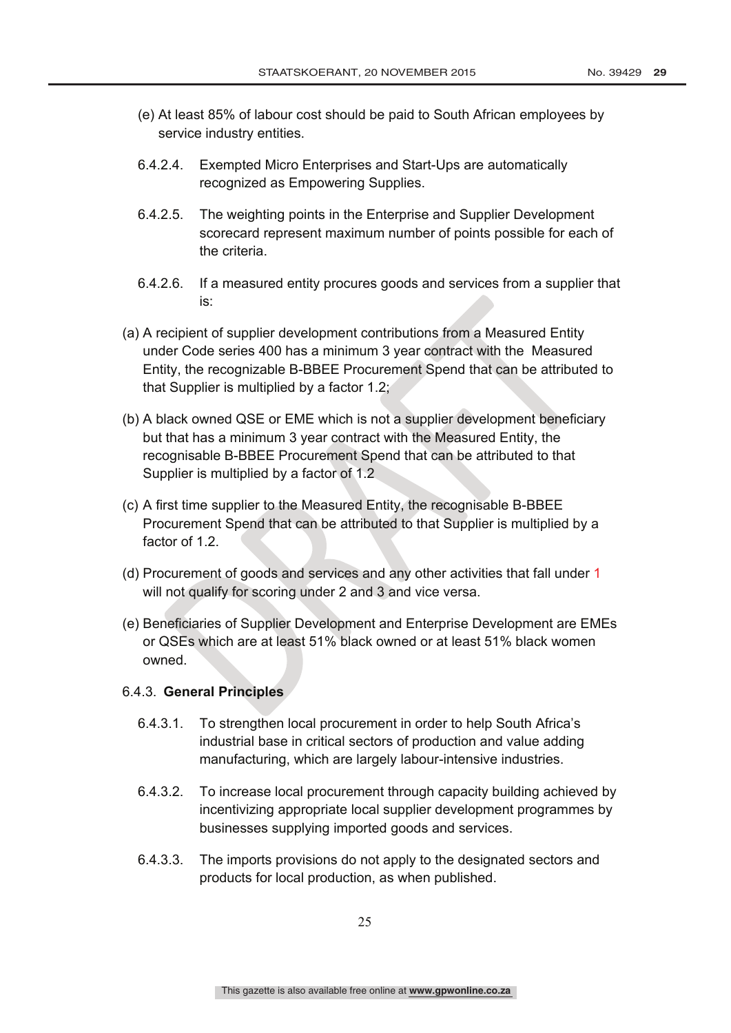- (e) At least 85% of labour cost should be paid to South African employees by service industry entities.
- 6.4.2.4. Exempted Micro Enterprises and Start-Ups are automatically recognized as Empowering Supplies.
- 6.4.2.5. The weighting points in the Enterprise and Supplier Development scorecard represent maximum number of points possible for each of the criteria.
- 6.4.2.6. If a measured entity procures goods and services from a supplier that is:
- (a) A recipient of supplier development contributions from a Measured Entity under Code series 400 has a minimum 3 year contract with the Measured Entity, the recognizable B-BBEE Procurement Spend that can be attributed to that Supplier is multiplied by a factor 1.2;
- (b) A black owned QSE or EME which is not a supplier development beneficiary but that has a minimum 3 year contract with the Measured Entity, the recognisable B-BBEE Procurement Spend that can be attributed to that Supplier is multiplied by a factor of 1.2
- (c) A first time supplier to the Measured Entity, the recognisable B-BBEE Procurement Spend that can be attributed to that Supplier is multiplied by a factor of 1.2.
- (d) Procurement of goods and services and any other activities that fall under 1 will not qualify for scoring under 2 and 3 and vice versa.
- (e) Beneficiaries of Supplier Development and Enterprise Development are EMEs or QSEs which are at least 51% black owned or at least 51% black women owned.

### 6.4.3. **General Principles**

- 6.4.3.1. To strengthen local procurement in order to help South Africa's industrial base in critical sectors of production and value adding manufacturing, which are largely labour-intensive industries.
- 6.4.3.2. To increase local procurement through capacity building achieved by incentivizing appropriate local supplier development programmes by businesses supplying imported goods and services.
- 6.4.3.3. The imports provisions do not apply to the designated sectors and products for local production, as when published.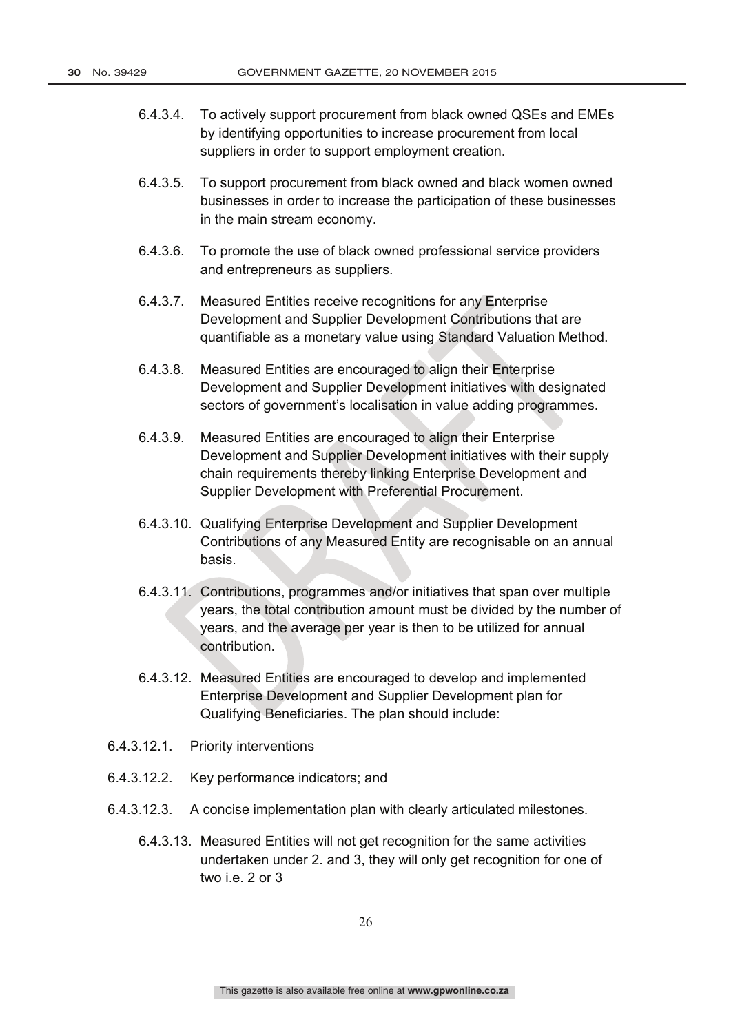- 6.4.3.4. To actively support procurement from black owned QSEs and EMEs by identifying opportunities to increase procurement from local suppliers in order to support employment creation.
- 6.4.3.5. To support procurement from black owned and black women owned businesses in order to increase the participation of these businesses in the main stream economy.
- 6.4.3.6. To promote the use of black owned professional service providers and entrepreneurs as suppliers.
- 6.4.3.7. Measured Entities receive recognitions for any Enterprise Development and Supplier Development Contributions that are quantifiable as a monetary value using Standard Valuation Method.
- 6.4.3.8. Measured Entities are encouraged to align their Enterprise Development and Supplier Development initiatives with designated sectors of government's localisation in value adding programmes.
- 6.4.3.9. Measured Entities are encouraged to align their Enterprise Development and Supplier Development initiatives with their supply chain requirements thereby linking Enterprise Development and Supplier Development with Preferential Procurement.
- 6.4.3.10. Qualifying Enterprise Development and Supplier Development Contributions of any Measured Entity are recognisable on an annual basis.
- 6.4.3.11. Contributions, programmes and/or initiatives that span over multiple years, the total contribution amount must be divided by the number of years, and the average per year is then to be utilized for annual contribution.
- 6.4.3.12. Measured Entities are encouraged to develop and implemented Enterprise Development and Supplier Development plan for Qualifying Beneficiaries. The plan should include:
- 6.4.3.12.1. Priority interventions
- 6.4.3.12.2. Key performance indicators; and
- 6.4.3.12.3. A concise implementation plan with clearly articulated milestones.
	- 6.4.3.13. Measured Entities will not get recognition for the same activities undertaken under 2. and 3, they will only get recognition for one of two i.e. 2 or 3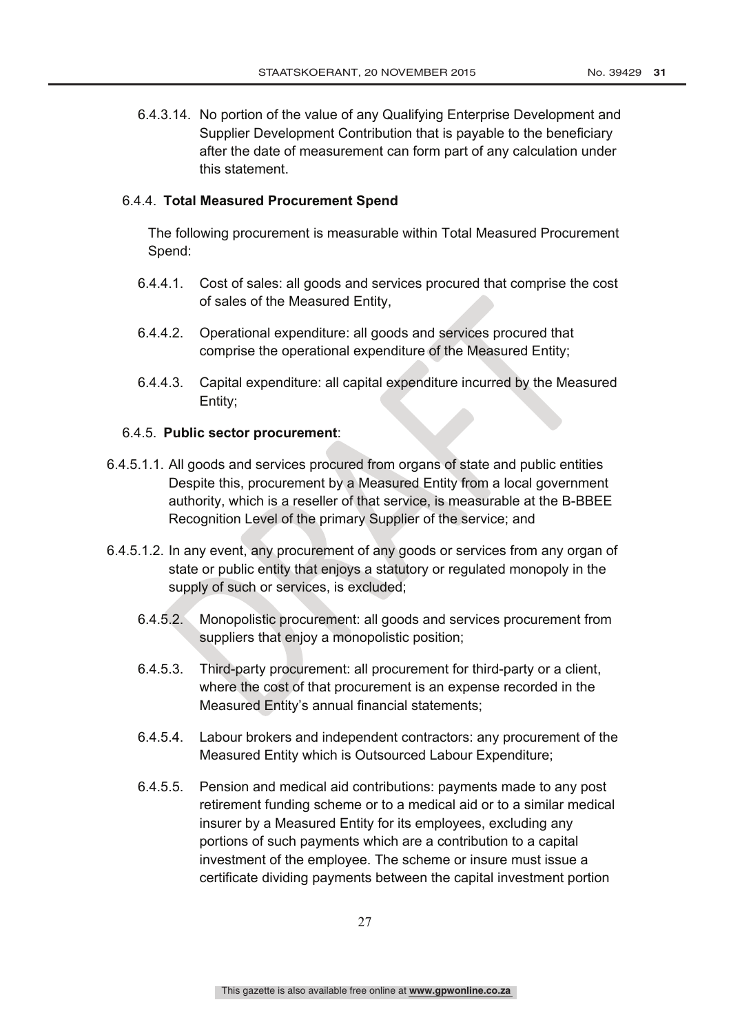6.4.3.14. No portion of the value of any Qualifying Enterprise Development and Supplier Development Contribution that is payable to the beneficiary after the date of measurement can form part of any calculation under this statement.

#### 6.4.4. **Total Measured Procurement Spend**

The following procurement is measurable within Total Measured Procurement Spend:

- 6.4.4.1. Cost of sales: all goods and services procured that comprise the cost of sales of the Measured Entity,
- 6.4.4.2. Operational expenditure: all goods and services procured that comprise the operational expenditure of the Measured Entity;
- 6.4.4.3. Capital expenditure: all capital expenditure incurred by the Measured Entity;

#### 6.4.5. **Public sector procurement**:

- 6.4.5.1.1. All goods and services procured from organs of state and public entities Despite this, procurement by a Measured Entity from a local government authority, which is a reseller of that service, is measurable at the B-BBEE Recognition Level of the primary Supplier of the service; and
- 6.4.5.1.2. In any event, any procurement of any goods or services from any organ of state or public entity that enjoys a statutory or regulated monopoly in the supply of such or services, is excluded;
	- 6.4.5.2. Monopolistic procurement: all goods and services procurement from suppliers that enjoy a monopolistic position;
	- 6.4.5.3. Third-party procurement: all procurement for third-party or a client, where the cost of that procurement is an expense recorded in the Measured Entity's annual financial statements;
	- 6.4.5.4. Labour brokers and independent contractors: any procurement of the Measured Entity which is Outsourced Labour Expenditure;
	- 6.4.5.5. Pension and medical aid contributions: payments made to any post retirement funding scheme or to a medical aid or to a similar medical insurer by a Measured Entity for its employees, excluding any portions of such payments which are a contribution to a capital investment of the employee. The scheme or insure must issue a certificate dividing payments between the capital investment portion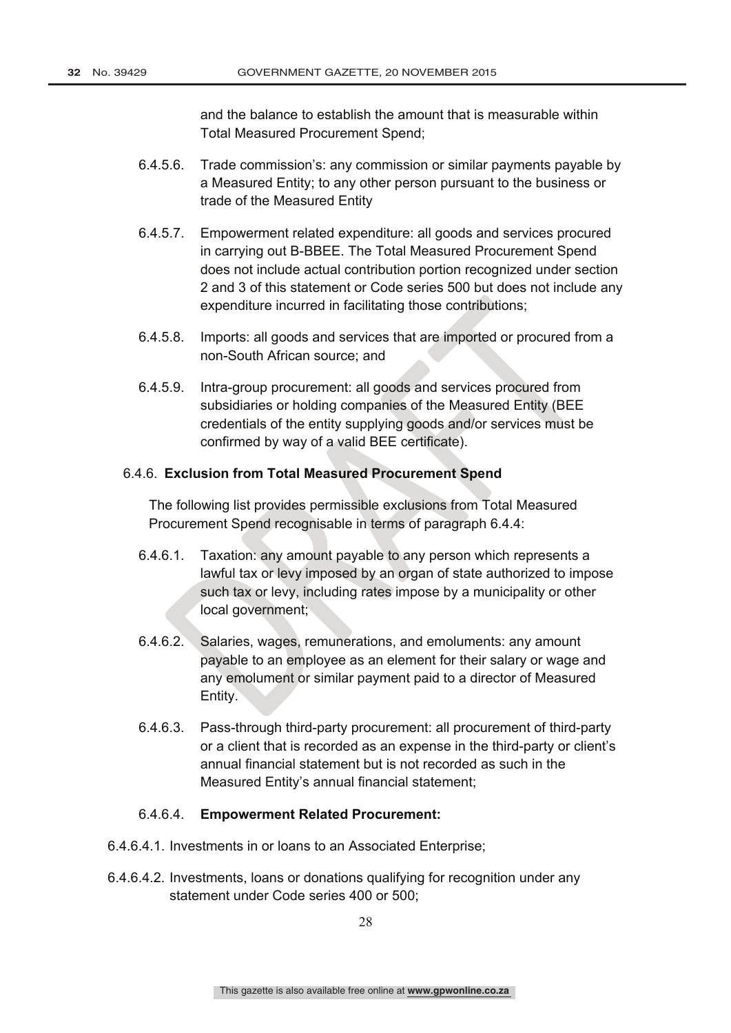and the balance to establish the amount that is measurable within Total Measured Procurement Spend;

- 6.4.5.6. Trade commission's: any commission or similar payments payable by a Measured Entity; to any other person pursuant to the business or trade of the Measured Entity
- 6.4.5.7. Empowerment related expenditure: all goods and services procured in carrying out B-BBEE. The Total Measured Procurement Spend does not include actual contribution portion recognized under section 2 and 3 of this statement or Code series 500 but does not include any expenditure incurred in facilitating those contributions;
- 6.4.5.8. Imports: all goods and services that are imported or procured from a non-South African source; and
- 6.4.5.9. Intra-group procurement: all goods and services procured from subsidiaries or holding companies of the Measured Entity (BEE credentials of the entity supplying goods and/or services must be confirmed by way of a valid BEE certificate).

#### 6.4.6. **Exclusion from Total Measured Procurement Spend**

The following list provides permissible exclusions from Total Measured Procurement Spend recognisable in terms of paragraph 6.4.4:

- 6.4.6.1. Taxation: any amount payable to any person which represents a lawful tax or levy imposed by an organ of state authorized to impose such tax or levy, including rates impose by a municipality or other local government;
- 6.4.6.2. Salaries, wages, remunerations, and emoluments: any amount payable to an employee as an element for their salary or wage and any emolument or similar payment paid to a director of Measured Entity.
- 6.4.6.3. Pass-through third-party procurement: all procurement of third-party or a client that is recorded as an expense in the third-party or client's annual financial statement but is not recorded as such in the Measured Entity's annual financial statement;

#### 6.4.6.4. **Empowerment Related Procurement:**

- 6.4.6.4.1. Investments in or loans to an Associated Enterprise;
- 6.4.6.4.2. Investments, loans or donations qualifying for recognition under any statement under Code series 400 or 500;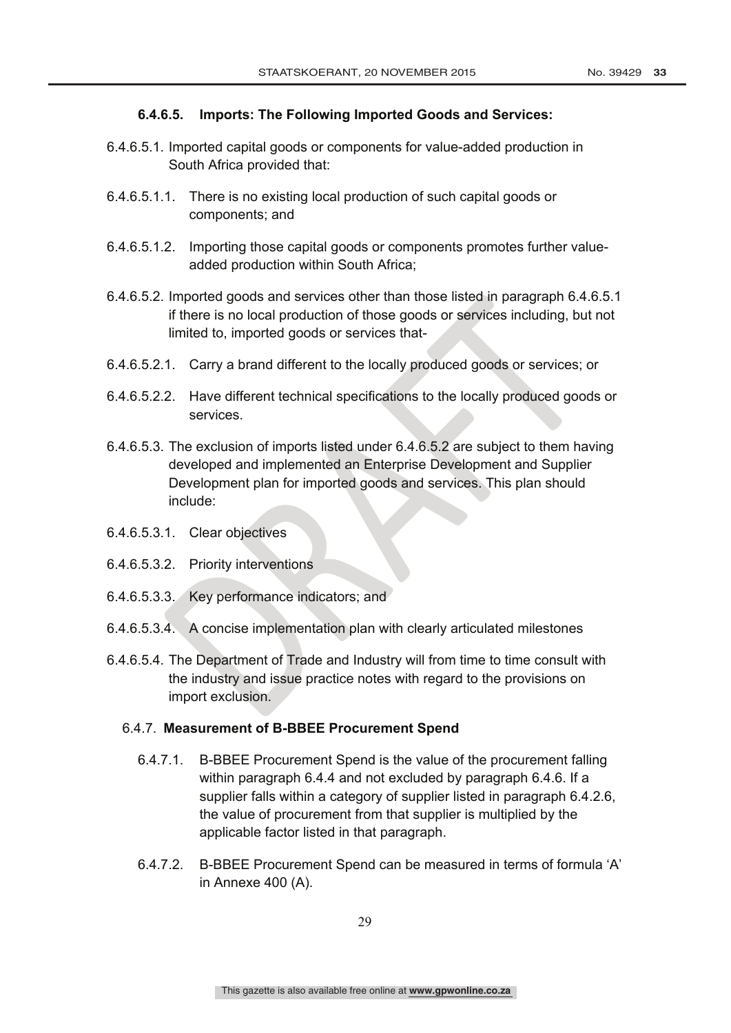### **6.4.6.5. Imports: The Following Imported Goods and Services:**

- 6.4.6.5.1. Imported capital goods or components for value-added production in South Africa provided that:
- 6.4.6.5.1.1. There is no existing local production of such capital goods or components; and
- 6.4.6.5.1.2. Importing those capital goods or components promotes further valueadded production within South Africa;
- 6.4.6.5.2. Imported goods and services other than those listed in paragraph 6.4.6.5.1 if there is no local production of those goods or services including, but not limited to, imported goods or services that-
- 6.4.6.5.2.1. Carry a brand different to the locally produced goods or services; or
- 6.4.6.5.2.2. Have different technical specifications to the locally produced goods or services.
- 6.4.6.5.3. The exclusion of imports listed under 6.4.6.5.2 are subject to them having developed and implemented an Enterprise Development and Supplier Development plan for imported goods and services. This plan should include:
- 6.4.6.5.3.1. Clear objectives
- 6.4.6.5.3.2. Priority interventions
- 6.4.6.5.3.3. Key performance indicators; and
- 6.4.6.5.3.4. A concise implementation plan with clearly articulated milestones
- 6.4.6.5.4. The Department of Trade and Industry will from time to time consult with the industry and issue practice notes with regard to the provisions on import exclusion.

#### 6.4.7. **Measurement of B-BBEE Procurement Spend**

- 6.4.7.1. B-BBEE Procurement Spend is the value of the procurement falling within paragraph 6.4.4 and not excluded by paragraph 6.4.6. If a supplier falls within a category of supplier listed in paragraph 6.4.2.6, the value of procurement from that supplier is multiplied by the applicable factor listed in that paragraph.
- 6.4.7.2. B-BBEE Procurement Spend can be measured in terms of formula 'A' in Annexe 400 (A).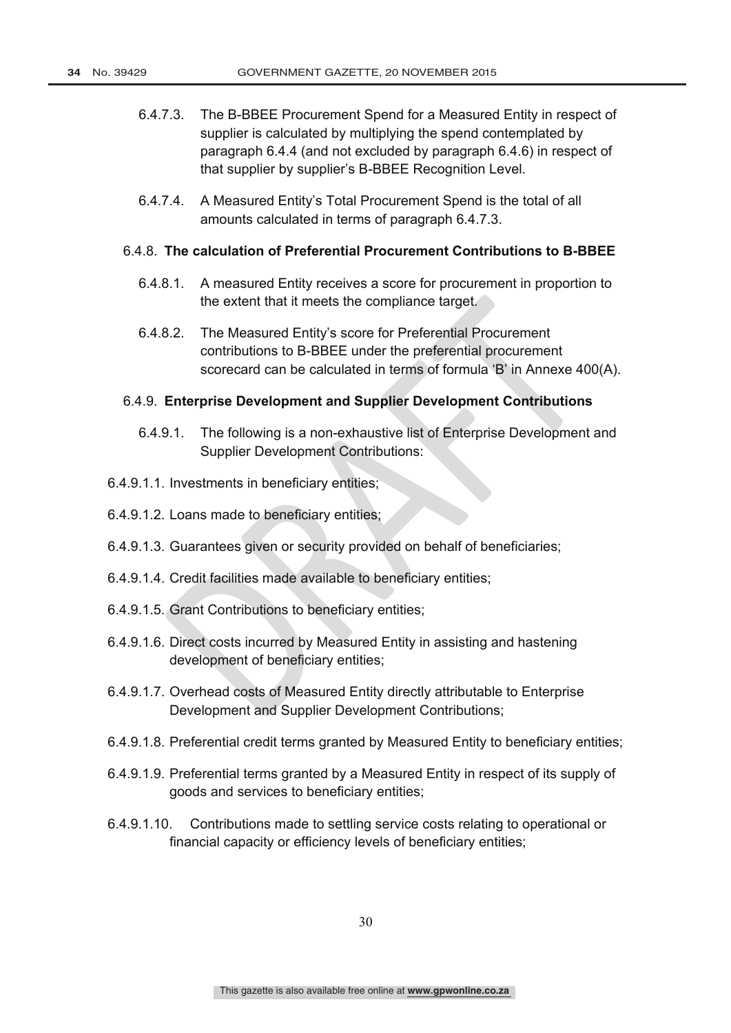- 6.4.7.3. The B-BBEE Procurement Spend for a Measured Entity in respect of supplier is calculated by multiplying the spend contemplated by paragraph 6.4.4 (and not excluded by paragraph 6.4.6) in respect of that supplier by supplier's B-BBEE Recognition Level.
- 6.4.7.4. A Measured Entity's Total Procurement Spend is the total of all amounts calculated in terms of paragraph 6.4.7.3.

#### 6.4.8. **The calculation of Preferential Procurement Contributions to B-BBEE**

- 6.4.8.1. A measured Entity receives a score for procurement in proportion to the extent that it meets the compliance target.
- 6.4.8.2. The Measured Entity's score for Preferential Procurement contributions to B-BBEE under the preferential procurement scorecard can be calculated in terms of formula 'B' in Annexe 400(A).

#### 6.4.9. **Enterprise Development and Supplier Development Contributions**

- 6.4.9.1. The following is a non-exhaustive list of Enterprise Development and Supplier Development Contributions:
- 6.4.9.1.1. Investments in beneficiary entities;
- 6.4.9.1.2. Loans made to beneficiary entities;
- 6.4.9.1.3. Guarantees given or security provided on behalf of beneficiaries;
- 6.4.9.1.4. Credit facilities made available to beneficiary entities;
- 6.4.9.1.5. Grant Contributions to beneficiary entities;
- 6.4.9.1.6. Direct costs incurred by Measured Entity in assisting and hastening development of beneficiary entities;
- 6.4.9.1.7. Overhead costs of Measured Entity directly attributable to Enterprise Development and Supplier Development Contributions;
- 6.4.9.1.8. Preferential credit terms granted by Measured Entity to beneficiary entities;
- 6.4.9.1.9. Preferential terms granted by a Measured Entity in respect of its supply of goods and services to beneficiary entities;
- 6.4.9.1.10. Contributions made to settling service costs relating to operational or financial capacity or efficiency levels of beneficiary entities;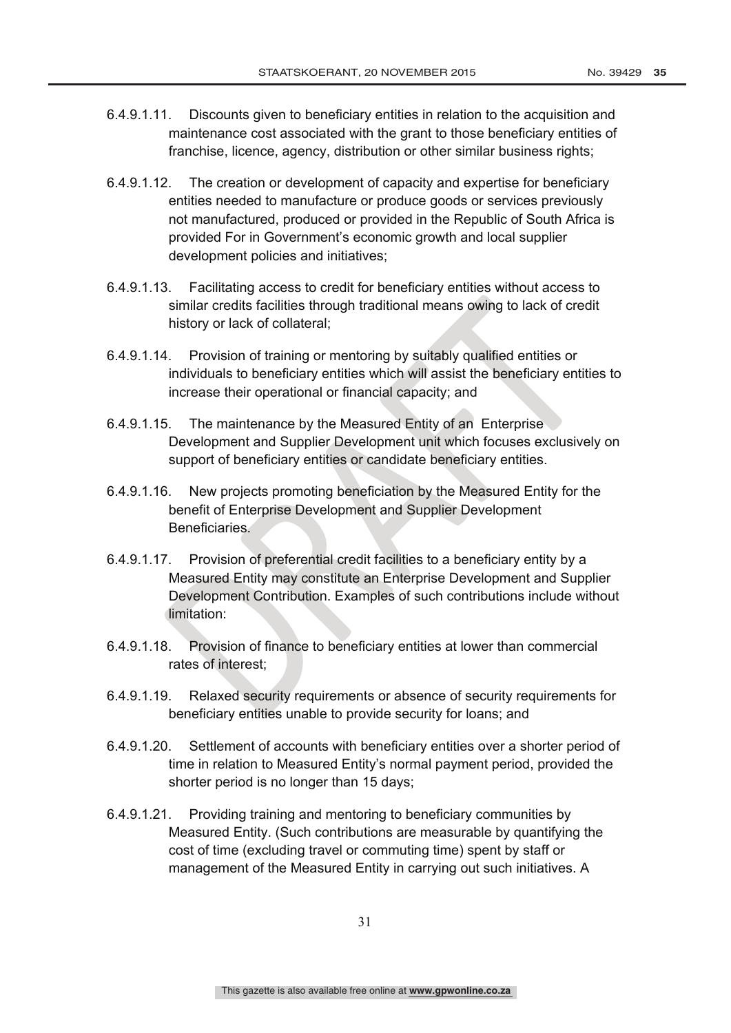- 6.4.9.1.11. Discounts given to beneficiary entities in relation to the acquisition and maintenance cost associated with the grant to those beneficiary entities of franchise, licence, agency, distribution or other similar business rights;
- 6.4.9.1.12. The creation or development of capacity and expertise for beneficiary entities needed to manufacture or produce goods or services previously not manufactured, produced or provided in the Republic of South Africa is provided For in Government's economic growth and local supplier development policies and initiatives;
- 6.4.9.1.13. Facilitating access to credit for beneficiary entities without access to similar credits facilities through traditional means owing to lack of credit history or lack of collateral;
- 6.4.9.1.14. Provision of training or mentoring by suitably qualified entities or individuals to beneficiary entities which will assist the beneficiary entities to increase their operational or financial capacity; and
- 6.4.9.1.15. The maintenance by the Measured Entity of an Enterprise Development and Supplier Development unit which focuses exclusively on support of beneficiary entities or candidate beneficiary entities.
- 6.4.9.1.16. New projects promoting beneficiation by the Measured Entity for the benefit of Enterprise Development and Supplier Development Beneficiaries.
- 6.4.9.1.17. Provision of preferential credit facilities to a beneficiary entity by a Measured Entity may constitute an Enterprise Development and Supplier Development Contribution. Examples of such contributions include without limitation:
- 6.4.9.1.18. Provision of finance to beneficiary entities at lower than commercial rates of interest;
- 6.4.9.1.19. Relaxed security requirements or absence of security requirements for beneficiary entities unable to provide security for loans; and
- 6.4.9.1.20. Settlement of accounts with beneficiary entities over a shorter period of time in relation to Measured Entity's normal payment period, provided the shorter period is no longer than 15 days;
- 6.4.9.1.21. Providing training and mentoring to beneficiary communities by Measured Entity. (Such contributions are measurable by quantifying the cost of time (excluding travel or commuting time) spent by staff or management of the Measured Entity in carrying out such initiatives. A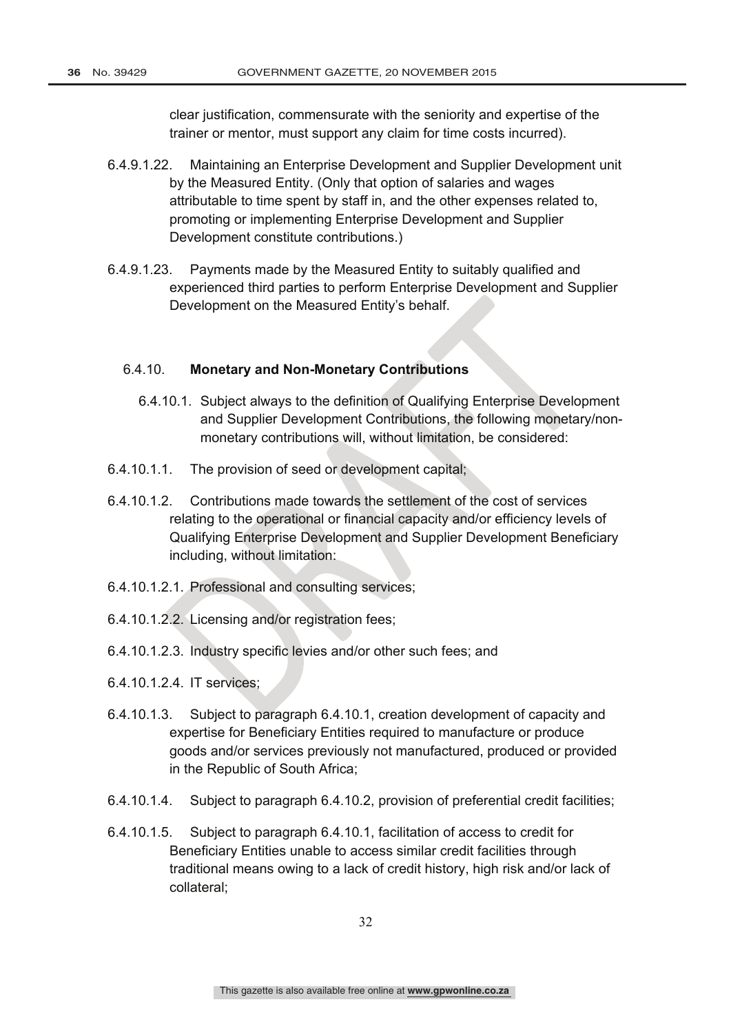clear justification, commensurate with the seniority and expertise of the trainer or mentor, must support any claim for time costs incurred).

- 6.4.9.1.22. Maintaining an Enterprise Development and Supplier Development unit by the Measured Entity. (Only that option of salaries and wages attributable to time spent by staff in, and the other expenses related to, promoting or implementing Enterprise Development and Supplier Development constitute contributions.)
- 6.4.9.1.23. Payments made by the Measured Entity to suitably qualified and experienced third parties to perform Enterprise Development and Supplier Development on the Measured Entity's behalf.

### 6.4.10. **Monetary and Non-Monetary Contributions**

- 6.4.10.1. Subject always to the definition of Qualifying Enterprise Development and Supplier Development Contributions, the following monetary/nonmonetary contributions will, without limitation, be considered:
- 6.4.10.1.1. The provision of seed or development capital;
- 6.4.10.1.2. Contributions made towards the settlement of the cost of services relating to the operational or financial capacity and/or efficiency levels of Qualifying Enterprise Development and Supplier Development Beneficiary including, without limitation:
- 6.4.10.1.2.1. Professional and consulting services;
- 6.4.10.1.2.2. Licensing and/or registration fees;
- 6.4.10.1.2.3. Industry specific levies and/or other such fees; and
- 6.4.10.1.2.4. IT services;
- 6.4.10.1.3. Subject to paragraph 6.4.10.1, creation development of capacity and expertise for Beneficiary Entities required to manufacture or produce goods and/or services previously not manufactured, produced or provided in the Republic of South Africa;
- 6.4.10.1.4. Subject to paragraph 6.4.10.2, provision of preferential credit facilities;
- 6.4.10.1.5. Subject to paragraph 6.4.10.1, facilitation of access to credit for Beneficiary Entities unable to access similar credit facilities through traditional means owing to a lack of credit history, high risk and/or lack of collateral;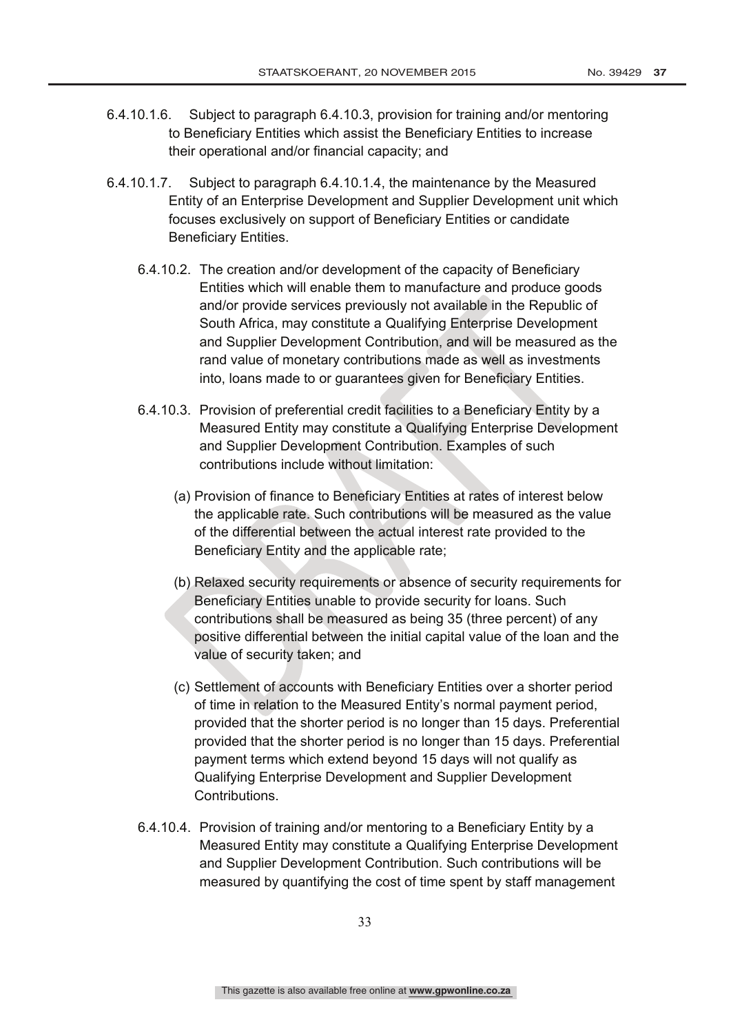- 6.4.10.1.6. Subject to paragraph 6.4.10.3, provision for training and/or mentoring to Beneficiary Entities which assist the Beneficiary Entities to increase their operational and/or financial capacity; and
- 6.4.10.1.7. Subject to paragraph 6.4.10.1.4, the maintenance by the Measured Entity of an Enterprise Development and Supplier Development unit which focuses exclusively on support of Beneficiary Entities or candidate Beneficiary Entities.
	- 6.4.10.2. The creation and/or development of the capacity of Beneficiary Entities which will enable them to manufacture and produce goods and/or provide services previously not available in the Republic of South Africa, may constitute a Qualifying Enterprise Development and Supplier Development Contribution, and will be measured as the rand value of monetary contributions made as well as investments into, loans made to or guarantees given for Beneficiary Entities.
	- 6.4.10.3. Provision of preferential credit facilities to a Beneficiary Entity by a Measured Entity may constitute a Qualifying Enterprise Development and Supplier Development Contribution. Examples of such contributions include without limitation:
		- (a) Provision of finance to Beneficiary Entities at rates of interest below the applicable rate. Such contributions will be measured as the value of the differential between the actual interest rate provided to the Beneficiary Entity and the applicable rate;
		- (b) Relaxed security requirements or absence of security requirements for Beneficiary Entities unable to provide security for loans. Such contributions shall be measured as being 35 (three percent) of any positive differential between the initial capital value of the loan and the value of security taken; and
		- (c) Settlement of accounts with Beneficiary Entities over a shorter period of time in relation to the Measured Entity's normal payment period, provided that the shorter period is no longer than 15 days. Preferential provided that the shorter period is no longer than 15 days. Preferential payment terms which extend beyond 15 days will not qualify as Qualifying Enterprise Development and Supplier Development Contributions.
	- 6.4.10.4. Provision of training and/or mentoring to a Beneficiary Entity by a Measured Entity may constitute a Qualifying Enterprise Development and Supplier Development Contribution. Such contributions will be measured by quantifying the cost of time spent by staff management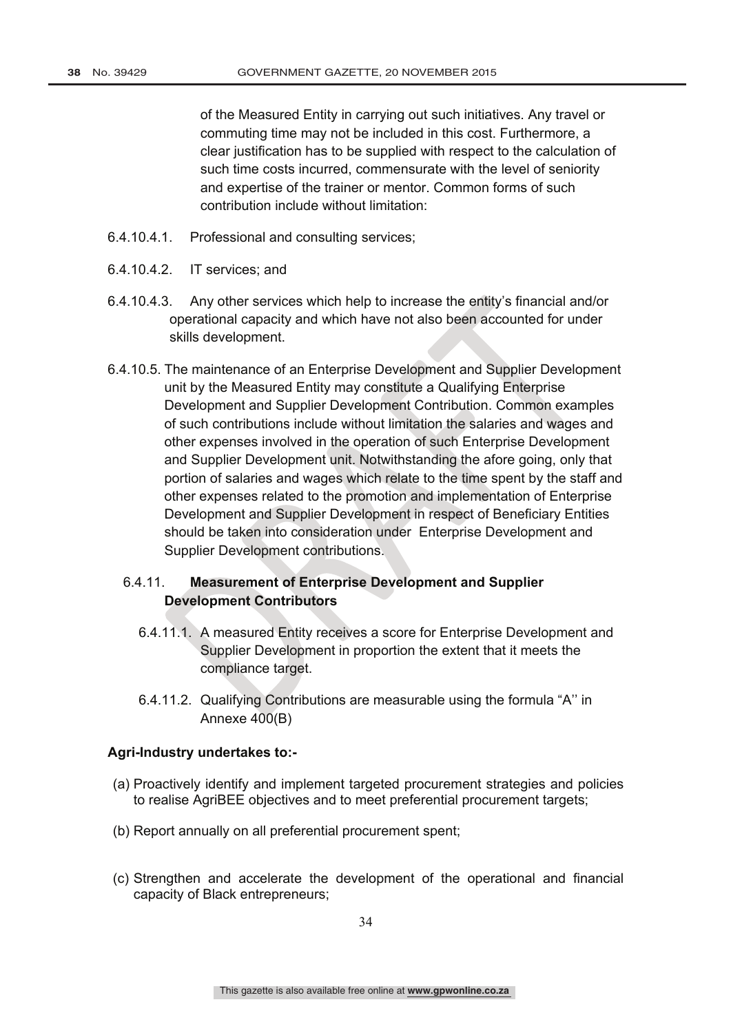of the Measured Entity in carrying out such initiatives. Any travel or commuting time may not be included in this cost. Furthermore, a clear justification has to be supplied with respect to the calculation of such time costs incurred, commensurate with the level of seniority and expertise of the trainer or mentor. Common forms of such contribution include without limitation:

- 6.4.10.4.1. Professional and consulting services;
- 6.4.10.4.2. IT services; and
- 6.4.10.4.3. Any other services which help to increase the entity's financial and/or operational capacity and which have not also been accounted for under skills development.
- 6.4.10.5. The maintenance of an Enterprise Development and Supplier Development unit by the Measured Entity may constitute a Qualifying Enterprise Development and Supplier Development Contribution. Common examples of such contributions include without limitation the salaries and wages and other expenses involved in the operation of such Enterprise Development and Supplier Development unit. Notwithstanding the afore going, only that portion of salaries and wages which relate to the time spent by the staff and other expenses related to the promotion and implementation of Enterprise Development and Supplier Development in respect of Beneficiary Entities should be taken into consideration under Enterprise Development and Supplier Development contributions.

# 6.4.11. **Measurement of Enterprise Development and Supplier Development Contributors**

- 6.4.11.1. A measured Entity receives a score for Enterprise Development and Supplier Development in proportion the extent that it meets the compliance target.
- 6.4.11.2. Qualifying Contributions are measurable using the formula "A'' in Annexe 400(B)

#### **Agri-Industry undertakes to:-**

- (a) Proactively identify and implement targeted procurement strategies and policies to realise AgriBEE objectives and to meet preferential procurement targets;
- (b) Report annually on all preferential procurement spent;
- (c) Strengthen and accelerate the development of the operational and financial capacity of Black entrepreneurs;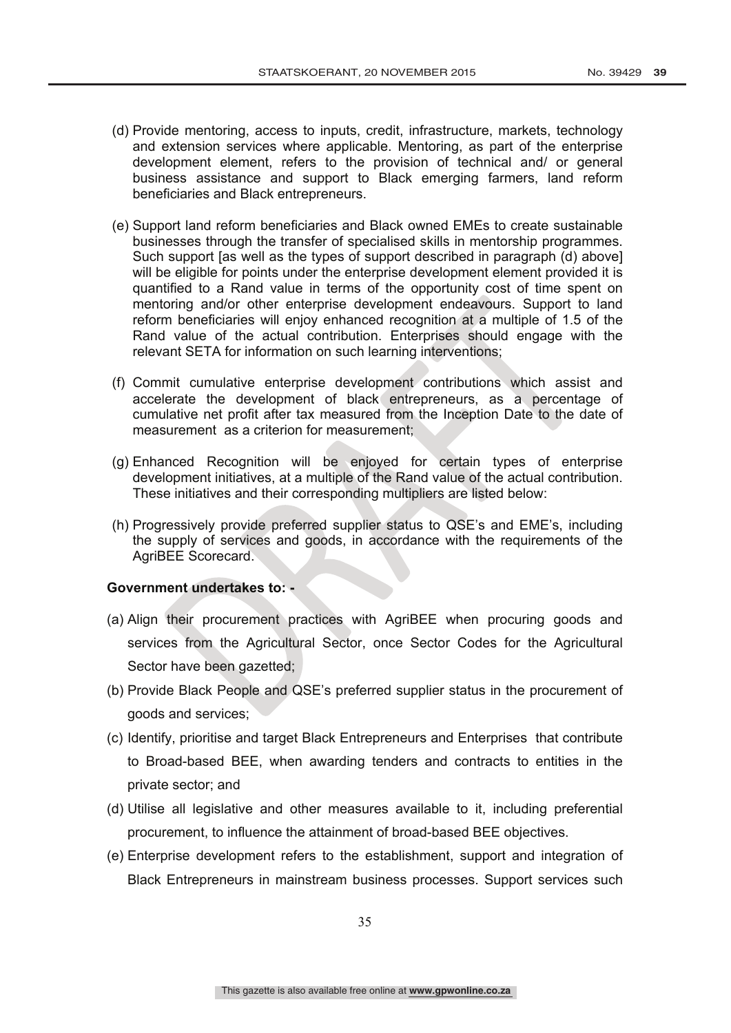- (d) Provide mentoring, access to inputs, credit, infrastructure, markets, technology and extension services where applicable. Mentoring, as part of the enterprise development element, refers to the provision of technical and/ or general business assistance and support to Black emerging farmers, land reform beneficiaries and Black entrepreneurs.
- (e) Support land reform beneficiaries and Black owned EMEs to create sustainable businesses through the transfer of specialised skills in mentorship programmes. Such support [as well as the types of support described in paragraph (d) above] will be eligible for points under the enterprise development element provided it is quantified to a Rand value in terms of the opportunity cost of time spent on mentoring and/or other enterprise development endeavours. Support to land reform beneficiaries will enjoy enhanced recognition at a multiple of 1.5 of the Rand value of the actual contribution. Enterprises should engage with the relevant SETA for information on such learning interventions;
- (f) Commit cumulative enterprise development contributions which assist and accelerate the development of black entrepreneurs, as a percentage of cumulative net profit after tax measured from the Inception Date to the date of measurement as a criterion for measurement;
- (g) Enhanced Recognition will be enjoyed for certain types of enterprise development initiatives, at a multiple of the Rand value of the actual contribution. These initiatives and their corresponding multipliers are listed below:
- (h) Progressively provide preferred supplier status to QSE's and EME's, including the supply of services and goods, in accordance with the requirements of the AgriBEE Scorecard.

### **Government undertakes to: -**

- (a) Align their procurement practices with AgriBEE when procuring goods and services from the Agricultural Sector, once Sector Codes for the Agricultural Sector have been gazetted;
- (b) Provide Black People and QSE's preferred supplier status in the procurement of goods and services;
- (c) Identify, prioritise and target Black Entrepreneurs and Enterprises that contribute to Broad-based BEE, when awarding tenders and contracts to entities in the private sector; and
- (d) Utilise all legislative and other measures available to it, including preferential procurement, to influence the attainment of broad-based BEE objectives.
- (e) Enterprise development refers to the establishment, support and integration of Black Entrepreneurs in mainstream business processes. Support services such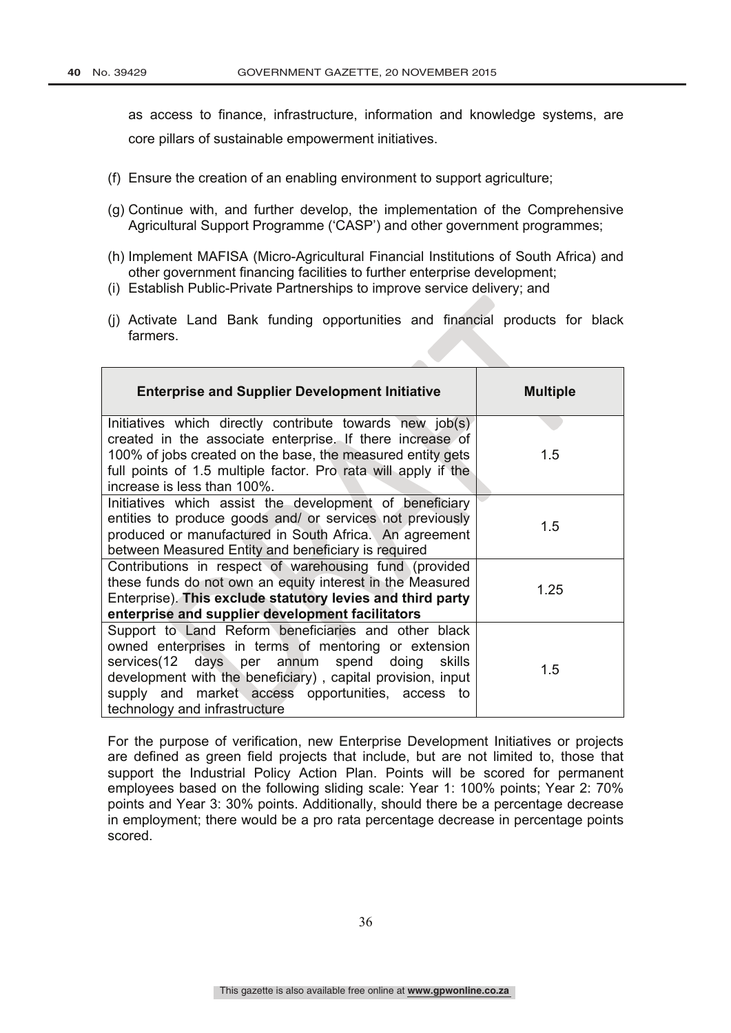as access to finance, infrastructure, information and knowledge systems, are core pillars of sustainable empowerment initiatives.

- (f) Ensure the creation of an enabling environment to support agriculture;
- (g) Continue with, and further develop, the implementation of the Comprehensive Agricultural Support Programme ('CASP') and other government programmes;
- (h) Implement MAFISA (Micro-Agricultural Financial Institutions of South Africa) and other government financing facilities to further enterprise development;
- (i) Establish Public-Private Partnerships to improve service delivery; and
- (j) Activate Land Bank funding opportunities and financial products for black farmers.

| <b>Enterprise and Supplier Development Initiative</b>                                                                                                                                                                                                                                                               | <b>Multiple</b> |
|---------------------------------------------------------------------------------------------------------------------------------------------------------------------------------------------------------------------------------------------------------------------------------------------------------------------|-----------------|
| Initiatives which directly contribute towards new job(s)<br>created in the associate enterprise. If there increase of<br>100% of jobs created on the base, the measured entity gets<br>full points of 1.5 multiple factor. Pro rata will apply if the                                                               | 1.5             |
| increase is less than 100%.                                                                                                                                                                                                                                                                                         |                 |
| Initiatives which assist the development of beneficiary<br>entities to produce goods and/ or services not previously<br>produced or manufactured in South Africa. An agreement<br>between Measured Entity and beneficiary is required                                                                               | 1.5             |
| Contributions in respect of warehousing fund (provided<br>these funds do not own an equity interest in the Measured<br>Enterprise). This exclude statutory levies and third party<br>enterprise and supplier development facilitators                                                                               | 1.25            |
| Support to Land Reform beneficiaries and other black<br>owned enterprises in terms of mentoring or extension<br>services (12 days per annum spend doing skills<br>development with the beneficiary), capital provision, input<br>supply and market access opportunities, access to<br>technology and infrastructure | 1.5             |

For the purpose of verification, new Enterprise Development Initiatives or projects are defined as green field projects that include, but are not limited to, those that support the Industrial Policy Action Plan. Points will be scored for permanent employees based on the following sliding scale: Year 1: 100% points; Year 2: 70% points and Year 3: 30% points. Additionally, should there be a percentage decrease in employment; there would be a pro rata percentage decrease in percentage points scored.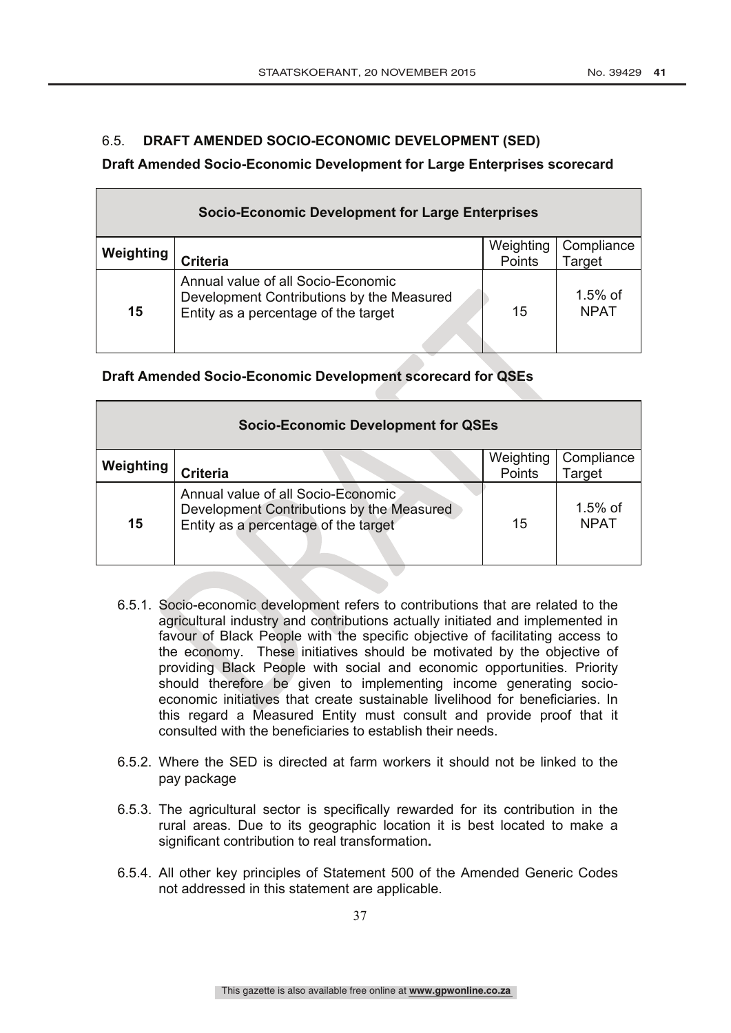# 6.5. **DRAFT AMENDED SOCIO-ECONOMIC DEVELOPMENT (SED)**

#### **Draft Amended Socio-Economic Development for Large Enterprises scorecard**

|           | <b>Socio-Economic Development for Large Enterprises</b>                                                                 |                     |                           |
|-----------|-------------------------------------------------------------------------------------------------------------------------|---------------------|---------------------------|
| Weighting | <b>Criteria</b>                                                                                                         | Weighting<br>Points | Compliance<br>Target      |
| 15        | Annual value of all Socio-Economic<br>Development Contributions by the Measured<br>Entity as a percentage of the target | 15                  | $1.5\%$ of<br><b>NPAT</b> |

# **Draft Amended Socio-Economic Development scorecard for QSEs**

|           | <b>Socio-Economic Development for QSEs</b>                                                                              |                     |                           |
|-----------|-------------------------------------------------------------------------------------------------------------------------|---------------------|---------------------------|
| Weighting | <b>Criteria</b>                                                                                                         | Weighting<br>Points | Compliance<br>Target      |
| 15        | Annual value of all Socio-Economic<br>Development Contributions by the Measured<br>Entity as a percentage of the target | 15                  | $1.5\%$ of<br><b>NPAT</b> |

- 6.5.1. Socio-economic development refers to contributions that are related to the agricultural industry and contributions actually initiated and implemented in favour of Black People with the specific objective of facilitating access to the economy. These initiatives should be motivated by the objective of providing Black People with social and economic opportunities. Priority should therefore be given to implementing income generating socioeconomic initiatives that create sustainable livelihood for beneficiaries. In this regard a Measured Entity must consult and provide proof that it consulted with the beneficiaries to establish their needs.
- 6.5.2. Where the SED is directed at farm workers it should not be linked to the pay package
- 6.5.3. The agricultural sector is specifically rewarded for its contribution in the rural areas. Due to its geographic location it is best located to make a significant contribution to real transformation**.**
- 6.5.4. All other key principles of Statement 500 of the Amended Generic Codes not addressed in this statement are applicable.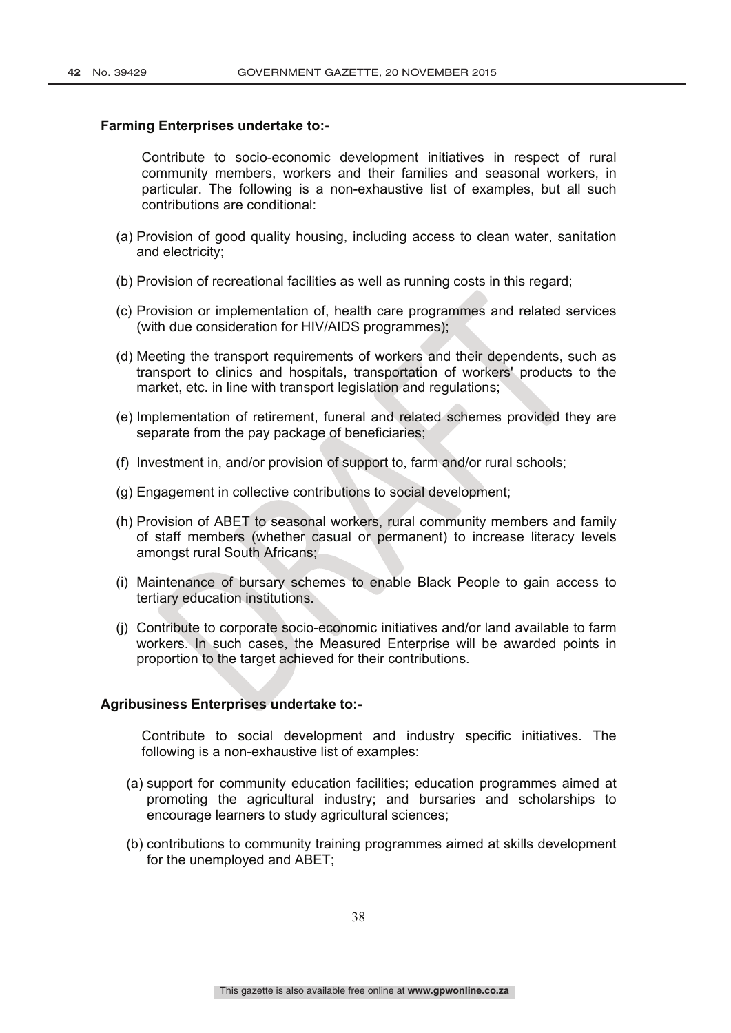#### **Farming Enterprises undertake to:-**

Contribute to socio-economic development initiatives in respect of rural community members, workers and their families and seasonal workers, in particular. The following is a non-exhaustive list of examples, but all such contributions are conditional:

- (a) Provision of good quality housing, including access to clean water, sanitation and electricity;
- (b) Provision of recreational facilities as well as running costs in this regard;
- (c) Provision or implementation of, health care programmes and related services (with due consideration for HIV/AIDS programmes);
- (d) Meeting the transport requirements of workers and their dependents, such as transport to clinics and hospitals, transportation of workers' products to the market, etc. in line with transport legislation and regulations;
- (e) Implementation of retirement, funeral and related schemes provided they are separate from the pay package of beneficiaries;
- (f) Investment in, and/or provision of support to, farm and/or rural schools;
- (g) Engagement in collective contributions to social development;
- (h) Provision of ABET to seasonal workers, rural community members and family of staff members (whether casual or permanent) to increase literacy levels amongst rural South Africans;
- (i) Maintenance of bursary schemes to enable Black People to gain access to tertiary education institutions.
- (j) Contribute to corporate socio-economic initiatives and/or land available to farm workers. In such cases, the Measured Enterprise will be awarded points in proportion to the target achieved for their contributions.

#### **Agribusiness Enterprises undertake to:-**

Contribute to social development and industry specific initiatives. The following is a non-exhaustive list of examples:

- (a) support for community education facilities; education programmes aimed at promoting the agricultural industry; and bursaries and scholarships to encourage learners to study agricultural sciences;
- (b) contributions to community training programmes aimed at skills development for the unemployed and ABET;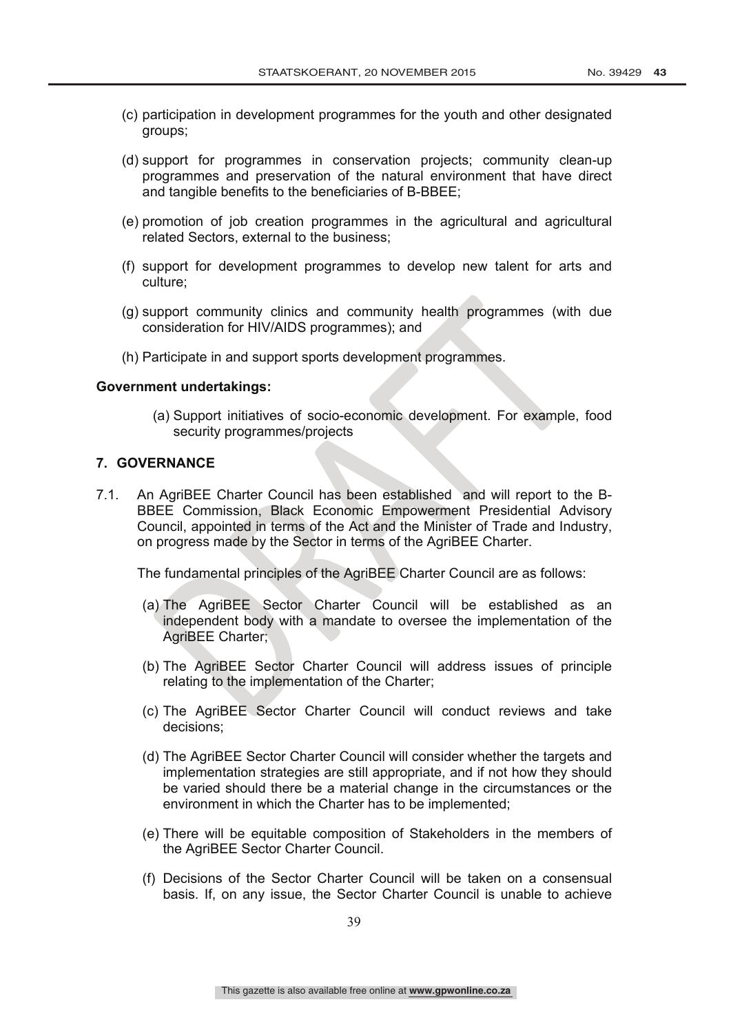- (c) participation in development programmes for the youth and other designated groups;
- (d) support for programmes in conservation projects; community clean-up programmes and preservation of the natural environment that have direct and tangible benefits to the beneficiaries of B-BBEE;
- (e) promotion of job creation programmes in the agricultural and agricultural related Sectors, external to the business;
- (f) support for development programmes to develop new talent for arts and culture;
- (g) support community clinics and community health programmes (with due consideration for HIV/AIDS programmes); and
- (h) Participate in and support sports development programmes.

#### **Government undertakings:**

(a) Support initiatives of socio-economic development. For example, food security programmes/projects

#### **7. GOVERNANCE**

7.1. An AgriBEE Charter Council has been established and will report to the B-BBEE Commission, Black Economic Empowerment Presidential Advisory Council, appointed in terms of the Act and the Minister of Trade and Industry, on progress made by the Sector in terms of the AgriBEE Charter.

The fundamental principles of the AgriBEE Charter Council are as follows:

- (a) The AgriBEE Sector Charter Council will be established as an independent body with a mandate to oversee the implementation of the AgriBEE Charter;
- (b) The AgriBEE Sector Charter Council will address issues of principle relating to the implementation of the Charter;
- (c) The AgriBEE Sector Charter Council will conduct reviews and take decisions;
- (d) The AgriBEE Sector Charter Council will consider whether the targets and implementation strategies are still appropriate, and if not how they should be varied should there be a material change in the circumstances or the environment in which the Charter has to be implemented;
- (e) There will be equitable composition of Stakeholders in the members of the AgriBEE Sector Charter Council.
- (f) Decisions of the Sector Charter Council will be taken on a consensual basis. If, on any issue, the Sector Charter Council is unable to achieve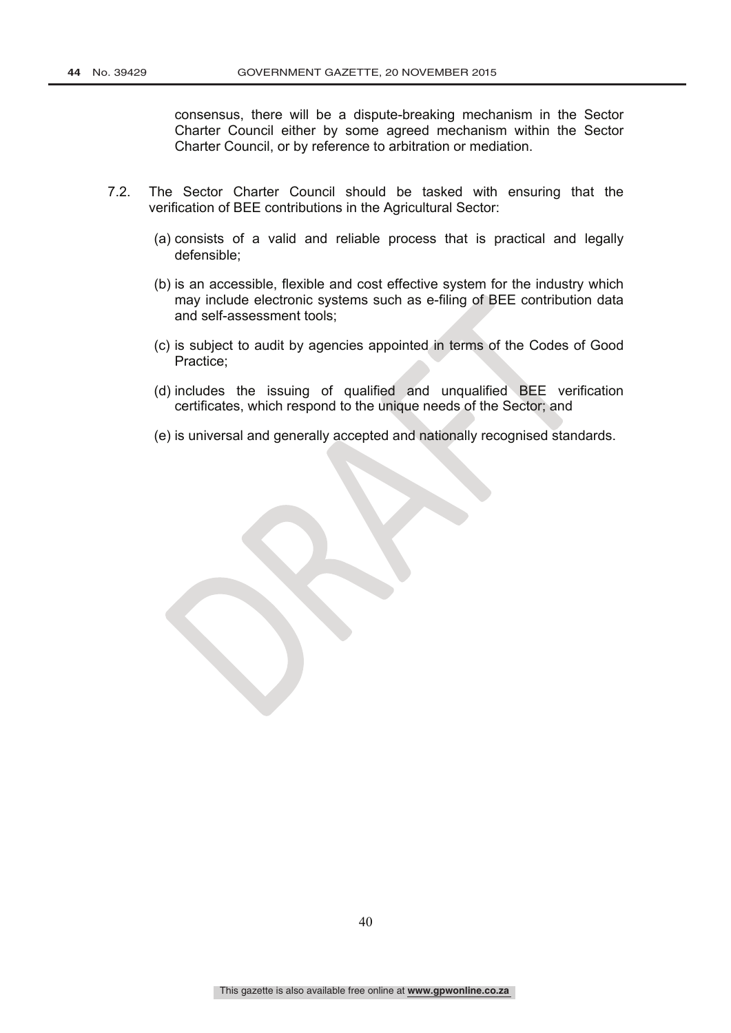consensus, there will be a dispute-breaking mechanism in the Sector Charter Council either by some agreed mechanism within the Sector Charter Council, or by reference to arbitration or mediation.

- 7.2. The Sector Charter Council should be tasked with ensuring that the verification of BEE contributions in the Agricultural Sector:
	- (a) consists of a valid and reliable process that is practical and legally defensible;
	- (b) is an accessible, flexible and cost effective system for the industry which may include electronic systems such as e-filing of BEE contribution data and self-assessment tools;
	- (c) is subject to audit by agencies appointed in terms of the Codes of Good Practice;
	- (d) includes the issuing of qualified and unqualified BEE verification certificates, which respond to the unique needs of the Sector; and
	- (e) is universal and generally accepted and nationally recognised standards.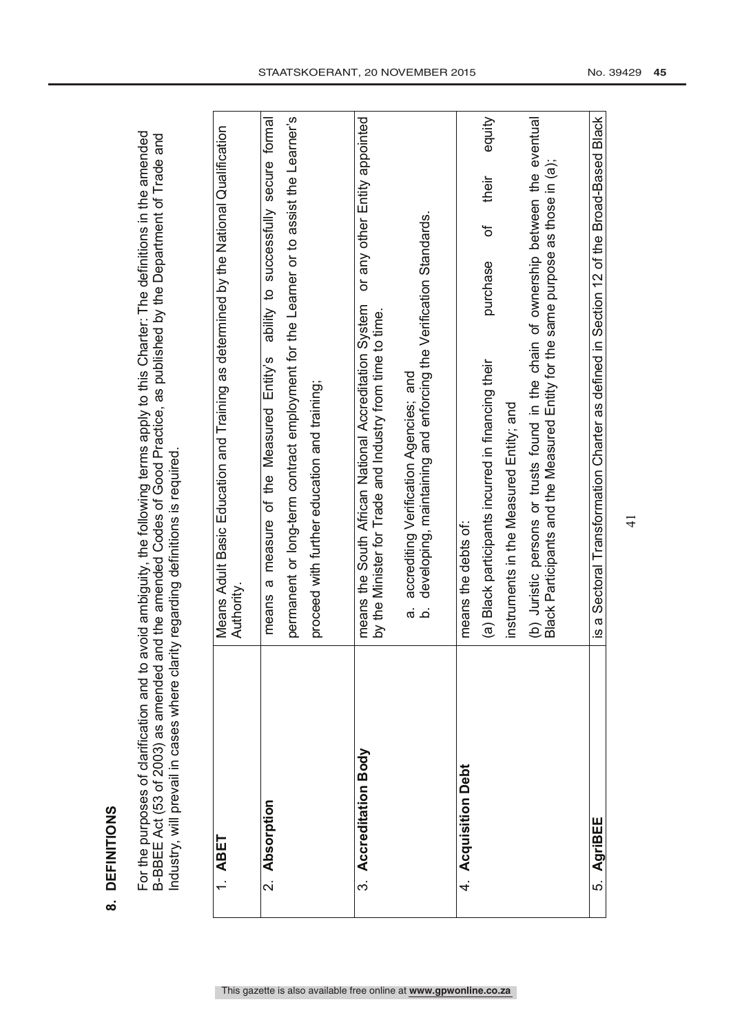**DEFINITIONS 8. DEFINITIONS**  $\infty$  For the purposes of clarification and to avoid ambiguity, the following terms apply to this Charter: The definitions in the amended<br>B-BBEE Act (53 of 2003) as amended and the amended Codes of Good Practice, as published by For the purposes of clarification and to avoid ambiguity, the following terms apply to this Charter: The definitions in the amended B-BBEE Act (53 of 2003) as amended and the amended Codes of Good Practice, as published by the Department of Trade and Industry, will prevail in cases where clarity regarding definitions is required. Industry, will prevail in cases where clarity regarding definitions is required.

| <b>ABET</b>             | Means Adult Basic Education and Training as determined by the National Qualification<br>Authority.                                                                      |
|-------------------------|-------------------------------------------------------------------------------------------------------------------------------------------------------------------------|
| 2. Absorption           | ability to successfully secure formal<br>a measure of the Measured Entity's<br>means                                                                                    |
|                         | permanent or long-term contract employment for the Learner or to assist the Learner's                                                                                   |
|                         | proceed with further education and training;                                                                                                                            |
| Accreditation Body<br>က | or any other Entity appointed<br>means the South African National Accreditation System<br>by the Minister for Trade and Industry from time to time.                     |
|                         | developing, maintaining and enforcing the Verification Standards.<br>accrediting Verification Agencies; and<br>.<br>ळ<br>.<br>ف                                         |
| 4. Acquisition Debt     | means the debts of:                                                                                                                                                     |
|                         | equity<br>their<br>'ত<br>purchase<br>(a) Black participants incurred in financing their                                                                                 |
|                         | instruments in the Measured Entity; and                                                                                                                                 |
|                         | (b) Juristic persons or trusts found in the chain of ownership between the eventual<br>Black Participants and the Measured Entity for the same purpose as those in (a); |
|                         |                                                                                                                                                                         |
| AgriBEE<br>ທ່           | a Sectoral Transformation Charter as defined in Section 12 of the Broad-Based Black<br><u>(v</u>                                                                        |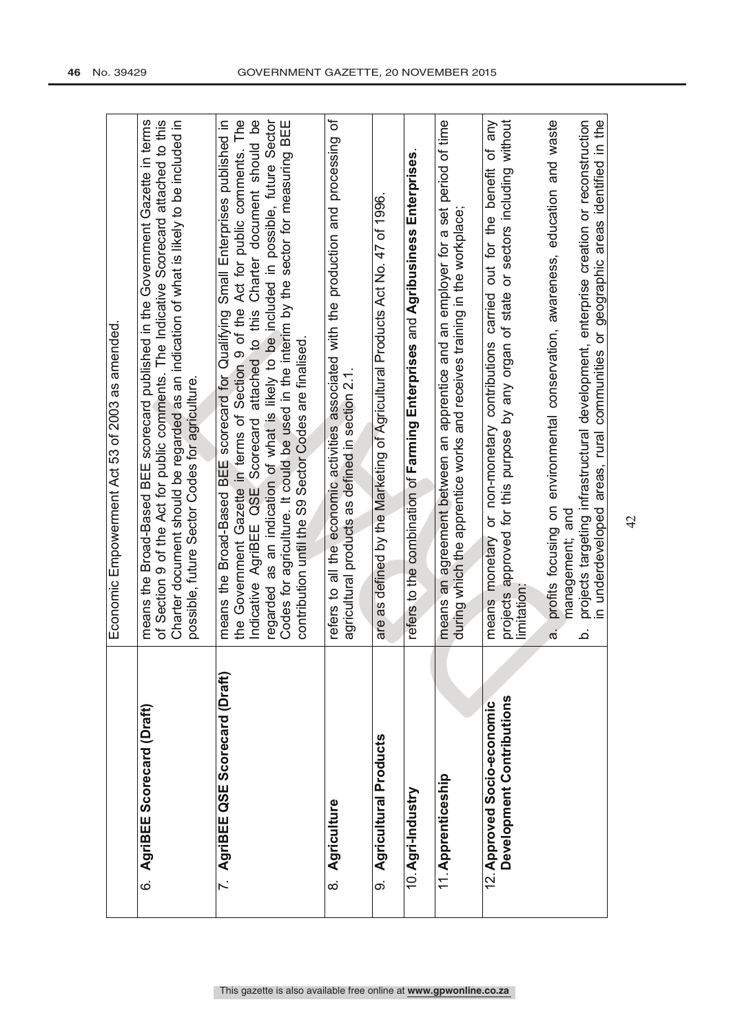|                                                          | Economic Empowerment Act 53 of 2003 as amended                                                                                                                                                                                                                                                                                                                                                                                                                                                   |
|----------------------------------------------------------|--------------------------------------------------------------------------------------------------------------------------------------------------------------------------------------------------------------------------------------------------------------------------------------------------------------------------------------------------------------------------------------------------------------------------------------------------------------------------------------------------|
| AgriBEE Scorecard (Draft)<br>.<br>ය                      | means the Broad-Based BEE scorecard published in the Government Gazette in terms<br>of Section 9 of the Act for public comments. The Indicative Scorecard attached to this<br>Charter document should be regarded as an indication of what is likely to be included in<br>possible, future Sector Codes for agriculture.                                                                                                                                                                         |
| 7. AgriBEE QSE Scorecard (Draft)                         | the Government Gazette in terms of Section 9 of the Act for public comments. The<br>Indicative AgriBEE QSE Scorecard attached to this Charter document should be<br>regarded as an indication of what is likely to be included in possible, future Sector<br>Codes for agriculture. It could be used in the interim by the sector for measuring BEE<br>means the Broad-Based BEE scorecard for Qualifying Small Enterprises published in<br>contribution until the S9 Sector Codes are finalised |
| Agriculture<br>$\infty$                                  | ৳<br>refers to all the economic activities associated with the production and processing<br>agricultural products as defined in section 2.1                                                                                                                                                                                                                                                                                                                                                      |
| Agricultural Products<br>တ                               | are as defined by the Marketing of Agricultural Products Act No. 47 of 1996                                                                                                                                                                                                                                                                                                                                                                                                                      |
| 10. Agri-Industry                                        | refers to the combination of Farming Enterprises and Agribusiness Enterprises                                                                                                                                                                                                                                                                                                                                                                                                                    |
| 11. Apprenticeship                                       | means an agreement between an apprentice and an employer for a set period of time<br>during which the apprentice works and receives training in the workplace                                                                                                                                                                                                                                                                                                                                    |
| Development Contributions<br>12. Approved Socio-economic | or sectors including without<br>any<br>đ<br>out for the benefit<br>projects approved for this purpose by any organ of state<br>carried<br>or non-monetary contributions<br>means monetary<br>limitation                                                                                                                                                                                                                                                                                          |
|                                                          | profits focusing on environmental conservation, awareness, education and waste<br>management; and<br>$\vec{a}$                                                                                                                                                                                                                                                                                                                                                                                   |
|                                                          | projects targeting infrastructural development, enterprise creation or reconstruction<br>in underdeveloped areas, rural communities or geographic areas identified in the<br>خ                                                                                                                                                                                                                                                                                                                   |
|                                                          |                                                                                                                                                                                                                                                                                                                                                                                                                                                                                                  |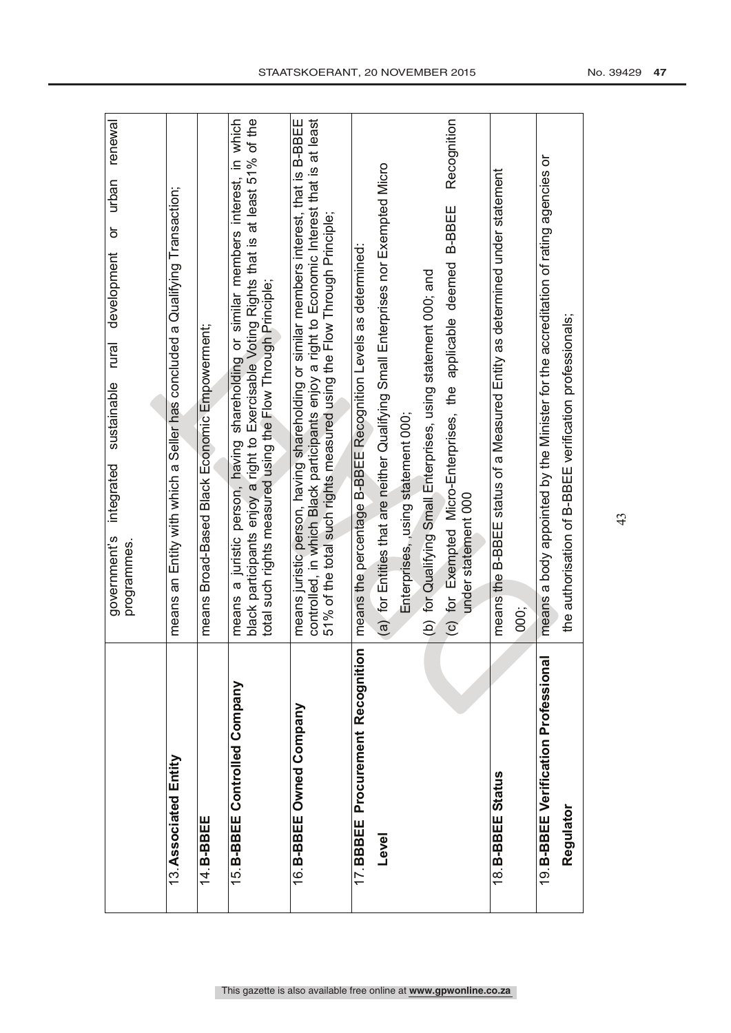|                                      | renewal<br>urban<br>ŏ<br>development<br>rural<br>sustainable<br>integrated<br>government's<br>programmes.                                                                                                                                                        |
|--------------------------------------|------------------------------------------------------------------------------------------------------------------------------------------------------------------------------------------------------------------------------------------------------------------|
|                                      |                                                                                                                                                                                                                                                                  |
| 13. Associated Entity                | means an Entity with which a Seller has concluded a Qualifying Transaction;                                                                                                                                                                                      |
| 14.B-BBEE                            | means Broad-Based Black Economic Empowerment;                                                                                                                                                                                                                    |
| 15. B-BBEE Controlled Company        | in which<br>black participants enjoy a right to Exercisable Voting Rights that is at least 51% of the<br>a juristic person, having shareholding or similar members interest,<br>total such rights measured using the Flow Through Principle;<br>means            |
| 16. B-BBEE Owned Company             | means juristic person, having shareholding or similar members interest, that is B-BBEE<br>controlled, in which Black participants enjoy a right to Economic Interest that is at least<br>51% of the total such rights measured using the Flow Through Principle; |
| 17. BBBEE Procurement Recognition    | means the percentage B-BBEE Recognition Levels as determined:                                                                                                                                                                                                    |
| Level                                | (a) for Entities that are neither Qualifying Small Enterprises nor Exempted Micro                                                                                                                                                                                |
|                                      | Enterprises, using statement 000;                                                                                                                                                                                                                                |
|                                      | (b) for Qualifying Small Enterprises, using statement 000; and                                                                                                                                                                                                   |
|                                      | Recognition<br><b>B-BBEE</b><br>(c) for Exempted Micro-Enterprises, the applicable deemed<br>under statement 000                                                                                                                                                 |
| 18. B-BBEE Status                    | means the B-BBEE status of a Measured Entity as determined under statement                                                                                                                                                                                       |
|                                      | 000;                                                                                                                                                                                                                                                             |
| 19. B-BBEE Verification Professional | means a body appointed by the Minister for the accreditation of rating agencies or                                                                                                                                                                               |
| Regulator                            | the authorisation of B-BBEE verification professionals;                                                                                                                                                                                                          |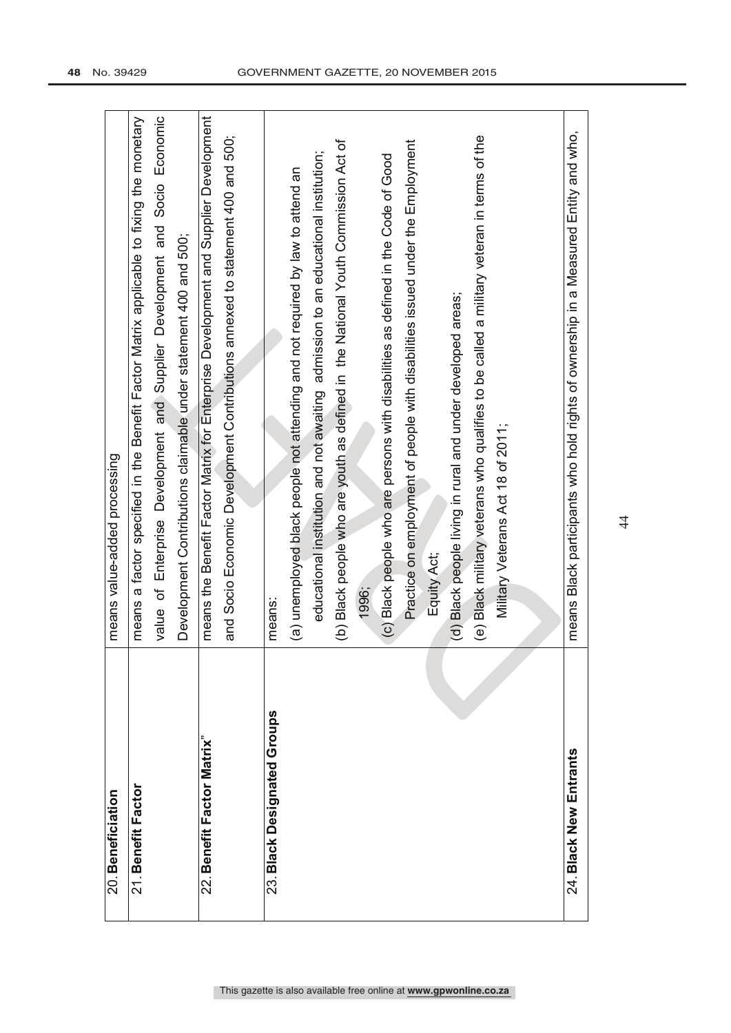| 20. Beneficiation           | means value-added processing                                                              |
|-----------------------------|-------------------------------------------------------------------------------------------|
| 21. Benefit Factor          | means a factor specified in the Benefit Factor Matrix applicable to fixing the monetary   |
|                             | value of Enterprise Development and Supplier Development and Socio Economic               |
|                             | Development Contributions claimable under statement 400 and 500;                          |
| 22. Benefit Factor Matrix"  | means the Benefit Factor Matrix for Enterprise Development and Supplier Development       |
|                             | and Socio Economic Development Contributions annexed to statement 400 and 500;            |
|                             |                                                                                           |
| 23. Black Designated Groups | means:                                                                                    |
|                             | (a) unemployed black people not attending and not required by law to attend an            |
|                             | educational institution and not awaiting admission to an educational institution;         |
|                             | (b) Black people who are youth as defined in the National Youth Commission Act of         |
|                             | 1996;                                                                                     |
|                             | (c) Black people who are persons with disabilities as defined in the Code of Good         |
|                             | Practice on employment of people with disabilities issued under the Employment            |
|                             | Equity Act;                                                                               |
|                             | (d) Black people living in rural and under developed areas;                               |
|                             | (e) Black military veterans who qualifies to be called a military veteran in terms of the |
|                             | Military Veterans Act 18 of 2011;                                                         |
|                             |                                                                                           |
| 24. Black New Entrants      | means Black participants who hold rights of ownership in a Measured Entity and who,       |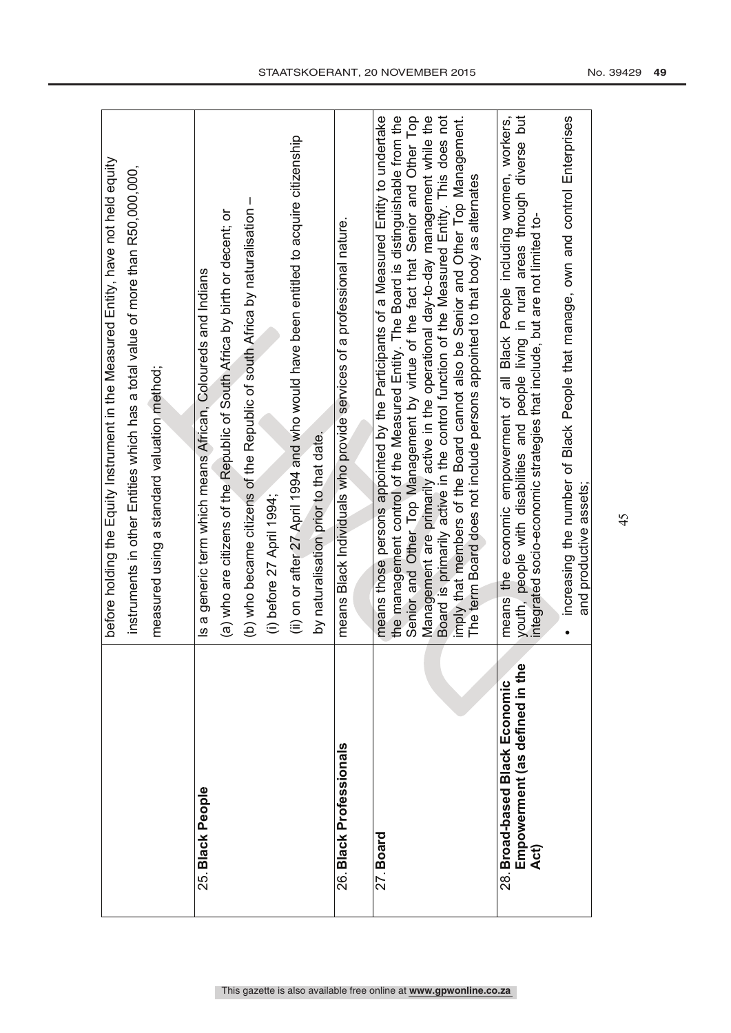|                                        | before holding the Equity Instrument in the Measured Entity, have not held equity                                                                                             |
|----------------------------------------|-------------------------------------------------------------------------------------------------------------------------------------------------------------------------------|
|                                        | instruments in other Entities which has a total value of more than R50,000,000,                                                                                               |
|                                        | measured using a standard valuation method;                                                                                                                                   |
|                                        |                                                                                                                                                                               |
| 25. Black People                       | Is a generic term which means African, Coloureds and Indians                                                                                                                  |
|                                        | (a) who are citizens of the Republic of South Africa by birth or decent; or                                                                                                   |
|                                        | $\mathbf{I}$<br>(b) who became citizens of the Republic of south Africa by naturalisation                                                                                     |
|                                        | (i) before 27 April 1994;                                                                                                                                                     |
|                                        | (ii) on or after 27 April 1994 and who would have been entitled to acquire citizenship                                                                                        |
|                                        | by naturalisation prior to that date.                                                                                                                                         |
| 26. Black Professionals                | means Black Individuals who provide services of a professional nature.                                                                                                        |
|                                        |                                                                                                                                                                               |
| 27. Board                              | means those persons appointed by the Participants of a Measured Entity to undertake<br>the management control of the Measured Entity. The Board is distinguishable from the   |
|                                        | Senior and Other Top Management by virtue of the fact that Senior and Other Top                                                                                               |
|                                        | Management are primarily active in the operational day-to-day management while the<br>Board is primarily active in the control function of the Measured Entity. This does not |
|                                        | imply that members of the Board cannot also be Senior and Other Top Management.                                                                                               |
|                                        | The term Board does not include persons appointed to that body as alternates                                                                                                  |
| 28. Broad-based Black Economic         | means the economic empowerment of all Black People including women, workers,                                                                                                  |
| Empowerment (as defined in the<br>Act) | youth, people with disabilities and people living in rural areas through diverse but<br>integrated socio-economic strategies that include, but are not limited to-            |
|                                        |                                                                                                                                                                               |
|                                        | increasing the number of Black People that manage, own and control Enterprises<br>and productive assets;                                                                      |
|                                        |                                                                                                                                                                               |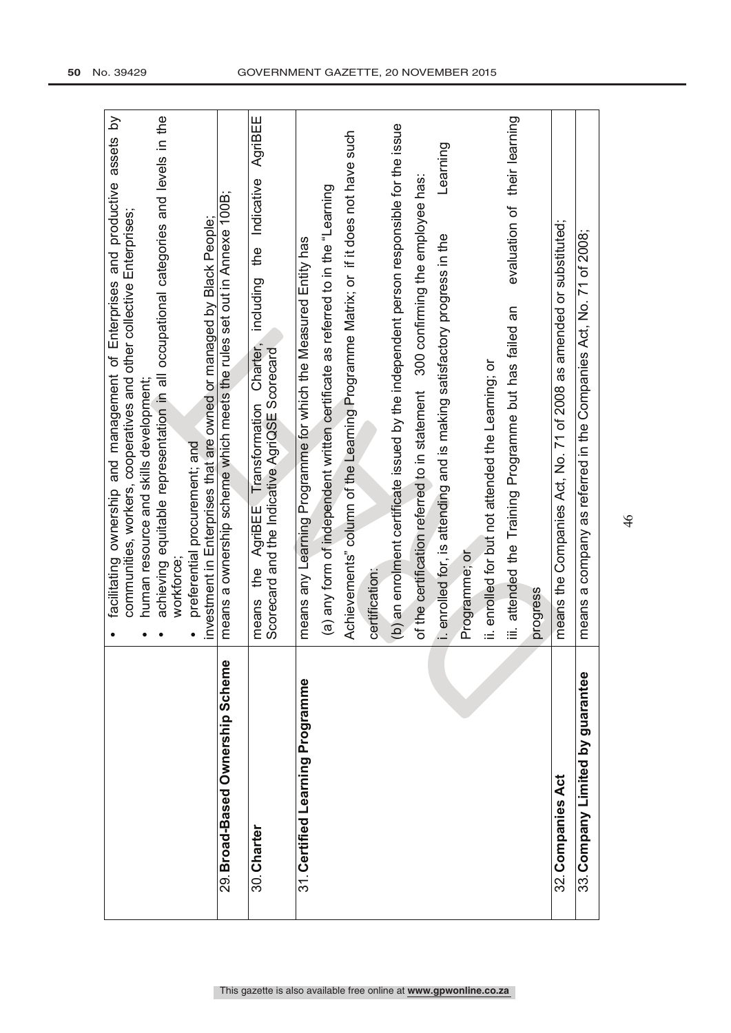|                                  | facilitating ownership and management of Enterprises and productive assets by<br>communities, workers, cooperatives and other collective Enterprises; |
|----------------------------------|-------------------------------------------------------------------------------------------------------------------------------------------------------|
|                                  | human resource and skills development;                                                                                                                |
|                                  | achieving equitable representation in all occupational categories and levels in the<br>workforce:                                                     |
|                                  | preferential procurement; and                                                                                                                         |
| 29. Broad-Based Ownership Scheme | means a ownership scheme which meets the rules set out in Annexe 100B;<br>investment in Enterprises that are owned or managed by Black People;        |
|                                  |                                                                                                                                                       |
| means<br>30. Charter             | AgriBEE<br>Indicative<br>the<br>f<br>including<br>Charter,<br>Scorecard and the Indicative AgriQSE Scorecard<br>AgriBEE Transformation<br>the         |
| 31. Certified Learning Programme | means any Learning Programme for which the Measured Entity has                                                                                        |
|                                  | (a) any form of independent written certificate as referred to in the "Learning                                                                       |
|                                  | Achievements" column of the Learning Programme Matrix; or if it does not have such                                                                    |
| certification:                   |                                                                                                                                                       |
|                                  | (b) an enrolment certificate issued by the independent person responsible for the issue                                                               |
|                                  | 300 confirming the employee has:<br>of the certification referred to in statement                                                                     |
|                                  | Learning<br>i. enrolled for, is attending and is making satisfactory progress in the                                                                  |
|                                  | Programme; or                                                                                                                                         |
|                                  | ii. enrolled for but not attended the Learning; or                                                                                                    |
|                                  | evaluation of their learning<br>iii. attended the Training Programme but has failed an                                                                |
| progress                         |                                                                                                                                                       |
| 32. Companies Act                | means the Companies Act, No. 71 of 2008 as amended or substituted;                                                                                    |
| 33. Company Limited by guarantee | means a company as referred in the Companies Act, No. 71 of 2008;                                                                                     |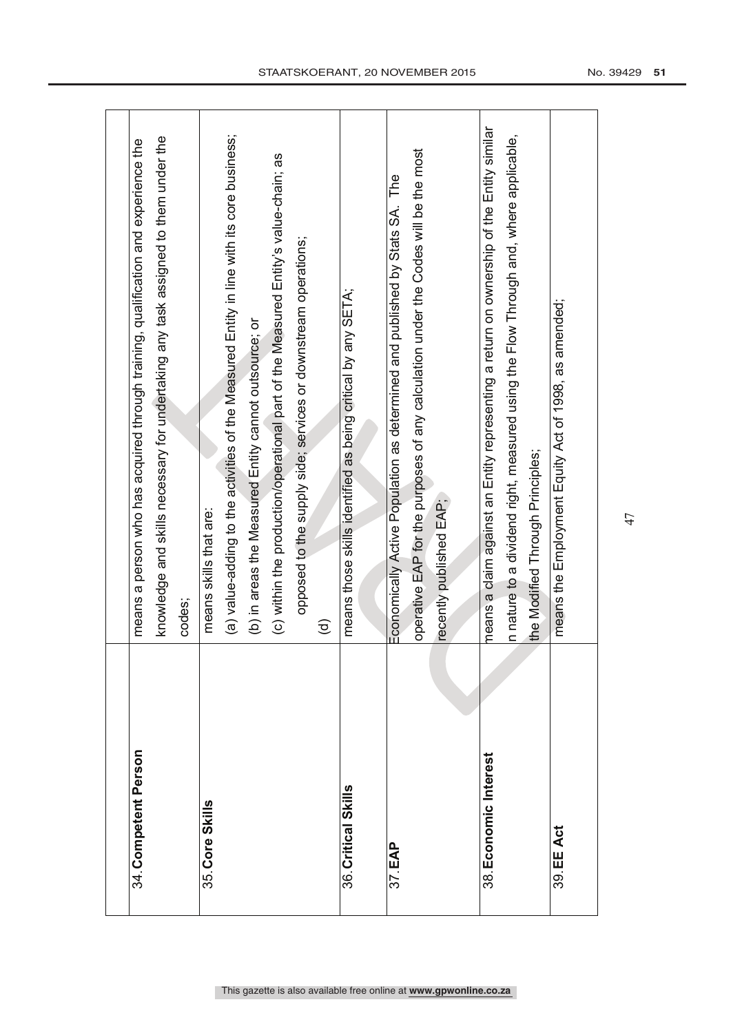| 34. Competent Person  | means a person who has acquired through training, qualification and experience the        |
|-----------------------|-------------------------------------------------------------------------------------------|
|                       | knowledge and skills necessary for undertaking any task assigned to them under the        |
|                       | codes;                                                                                    |
| 35. Core Skills       | means skills that are:                                                                    |
|                       | (a) value-adding to the activities of the Measured Entity in line with its core business; |
|                       | (b) in areas the Measured Entity cannot outsource; or                                     |
|                       | (c) within the production/operational part of the Measured Entity's value-chain; as       |
|                       | opposed to the supply side; services or downstream operations;                            |
|                       | $\widehat{\mathsf{e}}$                                                                    |
| 36. Critical Skills   | means those skills identified as being critical by any SETA;                              |
|                       |                                                                                           |
| 37. EAP               | Economically Active Population as determined and published by Stats SA. The               |
|                       | operative EAP for the purposes of any calculation under the Codes will be the most        |
|                       | recently published EAP;                                                                   |
|                       |                                                                                           |
| 38. Economic Interest | means a claim against an Entity representing a return on ownership of the Entity similar  |
|                       | n nature to a dividend right, measured using the Flow Through and, where applicable,      |
|                       | the Modified Through Principles;                                                          |
| 39. EE Act            | means the Employment Equity Act of 1998, as amended;                                      |
|                       |                                                                                           |
|                       |                                                                                           |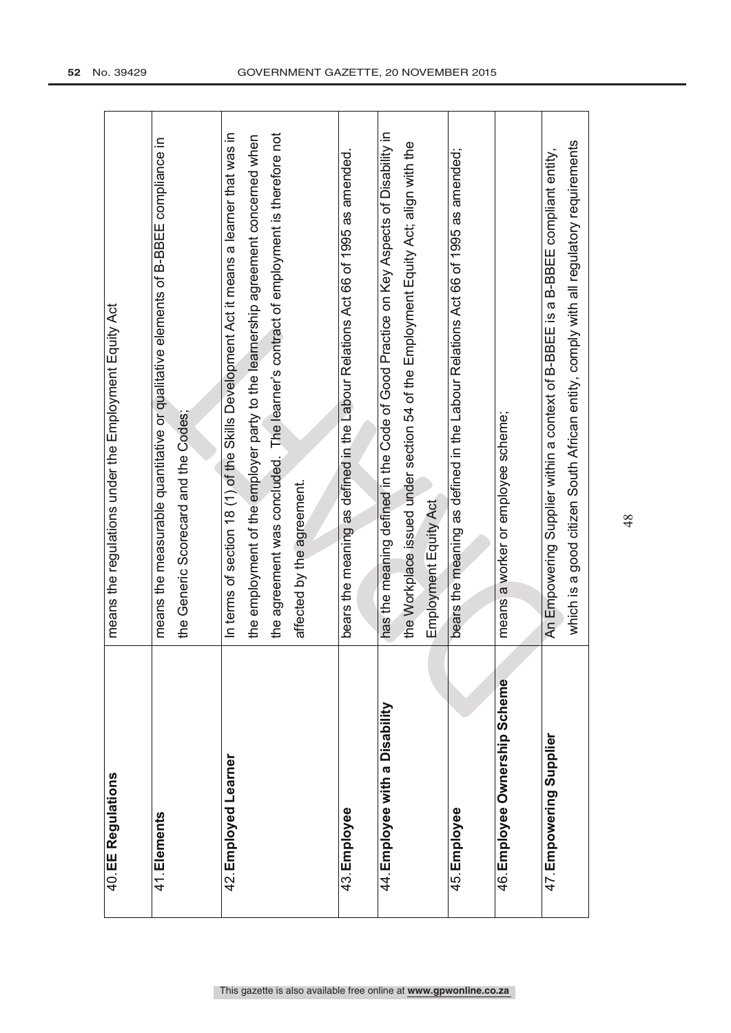| 40. EE Regulations             | means the regulations under the Employment Equity Act                                                                                                                                                                                                             |
|--------------------------------|-------------------------------------------------------------------------------------------------------------------------------------------------------------------------------------------------------------------------------------------------------------------|
| 41. Elements                   | means the measurable quantitative or qualitative elements of B-BBEE compliance in<br>the Generic Scorecard and the Codes;                                                                                                                                         |
| 42. Employed Learner           | In terms of section 18 (1) of the Skills Development Act it means a learner that was in<br>the agreement was concluded. The learner's contract of employment is therefore not<br>the employment of the employer party to the learnership agreement concerned when |
|                                | affected by the agreement.                                                                                                                                                                                                                                        |
| 43. Employee                   | bears the meaning as defined in the Labour Relations Act 66 of 1995 as amended.                                                                                                                                                                                   |
| 44. Employee with a Disability | has the meaning defined in the Code of Good Practice on Key Aspects of Disability in<br>the Workplace issued under section 54 of the Employment Equity Act; align with the<br>Employment Equity Act                                                               |
| 45. Employee                   | bears the meaning as defined in the Labour Relations Act 66 of 1995 as amended;                                                                                                                                                                                   |
| 46. Employee Ownership Scheme  | means a worker or employee scheme;                                                                                                                                                                                                                                |
| 47. Empowering Supplier        | which is a good citizen South African entity, comply with all regulatory requirements<br>An Empowering Supplier within a context of B-BBEE is a B-BBEE compliant entity,                                                                                          |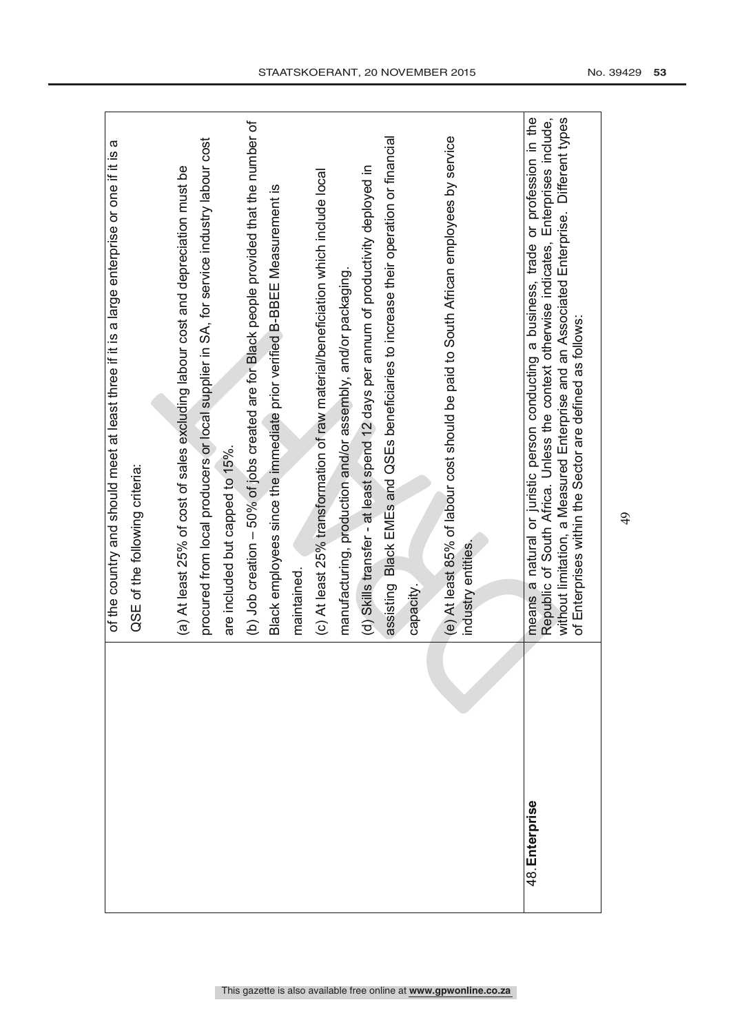|                | ω<br>of the country and should meet at least three if it is a large enterprise or one if it is                                                                                                                                                                                                                                        |
|----------------|---------------------------------------------------------------------------------------------------------------------------------------------------------------------------------------------------------------------------------------------------------------------------------------------------------------------------------------|
|                | QSE of the following criteria:                                                                                                                                                                                                                                                                                                        |
|                |                                                                                                                                                                                                                                                                                                                                       |
|                | (a) At least 25% of cost of sales excluding labour cost and depreciation must be                                                                                                                                                                                                                                                      |
|                | procured from local producers or local supplier in SA, for service industry labour cost                                                                                                                                                                                                                                               |
|                | are included but capped to 15%.                                                                                                                                                                                                                                                                                                       |
|                | (b) Job creation - 50% of jobs created are for Black people provided that the number of                                                                                                                                                                                                                                               |
|                | Black employees since the immediate prior verified B-BBEE Measurement is                                                                                                                                                                                                                                                              |
|                | maintained                                                                                                                                                                                                                                                                                                                            |
|                | (c) At least 25% transformation of raw material/beneficiation which include local                                                                                                                                                                                                                                                     |
|                | manufacturing, production and/or assembly, and/or packaging                                                                                                                                                                                                                                                                           |
|                | (d) Skills transfer - at least spend 12 days per annum of productivity deployed in                                                                                                                                                                                                                                                    |
|                | Black EMEs and QSEs beneficiaries to increase their operation or financial<br>assisting                                                                                                                                                                                                                                               |
|                | capacity                                                                                                                                                                                                                                                                                                                              |
|                | (e) At least 85% of labour cost should be paid to South African employees by service                                                                                                                                                                                                                                                  |
|                | industry entities.                                                                                                                                                                                                                                                                                                                    |
|                |                                                                                                                                                                                                                                                                                                                                       |
| 48. Enterprise | means a natural or juristic person conducting a business, trade or profession in the<br>without limitation, a Measured Enterprise and an Associated Enterprise. Different types<br>Republic of South Africa. Unless the context otherwise indicates, Enterprises include,<br>of Enterprises within the Sector are defined as follows: |
|                |                                                                                                                                                                                                                                                                                                                                       |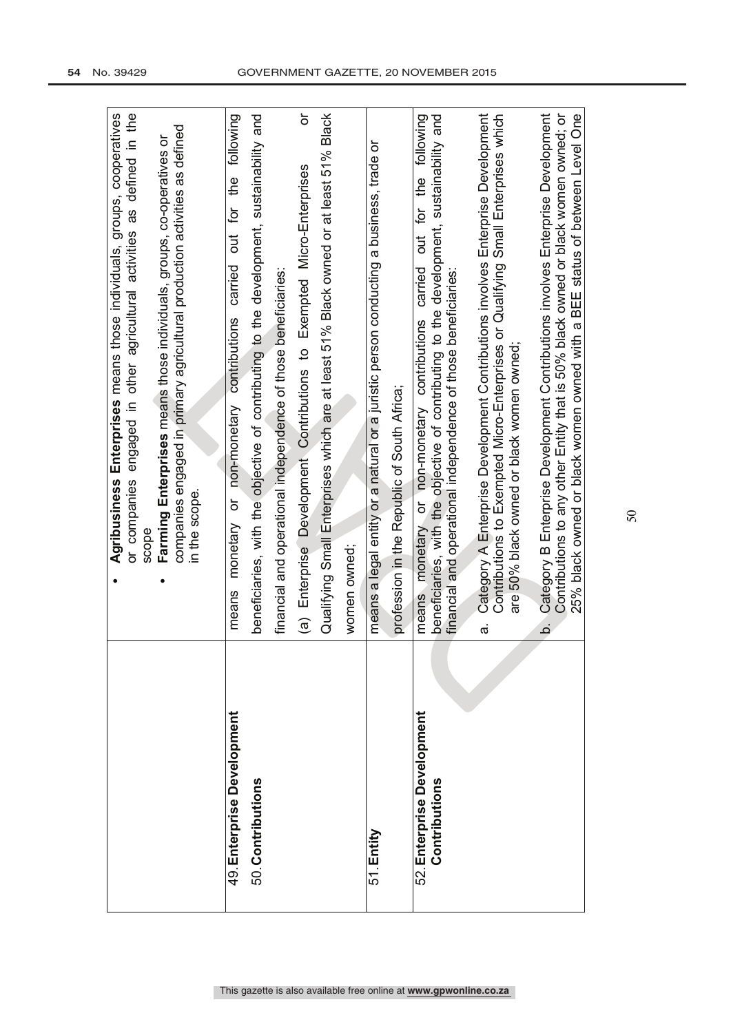|                                             | Enterprises means those individuals, groups, cooperatives<br>or companies engaged in other agricultural activities as defined in the<br>Agribusiness                                                                                                            |
|---------------------------------------------|-----------------------------------------------------------------------------------------------------------------------------------------------------------------------------------------------------------------------------------------------------------------|
|                                             | scope                                                                                                                                                                                                                                                           |
|                                             | Farming Enterprises means those individuals, groups, co-operatives or                                                                                                                                                                                           |
|                                             | companies engaged in primary agricultural production activities as defined<br>in the scope.                                                                                                                                                                     |
|                                             |                                                                                                                                                                                                                                                                 |
| 49. Enterprise Development                  | carried out for the following<br>or non-monetary contributions<br>monetary<br>means                                                                                                                                                                             |
| 50. Contributions                           | beneficiaries, with the objective of contributing to the development, sustainability and                                                                                                                                                                        |
|                                             | financial and operational independence of those beneficiaries:                                                                                                                                                                                                  |
|                                             | ŏ<br>(a) Enterprise Development Contributions to Exempted Micro-Enterprises                                                                                                                                                                                     |
|                                             | Qualifying Small Enterprises which are at least 51% Black owned or at least 51% Black                                                                                                                                                                           |
|                                             | women owned;                                                                                                                                                                                                                                                    |
| 51. Entity                                  | means a legal entity or a natural or a juristic person conducting a business, trade or                                                                                                                                                                          |
|                                             | profession in the Republic of South Africa;                                                                                                                                                                                                                     |
| 52. Enterprise Development<br>Contributions | beneficiaries, with the objective of contributing to the development, sustainability and<br>following<br>for the<br>but<br>carried<br>financial and operational independence of those beneficiaries:<br>contributions<br>non-monetary<br>ŏ<br>monetary<br>means |
|                                             | Category A Enterprise Development Contributions involves Enterprise Development<br>Contributions to Exempted Micro-Enterprises or Qualifying Small Enterprises which<br>are 50% black owned or black women owned;<br>$\vec{\sigma}$                             |
|                                             | Category B Enterprise Development Contributions involves Enterprise Development<br>.<br>ف                                                                                                                                                                       |
|                                             | Contributions to any other Entity that is 50% black owned or black women owned; or<br>25% black owned or black women owned with a BEE status of between Level One                                                                                               |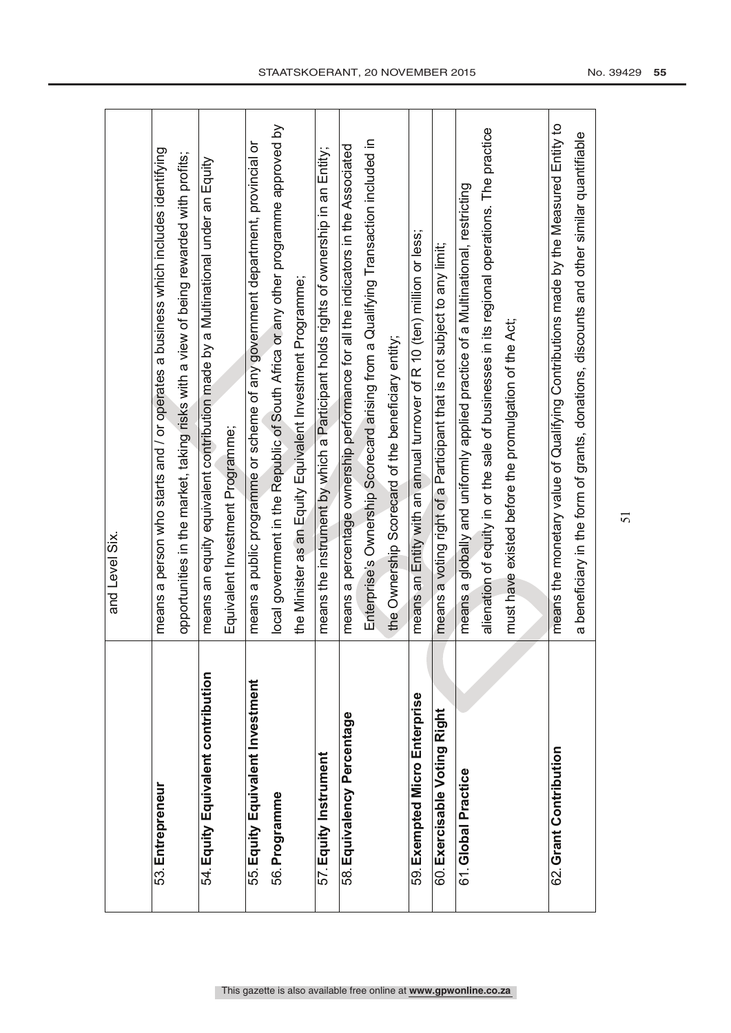|                                    | and Level Six.                                                                             |
|------------------------------------|--------------------------------------------------------------------------------------------|
|                                    |                                                                                            |
| 53. Entrepreneur                   | means a person who starts and / or operates a business which includes identifying          |
|                                    | opportunities in the market, taking risks with a view of being rewarded with profits;      |
| 54. Equity Equivalent contribution | means an equity equivalent contribution made by a Multinational under an Equity            |
|                                    | Equivalent Investment Programme;                                                           |
| 55. Equity Equivalent Investment   | means a public programme of any government department, provincial or                       |
| 56. Programme                      | local government in the Republic of South Africa or any other programme approved by        |
|                                    | the Minister as an Equity Equivalent Investment Programme;                                 |
| 57. Equity Instrument              | means the instrument by which a Participant holds rights of ownership in an Entity;        |
| 58. Equivalency Percentage         | means a percentage ownership performance for all the indicators in the Associated          |
|                                    | Enterprise's Ownership Scorecard arising from a Qualifying Transaction included in         |
|                                    | the Ownership Scorecard of the beneficiary entity;                                         |
| 59. Exempted Micro Enterprise      | means an Entity with an annual turnover of R 10 (ten) million or less;                     |
| 60. Exercisable Voting Right       | means a voting right of a Participant that is not subject to any limit;                    |
| 61.Global Practice                 | means a globally and uniformly applied practice of a Multinational, restricting            |
|                                    | alienation of equity in or the sale of businesses in its regional operations. The practice |
|                                    | must have existed before the promulgation of the Act;                                      |
|                                    |                                                                                            |
| 62. Grant Contribution             | means the monetary value of Qualifying Contributions made by the Measured Entity to        |
|                                    | a beneficiary in the form of grants, donations, discounts and other similar quantifiable   |
|                                    |                                                                                            |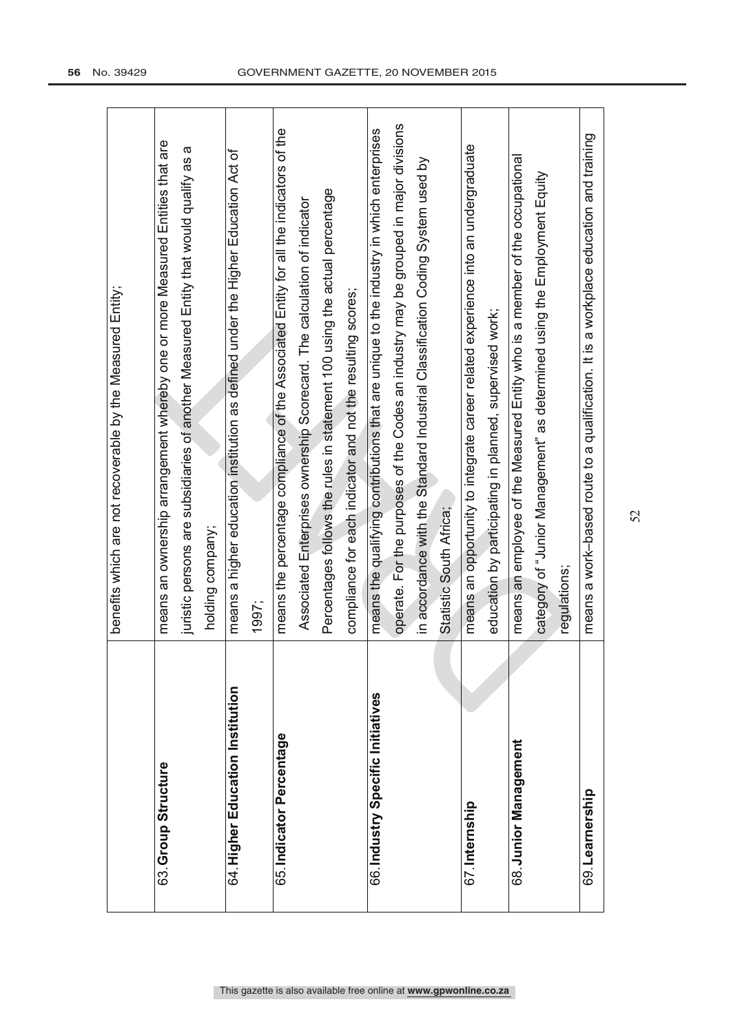|                                   | benefits which are not recoverable by the Measured Entity;                              |
|-----------------------------------|-----------------------------------------------------------------------------------------|
|                                   |                                                                                         |
| 63. Group Structure               | means an ownership arrangement whereby one or more Measured Entities that are           |
|                                   | juristic persons are subsidiaries of another Measured Entity that would qualify as a    |
|                                   | holding company;                                                                        |
| 64. Higher Education Institution  | means a higher education institution as defined under the Higher Education Act of       |
|                                   | 1997;                                                                                   |
| 65. Indicator Percentage          | means the percentage compliance of the Associated Entity for all the indicators of the  |
|                                   | Associated Enterprises ownership Scorecard. The calculation of indicator                |
|                                   | Percentages follows the rules in statement 100 using the actual percentage              |
|                                   | compliance for each indicator and not the resulting scores;                             |
| 66. Industry Specific Initiatives | means the qualifying contributions that are unique to the industry in which enterprises |
|                                   | operate. For the purposes of the Codes an industry may be grouped in major divisions    |
|                                   | in accordance with the Standard Industrial Classification Coding System used by         |
|                                   | Statistic South Africa;                                                                 |
| 67. Internship                    | means an opportunity to integrate career related experience into an undergraduate       |
|                                   | education by participating in planned, supervised work;                                 |
| 68. Junior Management             | means an employee of the Measured Entity who is a member of the occupational            |
|                                   | category of "Junior Management" as determined using the Employment Equity               |
|                                   | regulations;                                                                            |
| 69. Learnership                   | means a work-based route to a qualification. It is a workplace education and training   |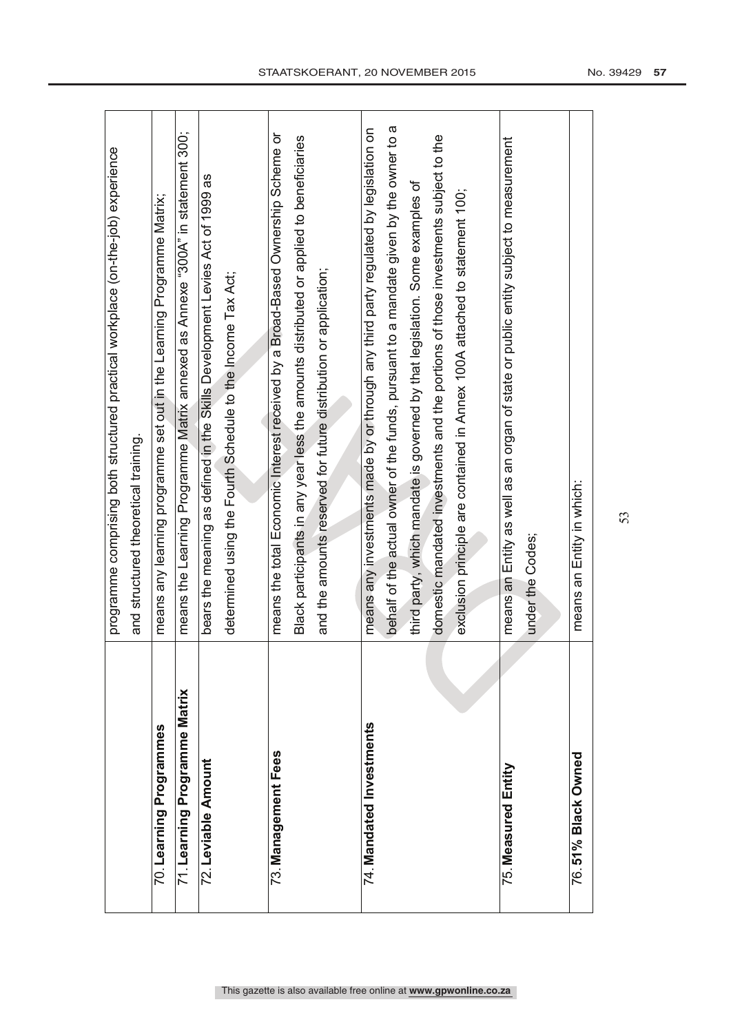|                              | programme comprising both structured practical workplace (on-the-job) experience        |
|------------------------------|-----------------------------------------------------------------------------------------|
|                              |                                                                                         |
|                              | and structured theoretical training.                                                    |
| 70. Learning Programmes      | means any learning programme set out in the Learning Programme Matrix;                  |
| 71 Learning Programme Matrix | means the Learning Programme Matrix annexed as Annexe "300A" in statement 300;          |
| 72. Leviable Amount          | bears the meaning as defined in the Skills Development Levies Act of 1999 as            |
|                              | determined using the Fourth Schedule to the Income Tax Act;                             |
|                              |                                                                                         |
| 73. Management Fees          | means the total Economic Interest received by a Broad-Based Ownership Scheme or         |
|                              | Black participants in any year less the amounts distributed or applied to beneficiaries |
|                              | and the amounts reserved for future distribution or application;                        |
|                              |                                                                                         |
| 74. Mandated Investments     | means any investments made by or through any third party regulated by legislation on    |
|                              | behalf of the actual owner of the funds, pursuant to a mandate given by the owner to a  |
|                              | third party, which mandate is governed by that legislation. Some examples of            |
|                              | domestic mandated investments and the portions of those investments subject to the      |
|                              | exclusion principle are contained in Annex 100A attached to statement 100;              |
|                              |                                                                                         |
| 75. Measured Entity          | means an Entity as well as an organ of state or public entity subject to measurement    |
|                              | under the Codes;                                                                        |
|                              |                                                                                         |
| 76.51% Black Owned           | means an Entity in which:                                                               |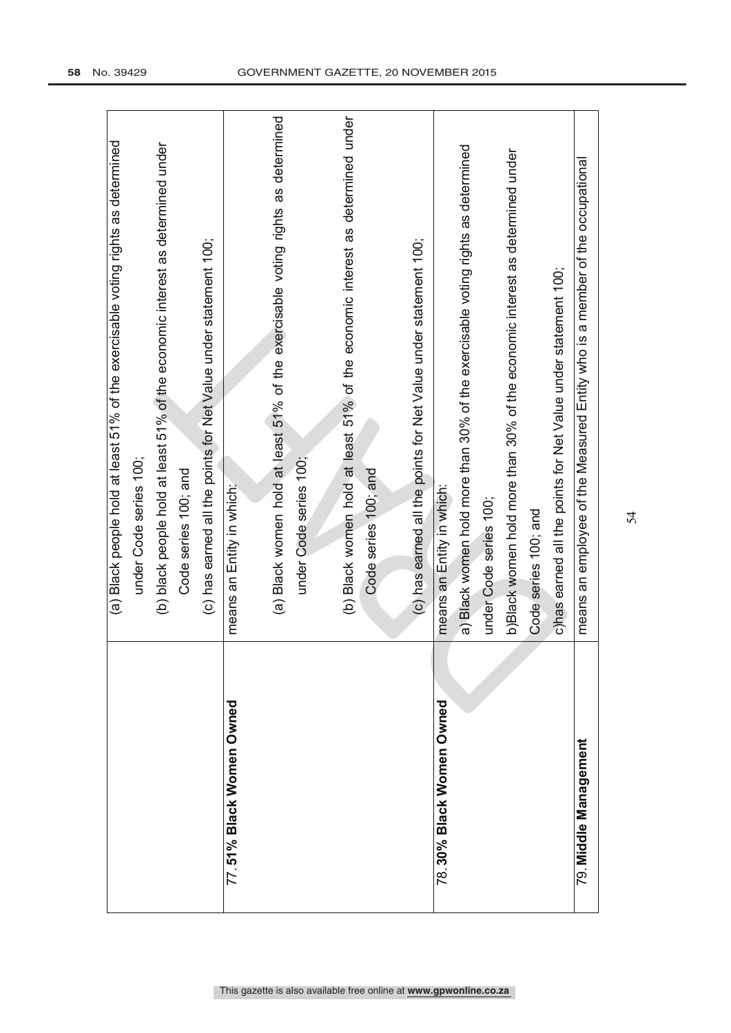|                          | (a) Black people hold at least 51% of the exercisable voting rights as determined |
|--------------------------|-----------------------------------------------------------------------------------|
|                          | under Code series 100;                                                            |
|                          | (b) black people hold at least 51% of the economic interest as determined under   |
|                          | Code series 100; and                                                              |
|                          | (c) has earned all the points for Net Value under statement 100;                  |
| 77.51% Black Women Owned | means an Entity in which:                                                         |
|                          |                                                                                   |
|                          | (a) Black women hold at least 51% of the exercisable voting rights as determined  |
|                          | under Code series 100;                                                            |
|                          |                                                                                   |
|                          | (b) Black women hold at least 51% of the economic interest as determined under    |
|                          | Code series 100; and                                                              |
|                          |                                                                                   |
|                          | (c) has earned all the points for Net Value under statement 100;                  |
| 78.30% Black Women Owned | means an Entity in which:                                                         |
|                          | a) Black women hold more than 30% of the exercisable voting rights as determined  |
|                          | under Code series 100;                                                            |
|                          | b)Black women hold more than 30% of the economic interest as determined under     |
|                          | Code series 100; and                                                              |
|                          | c)has earned all the points for Net Value under statement 100;                    |
| 79. Middle Management    | means an employee of the Measured Entity who is a member of the occupational      |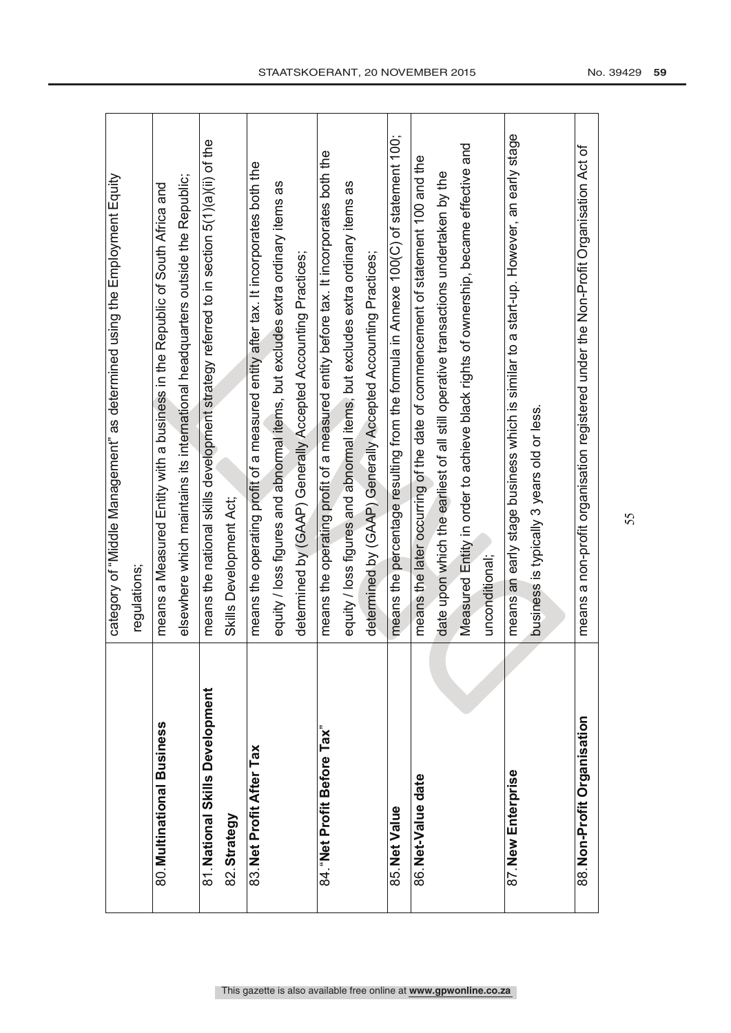|                                 | category of "Middle Management" as determined using the Employment Equity                |
|---------------------------------|------------------------------------------------------------------------------------------|
|                                 | regulations;                                                                             |
| 80. Multinational Business      | means a Measured Entity with a business in the Republic of South Africa and              |
|                                 | elsewhere which maintains its international headquarters outside the Republic;           |
| 81. National Skills Development | means the national skills development strategy referred to in section 5(1)(a)(ii) of the |
| 82. Strategy                    | Skills Development Act;                                                                  |
| 83. Net Profit After Tax        | means the operating profit of a measured entity after tax. It incorporates both the      |
|                                 | equity / loss figures and abnormal items, but excludes extra ordinary items as           |
|                                 | determined by (GAAP) Generally Accepted Accounting Practices;                            |
| 84. "Net Profit Before Tax"     | means the operating profit of a measured entity before tax. It incorporates both the     |
|                                 | equity / loss figures and abnormal items, but excludes extra ordinary items as           |
|                                 | determined by (GAAP) Generally Accepted Accounting Practices;                            |
| 85. Net Value                   | means the percentage resulting from the formula in Annexe 100(C) of statement 100;       |
| 86. Net-Value date              | means the later occurring of the date of commencement of statement 100 and the           |
|                                 | date upon which the earliest of all still operative transactions undertaken by the       |
|                                 | Measured Entity in order to achieve black rights of ownership, became effective and      |
|                                 | unconditional;                                                                           |
| 87. New Enterprise              | means an early stage business which is similar to a start-up. However, an early stage    |
|                                 | business is typically 3 years old or less.                                               |
|                                 |                                                                                          |
| 88. Non-Profit Organisation     | means a non-profit organisation registered under the Non-Profit Organisation Act of      |
|                                 |                                                                                          |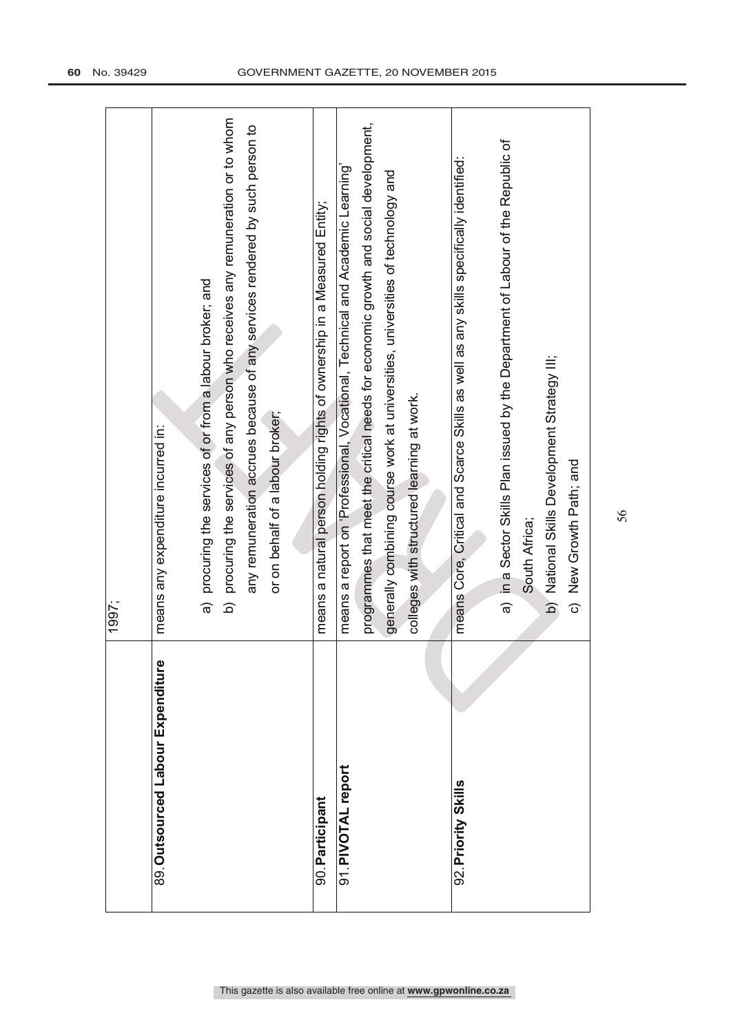|                                   | 1997;                                                                                     |
|-----------------------------------|-------------------------------------------------------------------------------------------|
| 89. Outsourced Labour Expenditure | means any expenditure incurred in:                                                        |
|                                   | a) procuring the services of or from a labour broker; and                                 |
|                                   | procuring the services of any person who receives any remuneration or to whom<br><u>ଚ</u> |
|                                   | any remuneration accrues because of any services rendered by such person to               |
|                                   | or on behalf of a labour broker;                                                          |
|                                   |                                                                                           |
| 90. Participant                   | means a natural person holding rights of ownership in a Measured Entity;                  |
| 91. PIVOTAL report                | means a report on 'Professional, Vocational, Technical and Academic Learning'             |
|                                   | programmes that meet the critical needs for economic growth and social development,       |
|                                   | generally combining course work at universities, universities of technology and           |
|                                   | colleges with structured learning at work.                                                |
|                                   |                                                                                           |
| 92. Priority Skills               | means Core, Critical and Scarce Skills as well as any skills specifically identified:     |
|                                   |                                                                                           |
|                                   | a) in a Sector Skills Plan issued by the Department of Labour of the Republic of          |
|                                   | South Africa;                                                                             |
|                                   | b) National Skills Development Strategy III;                                              |
|                                   | c) New Growth Path; and                                                                   |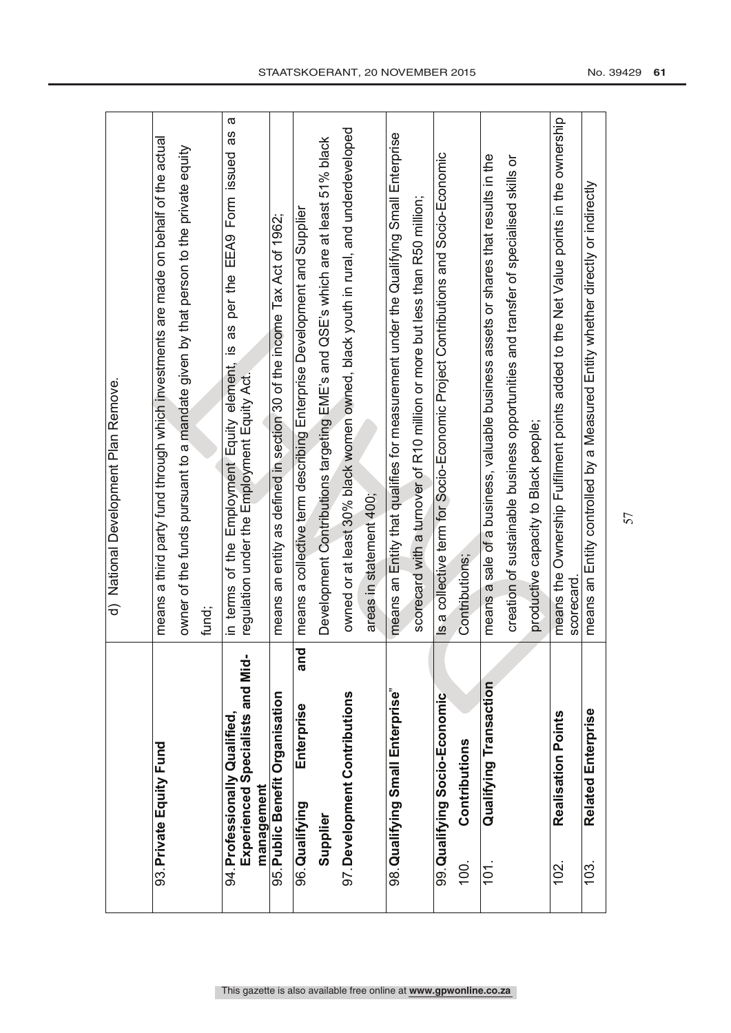|                                                                   | d) National Development Plan Remove.                                                                                                   |
|-------------------------------------------------------------------|----------------------------------------------------------------------------------------------------------------------------------------|
|                                                                   |                                                                                                                                        |
| 93. Private Equity Fund                                           | means a third party fund through which investments are made on behalf of the actual                                                    |
|                                                                   | owner of the funds pursuant to a mandate given by that person to the private equity                                                    |
|                                                                   | fund;                                                                                                                                  |
| Experienced Specialists and Mid-<br>94. Professionally Qualified, | σ<br>8g<br>is as per the EEA9 Form issued<br>in terms of the Employment Equity element,<br>regulation under the Employment Equity Act. |
| management                                                        |                                                                                                                                        |
| 95. Public Benefit Organisation                                   | means an entity as defined in section 30 of the income Tax Act of 1962;                                                                |
| Enterprise<br>96. Qualifying                                      | means a collective term describing Enterprise Development and Supplier<br>and                                                          |
| Supplier                                                          | Development Contributions targeting EME's and QSE's which are at least 51% black                                                       |
| 97. Development Contributions                                     | owned or at least 30% black women owned, black youth in rural, and underdeveloped                                                      |
|                                                                   | areas in statement 400;                                                                                                                |
| 98. Qualifying Small Enterprise"                                  | means an Entity that qualifies for measurement under the Qualifying Small Enterprise                                                   |
|                                                                   | scorecard with a turnover of R10 million or more but less than R50 million;                                                            |
| 99. Qualifying Socio-Economic                                     | Is a collective term for Socio-Economic Project Contributions and Socio-Economic                                                       |
| Contributions<br>100.                                             | Contributions;                                                                                                                         |
| Qualifying Transaction<br>101.                                    | means a sale of a business, valuable business assets or shares that results in the                                                     |
|                                                                   | creation of sustainable business opportunities and transfer of specialised skills or                                                   |
|                                                                   | productive capacity to Black people;                                                                                                   |
| Realisation Points<br>102                                         | means the Ownership Fulfilment points added to the Net Value points in the ownership<br>scorecard                                      |
| Related Enterprise<br>$103$ .                                     | means an Entity controlled by a Measured Entity whether directly or indirectly                                                         |
|                                                                   |                                                                                                                                        |

r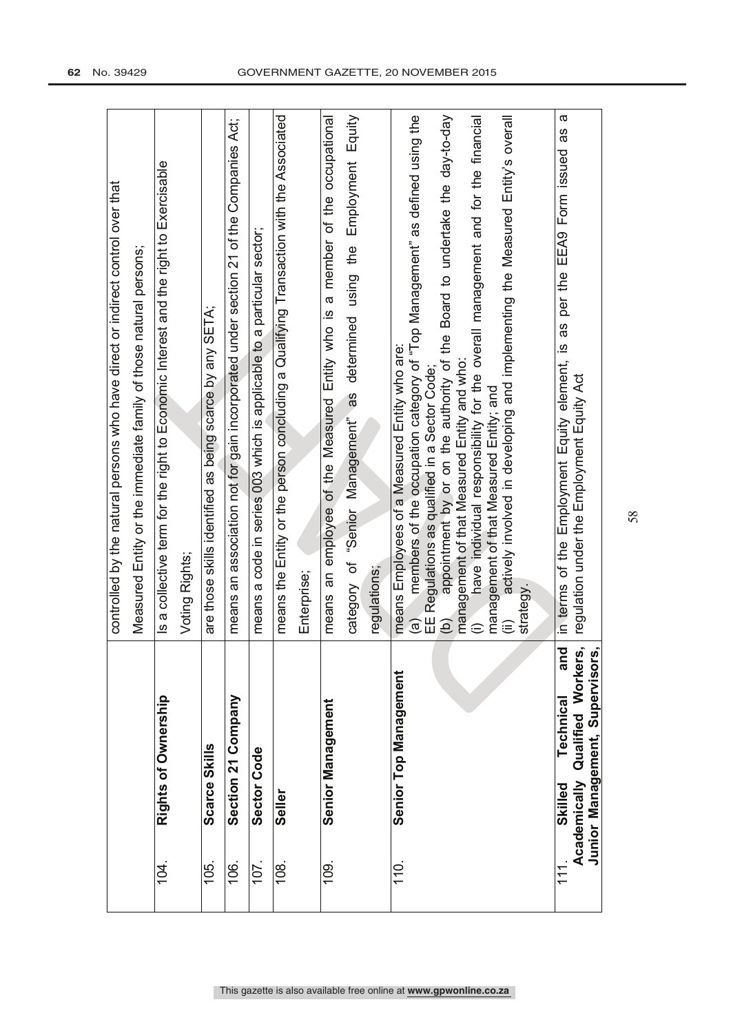|                |               |                                                                        | controlled by the natural persons who have direct or indirect control over that                                                                                                    |
|----------------|---------------|------------------------------------------------------------------------|------------------------------------------------------------------------------------------------------------------------------------------------------------------------------------|
|                |               |                                                                        | Measured Entity or the immediate family of those natural persons;                                                                                                                  |
| 104.           |               | Rights of Ownership                                                    | Is a collective term for the right to Economic Interest and the right to Exercisable                                                                                               |
|                |               |                                                                        | Voting Rights;                                                                                                                                                                     |
| 105.           | Scarce Skills |                                                                        | are those skills identified as being scarce by any SETA;                                                                                                                           |
| 106.           |               | Section 21 Company                                                     | means an association not for gain incorporated under section 21 of the Companies Act;                                                                                              |
| 107.           | Sector Code   |                                                                        | means a code in series 003 which is applicable to a particular sector;                                                                                                             |
| 108            | Seller        |                                                                        | means the Entity or the person concluding a Qualifying Transaction with the Associated                                                                                             |
|                |               |                                                                        | Enterprise;                                                                                                                                                                        |
| $\frac{10}{2}$ |               | <b>Senior Management</b>                                               | a member of the occupational<br>means an employee of the Measured Entity who is                                                                                                    |
|                |               |                                                                        | Equity<br>Employment<br>determined using the<br>category of "Senior Management" as                                                                                                 |
|                |               |                                                                        | regulations;                                                                                                                                                                       |
| $\frac{1}{2}$  |               | Senior Top Management                                                  | members of the occupation category of "Top Management" as defined using the<br>means Employees of a Measured Entity who are:<br>EE Regulations as qualified in a Sector Code;<br>ල |
|                |               |                                                                        | Board to undertake the day-to-day<br>appointment by or on the authority of the<br>management of that Measured Entity and who:<br>ව                                                 |
|                |               |                                                                        | have individual responsibility for the overall management and for the financial                                                                                                    |
|                |               |                                                                        | management of that Measured Entity; and                                                                                                                                            |
|                |               |                                                                        | actively involved in developing and implementing the Measured Entity's overall<br>strategy                                                                                         |
|                |               |                                                                        |                                                                                                                                                                                    |
| 111            | Skilled       | and<br>Technical                                                       | ω<br>in terms of the Employment Equity element, is as per the EEA9 Form issued as                                                                                                  |
|                |               | Academically Qualified Workers,<br>ຜົ<br>Junior Management, Supervisor | regulation under the Employment Equity Act                                                                                                                                         |
|                |               |                                                                        |                                                                                                                                                                                    |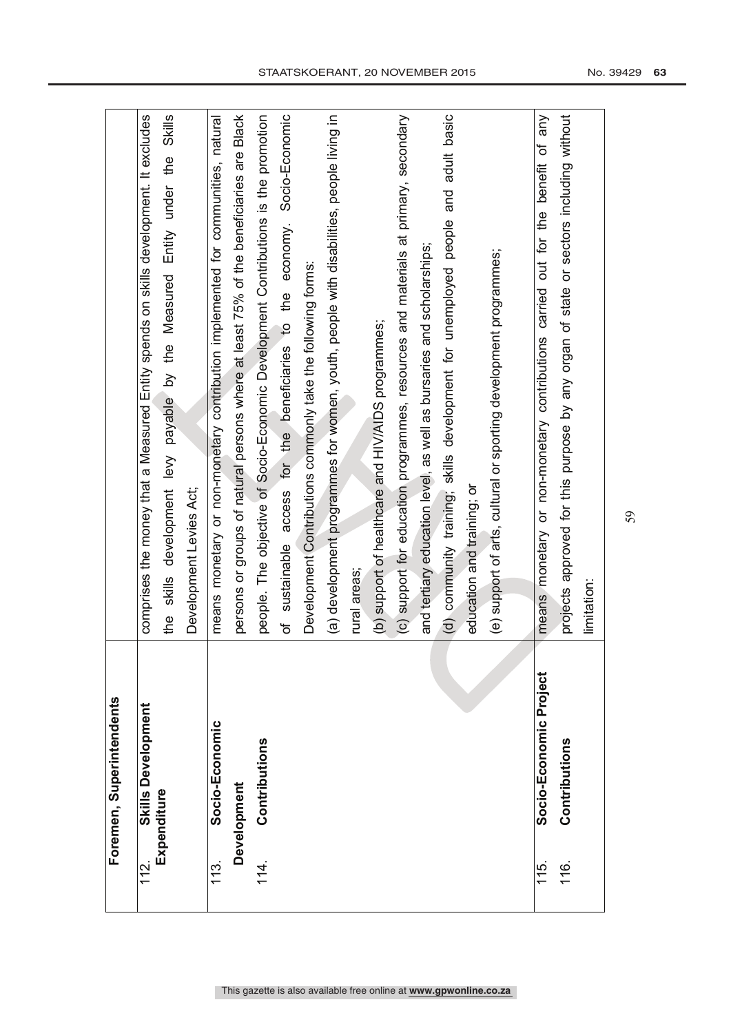|           | Foremen, Superintendents                 |                                                                                                |
|-----------|------------------------------------------|------------------------------------------------------------------------------------------------|
| 112.      | <b>Skills Development</b><br>Expenditure | comprises the money that a Measured Entity spends on skills development. It excludes           |
|           |                                          | <b>Skills</b><br>Entity under the<br>development levy payable by the Measured<br>skills<br>the |
|           |                                          | Development Levies Act;                                                                        |
| 113.<br>T | Socio-Economic                           | monetary or non-monetary contribution implemented for communities, natural<br>means            |
|           | <b>Development</b>                       | persons or groups of natural persons where at least 75% of the beneficiaries are Black         |
| 114.      | Contributions                            | people. The objective of Socio-Economic Development Contributions is the promotion             |
|           |                                          | Socio-Economic<br>access for the beneficiaries to the economy.<br>sustainable<br>Ⴆ             |
|           |                                          | Development Contributions commonly take the following forms:                                   |
|           |                                          | (a) development programmes for women, youth, people with disabilities, people living in        |
|           |                                          | rural areas;                                                                                   |
|           |                                          | (b) support of healthcare and HIV/AIDS programmes;                                             |
|           |                                          | (c) support for education programmes, resources and materials at primary, secondary            |
|           |                                          | and tertiary education level, as well as bursaries and scholarships;                           |
|           |                                          | (d) community training; skills development for unemployed people and adult basic               |
|           |                                          | education and training; or                                                                     |
|           |                                          | (e) support of arts, cultural or sporting development programmes;                              |
|           |                                          |                                                                                                |
| 115.      | Socio-Economic Project                   | means monetary or non-monetary contributions carried out for the benefit of any                |
| 116.      | Contributions                            | projects approved for this purpose by any organ of state or sectors including without          |
|           |                                          | limitation:                                                                                    |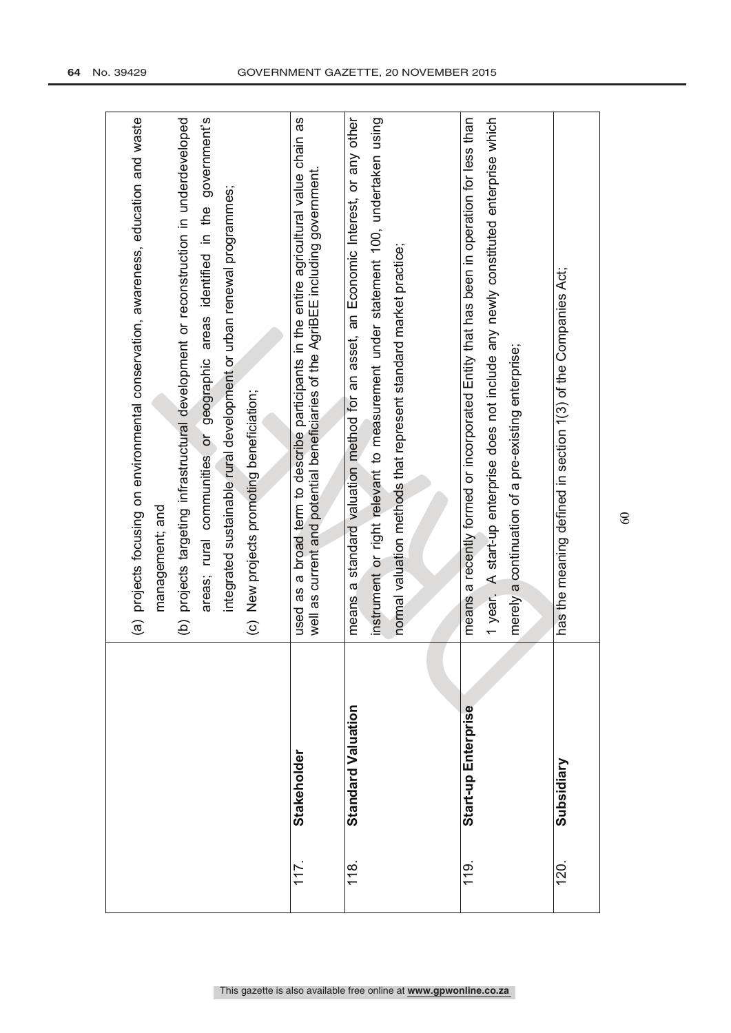|                |                     | (a) projects focusing on environmental conservation, awareness, education and waste<br>government's<br>projects targeting infrastructural development or reconstruction in underdeveloped<br>integrated sustainable rural development or urban renewal programmes;<br>areas; rural communities or geographic areas identified in the<br>(c) New projects promoting beneficiation;<br>management; and<br>$\widehat{e}$ |
|----------------|---------------------|-----------------------------------------------------------------------------------------------------------------------------------------------------------------------------------------------------------------------------------------------------------------------------------------------------------------------------------------------------------------------------------------------------------------------|
| 117            | Stakeholder         | a broad term to describe participants in the entire agricultural value chain as<br>well as current and potential beneficiaries of the AgriBEE including government.<br>8g<br>used                                                                                                                                                                                                                                     |
| $\frac{8}{10}$ | Standard Valuation  | means a standard valuation method for an asset, an Economic Interest, or any other<br>instrument or right relevant to measurement under statement 100, undertaken using<br>normal valuation methods that represent standard market practice;                                                                                                                                                                          |
| $\frac{9}{10}$ | Start-up Enterprise | means a recently formed or incorporated Entity that has been in operation for less than<br>1 year. A start-up enterprise does not include any newly constituted enterprise which<br>merely a continuation of a pre-existing enterprise;                                                                                                                                                                               |
| 120.           | Subsidiary          | has the meaning defined in section 1(3) of the Companies Act;                                                                                                                                                                                                                                                                                                                                                         |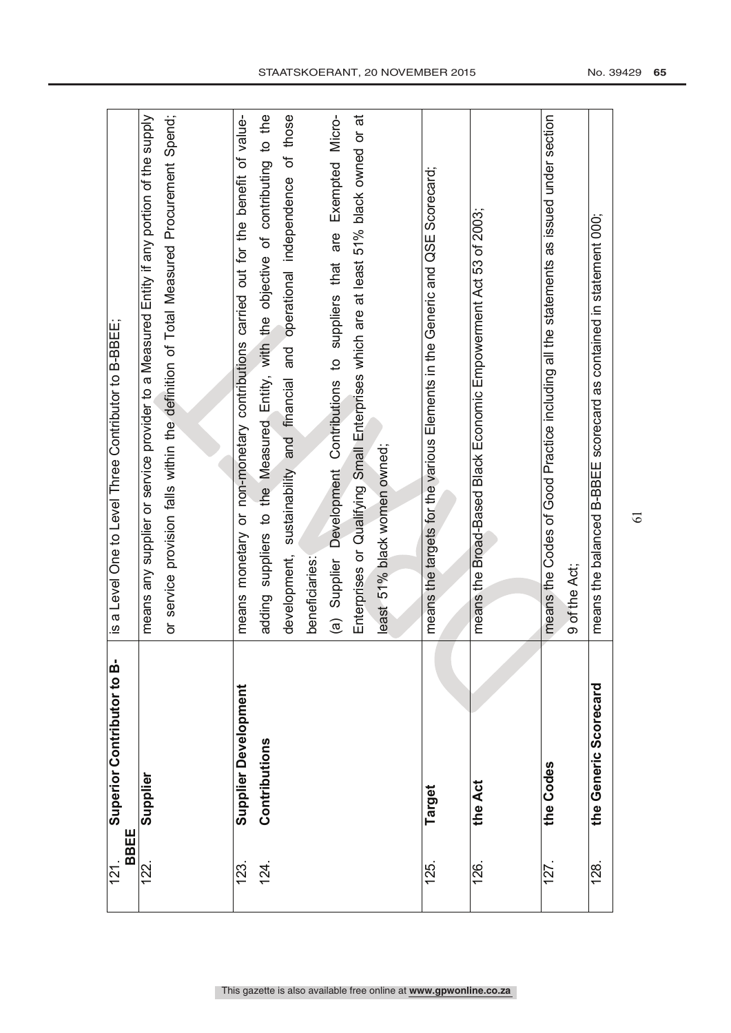| <b>BBEE</b><br>121 | Superior Contributor to B- | is a Level One to Level Three Contributor to B-BBEE;                                                  |
|--------------------|----------------------------|-------------------------------------------------------------------------------------------------------|
| 122.               | Supplier                   | means any supplier or service provider to a Measured Entity if any portion of the supply              |
|                    |                            | or service provision falls within the definition of Total Measured Procurement Spend;                 |
|                    |                            |                                                                                                       |
| 123.               | Supplier Development       | means monetary or non-monetary contributions carried out for the benefit of value-                    |
| 124.               | Contributions              | suppliers to the Measured Entity, with the objective of contributing to the<br>adding                 |
|                    |                            | those<br>.<br>ნ<br>operational independence<br>and<br>and financial<br>sustainability<br>development, |
|                    |                            | beneficiaries:                                                                                        |
|                    |                            | Exempted Micro-<br>are<br>(a) Supplier Development Contributions to suppliers that                    |
|                    |                            | Enterprises or Qualifying Small Enterprises which are at least 51% black owned or at                  |
|                    |                            | least 51% black women owned;                                                                          |
|                    |                            |                                                                                                       |
| 125.               | Target                     | means the targets for the various Elements in the Generic and QSE Scorecard;                          |
|                    |                            |                                                                                                       |
| 126.               | the Act                    | means the Broad-Based Black Economic Empowerment Act 53 of 2003;                                      |
|                    |                            |                                                                                                       |
| 127                | the Codes                  | means the Codes of Good Practice including all the statements as issued under section                 |
|                    |                            | 9 of the Act;                                                                                         |
| 128.               | the Generic Scorecard      | means the balanced B-BBEE scorecard as contained in statement 000;                                    |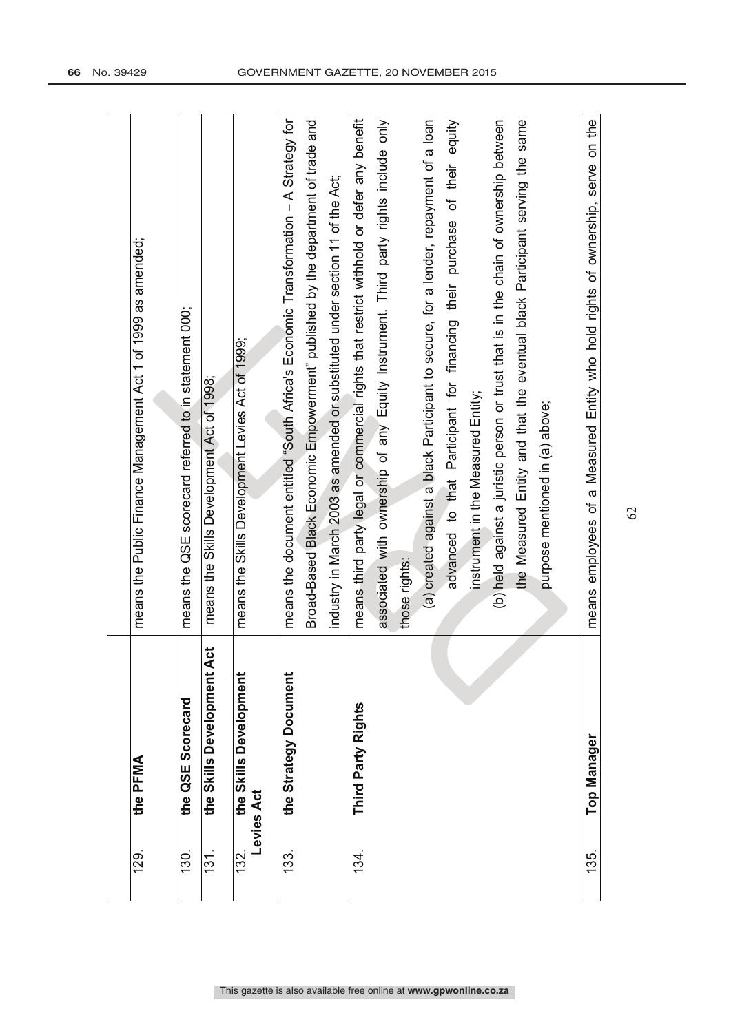| 129  | the PFMA                          | means the Public Finance Management Act 1 of 1999 as amended;                            |
|------|-----------------------------------|------------------------------------------------------------------------------------------|
| 130. | the QSE Scorecard                 | means the QSE scorecard referred to in statement 000;                                    |
| 131. | ti<br>4<br>the Skills Development | means the Skills Development Act of 1998;                                                |
| 132. | the Skills Development            | means the Skills Development Levies Act of 1999;                                         |
|      | evies Act                         |                                                                                          |
| 133. | the Strategy Document             | means the document entitled "South Africa's Economic Transformation - A Strategy for     |
|      |                                   | Broad-Based Black Economic Empowerment" published by the department of trade and         |
|      |                                   | industry in March 2003 as amended or substituted under section 11 of the Act;            |
| 134. | Third Party Rights                | means third party legal or commercial rights that restrict withhold or defer any benefit |
|      |                                   | associated with ownership of any Equity Instrument. Third party rights include only      |
|      |                                   | those rights:                                                                            |
|      |                                   | (a) created against a black Participant to secure, for a lender, repayment of a loan     |
|      |                                   | advanced to that Participant for financing their purchase of their equity                |
|      |                                   | instrument in the Measured Entity;                                                       |
|      |                                   | (b) held against a juristic person or trust that is in the chain of ownership between    |
|      |                                   | the Measured Entity and that the eventual black Participant serving the same             |
|      |                                   | purpose mentioned in (a) above;                                                          |
|      |                                   |                                                                                          |
| 135. | Top Manager                       | means employees of a Measured Entity who hold rights of ownership, serve on the          |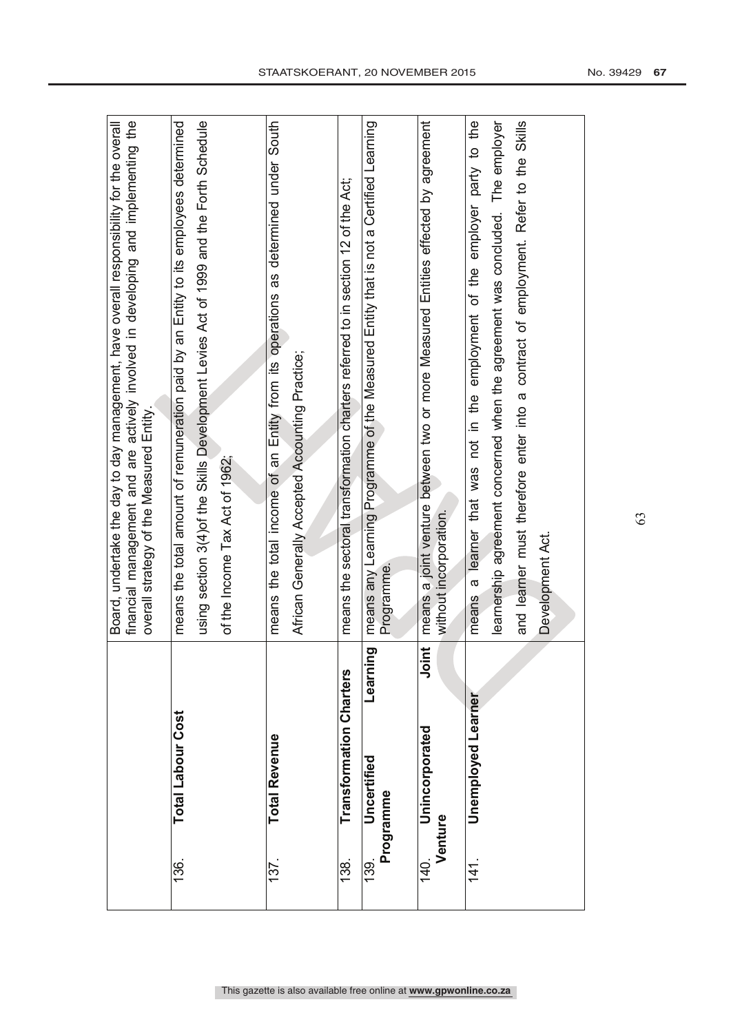|                        |                                |               | financial management and are actively involved in developing and implementing the<br>Board, undertake the day to day management, have overall responsibility for the overall<br>overall strategy of the Measured Entity. |
|------------------------|--------------------------------|---------------|--------------------------------------------------------------------------------------------------------------------------------------------------------------------------------------------------------------------------|
| 136.                   | <b>Total Labour Cost</b>       |               | means the total amount of remuneration paid by an Entity to its employees determined                                                                                                                                     |
|                        |                                |               | using section 3(4) of the Skills Development Levies Act of 1999 and the Forth Schedule                                                                                                                                   |
|                        |                                |               | of the Income Tax Act of 1962;                                                                                                                                                                                           |
|                        |                                |               |                                                                                                                                                                                                                          |
| 137                    | <b>Total Revenue</b>           |               | as determined under South<br>means the total income of an Entity from its operations                                                                                                                                     |
|                        |                                |               | African Generally Accepted Accounting Practice;                                                                                                                                                                          |
|                        |                                |               |                                                                                                                                                                                                                          |
| 138.                   | <b>Transformation Charters</b> |               | means the sectoral transformation charters referred to in section 12 of the Act;                                                                                                                                         |
| 139.                   | Uncertified                    | puir<br>Learn | means any Learning Programme of the Measured Entity that is not a Certified Learning                                                                                                                                     |
|                        | Programme                      |               | Programme.                                                                                                                                                                                                               |
|                        |                                |               |                                                                                                                                                                                                                          |
| <b>/enture</b><br>140. | Unincorporated                 | <b>Dinit</b>  | means a joint venture between two or more Measured Entities effected by agreement<br>without incorporation.                                                                                                              |
|                        |                                |               |                                                                                                                                                                                                                          |
| $\frac{41}{3}$         | <b>Unemployed Learner</b>      |               | a learner that was not in the employment of the employer party to the<br>means                                                                                                                                           |
|                        |                                |               | learnership agreement concerned when the agreement was concluded. The employer                                                                                                                                           |
|                        |                                |               | and learner must therefore enter into a contract of employment. Refer to the Skills                                                                                                                                      |
|                        |                                |               | Development Act.                                                                                                                                                                                                         |
|                        |                                |               |                                                                                                                                                                                                                          |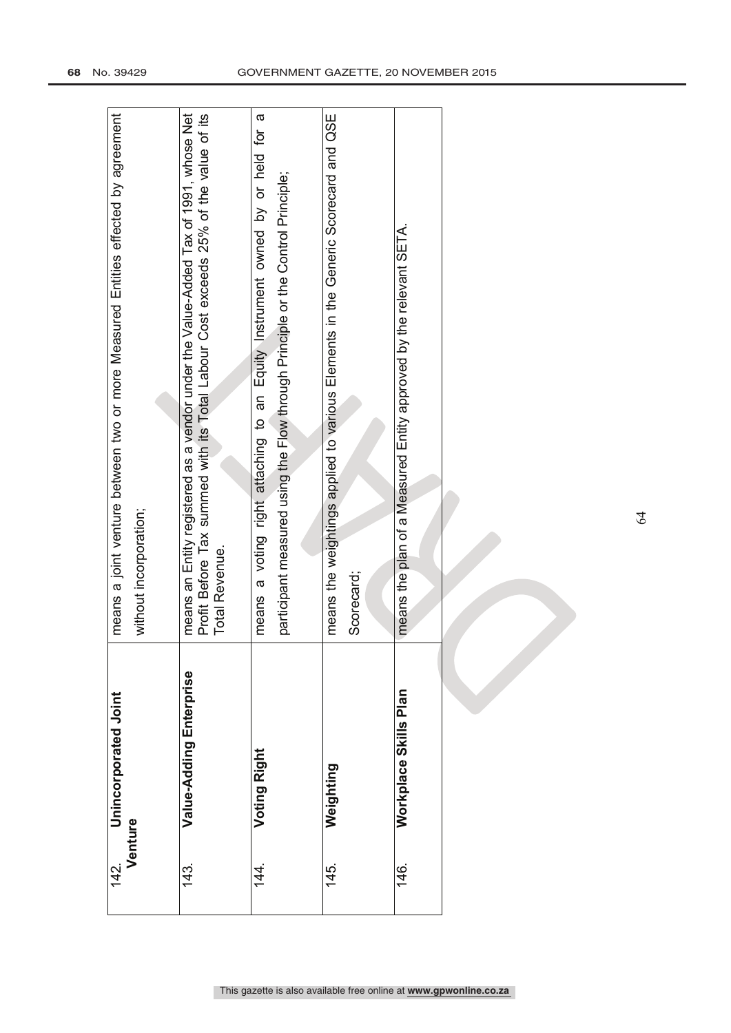| 142.           | Unincorporated Joint    | means a joint venture between two or more Measured Entities effected by agreement                                                                                                               |
|----------------|-------------------------|-------------------------------------------------------------------------------------------------------------------------------------------------------------------------------------------------|
|                | Venture                 | without incorporation;                                                                                                                                                                          |
|                |                         |                                                                                                                                                                                                 |
| 143.           | Value-Adding Enterprise | Profit Before Tax summed with its Total Labour Cost exceeds 25% of the value of its<br>Tax of 1991, whose Net<br>means an Entity registered as a vendor under the Value-Added<br>Total Revenue. |
|                |                         |                                                                                                                                                                                                 |
| $\frac{44}{1}$ | Voting Right            | $\sigma$<br>a voting right attaching to an Equity Instrument owned by or held for<br>means                                                                                                      |
|                |                         | participant measured using the Flow through Principle or the Control Principle;                                                                                                                 |
|                |                         |                                                                                                                                                                                                 |
| 145.           | Weighting               | means the weightings applied to various Elements in the Generic Scorecard and QSE                                                                                                               |
|                |                         | Scorecard;                                                                                                                                                                                      |
|                |                         |                                                                                                                                                                                                 |
| 146.           | Workplace Skills Plan   | means the plan of a Measured Entity approved by the relevant SETA.                                                                                                                              |
|                |                         |                                                                                                                                                                                                 |
|                |                         |                                                                                                                                                                                                 |